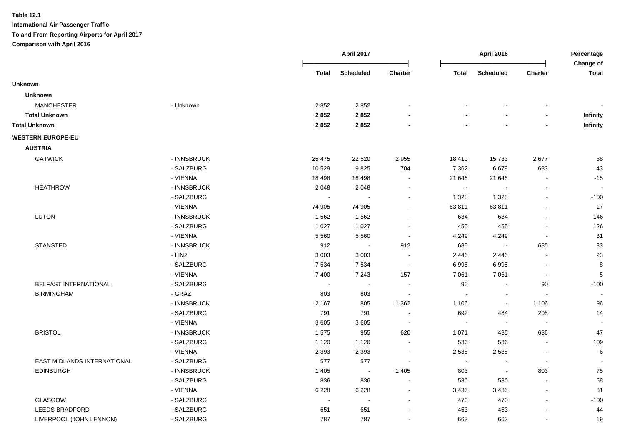|                             |             |                          | <b>April 2017</b> |                          |              | <b>April 2016</b>        |                              | Percentage<br>Change of |
|-----------------------------|-------------|--------------------------|-------------------|--------------------------|--------------|--------------------------|------------------------------|-------------------------|
|                             |             | Total                    | <b>Scheduled</b>  | Charter                  | <b>Total</b> | <b>Scheduled</b>         | <b>Charter</b>               | <b>Total</b>            |
| <b>Unknown</b>              |             |                          |                   |                          |              |                          |                              |                         |
| <b>Unknown</b>              |             |                          |                   |                          |              |                          |                              |                         |
| <b>MANCHESTER</b>           | - Unknown   | 2852                     | 2852              |                          |              |                          | $\qquad \qquad \blacksquare$ |                         |
| <b>Total Unknown</b>        |             | 2852                     | 2852              |                          |              |                          | $\overline{\phantom{0}}$     | Infinity                |
| <b>Total Unknown</b>        |             | 2852                     | 2852              |                          |              |                          | $\overline{\phantom{0}}$     | Infinity                |
| <b>WESTERN EUROPE-EU</b>    |             |                          |                   |                          |              |                          |                              |                         |
| <b>AUSTRIA</b>              |             |                          |                   |                          |              |                          |                              |                         |
| <b>GATWICK</b>              | - INNSBRUCK | 25 4 7 5                 | 22 5 20           | 2 9 5 5                  | 18 410       | 15733                    | 2677                         | 38                      |
|                             | - SALZBURG  | 10 529                   | 9825              | 704                      | 7 3 6 2      | 6679                     | 683                          | 43                      |
|                             | - VIENNA    | 18 4 98                  | 18 4 98           | $\sim$                   | 21 646       | 21 646                   | $\overline{\phantom{a}}$     | $-15$                   |
| <b>HEATHROW</b>             | - INNSBRUCK | 2 0 4 8                  | 2 0 4 8           | $\overline{\phantom{a}}$ | $\sim$       |                          |                              |                         |
|                             | - SALZBURG  | $\blacksquare$           |                   |                          | 1 3 2 8      | 1 3 2 8                  | ä,                           | $-100$                  |
|                             | - VIENNA    | 74 905                   | 74 905            |                          | 63 811       | 63811                    |                              | 17                      |
| LUTON                       | - INNSBRUCK | 1 5 6 2                  | 1562              |                          | 634          | 634                      |                              | 146                     |
|                             | - SALZBURG  | 1 0 2 7                  | 1 0 2 7           |                          | 455          | 455                      |                              | 126                     |
|                             | - VIENNA    | 5 5 6 0                  | 5 5 6 0           |                          | 4 2 4 9      | 4 2 4 9                  | $\overline{\phantom{a}}$     | 31                      |
| <b>STANSTED</b>             | - INNSBRUCK | 912                      | $\sim$            | 912                      | 685          | $\overline{\phantom{a}}$ | 685                          | 33                      |
|                             | - LINZ      | 3 0 0 3                  | 3 0 0 3           |                          | 2 4 4 6      | 2 4 4 6                  | $\sim$                       | 23                      |
|                             | - SALZBURG  | 7 5 3 4                  | 7534              | $\sim$                   | 6995         | 6995                     | $\sim$                       | 8                       |
|                             | - VIENNA    | 7 400                    | 7 2 4 3           | 157                      | 7 0 61       | 7 0 61                   | $\sim$                       | 5                       |
| BELFAST INTERNATIONAL       | - SALZBURG  | $\sim$                   | $\blacksquare$    | $\sim$                   | 90           | $\blacksquare$           | 90                           | $-100$                  |
| <b>BIRMINGHAM</b>           | $-$ GRAZ    | 803                      | 803               | $\sim$                   |              | $\blacksquare$           | $\overline{\phantom{a}}$     |                         |
|                             | - INNSBRUCK | 2 1 6 7                  | 805               | 1 3 6 2                  | 1 1 0 6      | $\blacksquare$           | 1 1 0 6                      | 96                      |
|                             | - SALZBURG  | 791                      | 791               |                          | 692          | 484                      | 208                          | 14                      |
|                             | - VIENNA    | 3605                     | 3605              | $\sim$                   | $\sim$       | $\sim$                   | $\overline{\phantom{a}}$     |                         |
| <b>BRISTOL</b>              | - INNSBRUCK | 1575                     | 955               | 620                      | 1 0 7 1      | 435                      | 636                          | 47                      |
|                             | - SALZBURG  | 1 1 2 0                  | 1 1 2 0           |                          | 536          | 536                      | $\blacksquare$               | 109                     |
|                             | - VIENNA    | 2 3 9 3                  | 2 3 9 3           |                          | 2 5 3 8      | 2 5 3 8                  | $\blacksquare$               | $\textbf{-6}$           |
| EAST MIDLANDS INTERNATIONAL | - SALZBURG  | 577                      | 577               |                          | $\sim$       | $\blacksquare$           | $\blacksquare$               | $\sim$                  |
| <b>EDINBURGH</b>            | - INNSBRUCK | 1 4 0 5                  | $\sim$ 100 $\pm$  | 1 4 0 5                  | 803          | $\sim$                   | 803                          | ${\bf 75}$              |
|                             | - SALZBURG  | 836                      | 836               | $\sim$                   | 530          | 530                      | $\blacksquare$               | 58                      |
|                             | - VIENNA    | 6 2 2 8                  | 6 2 2 8           |                          | 3 4 3 6      | 3 4 3 6                  | $\blacksquare$               | 81                      |
| <b>GLASGOW</b>              | - SALZBURG  | $\overline{\phantom{a}}$ |                   |                          | 470          | 470                      |                              | $-100$                  |
| <b>LEEDS BRADFORD</b>       | - SALZBURG  | 651                      | 651               |                          | 453          | 453                      |                              | 44                      |
| LIVERPOOL (JOHN LENNON)     | - SALZBURG  | 787                      | 787               |                          | 663          | 663                      |                              | 19                      |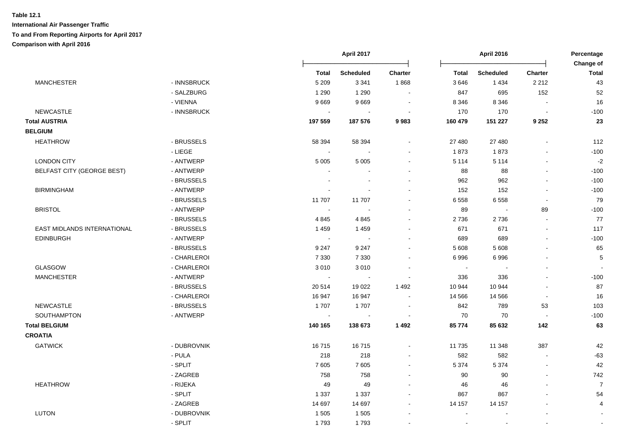|                             |             |                | April 2017            |                          |                          | April 2016       |                          | Percentage                |
|-----------------------------|-------------|----------------|-----------------------|--------------------------|--------------------------|------------------|--------------------------|---------------------------|
|                             |             | <b>Total</b>   | <b>Scheduled</b>      | Charter                  | <b>Total</b>             | <b>Scheduled</b> | Charter                  | Change of<br><b>Total</b> |
| <b>MANCHESTER</b>           | - INNSBRUCK | 5 2 0 9        | 3 3 4 1               | 1868                     | 3646                     | 1 4 3 4          | 2 2 1 2                  | 43                        |
|                             | - SALZBURG  | 1 2 9 0        | 1 2 9 0               |                          | 847                      | 695              | 152                      | 52                        |
|                             | - VIENNA    | 9669           | 9669                  |                          | 8 3 4 6                  | 8 3 4 6          |                          | 16                        |
| <b>NEWCASTLE</b>            | - INNSBRUCK | $\sim$         | $\blacksquare$        | $\blacksquare$           | 170                      | 170              | $\sim$                   | $-100$                    |
| <b>Total AUSTRIA</b>        |             | 197 559        | 187 576               | 9983                     | 160 479                  | 151 227          | 9 2 5 2                  | 23                        |
| <b>BELGIUM</b>              |             |                |                       |                          |                          |                  |                          |                           |
| <b>HEATHROW</b>             | - BRUSSELS  | 58 394         | 58 394                |                          | 27 480                   | 27 480           | $\overline{\phantom{a}}$ | 112                       |
|                             | - LIEGE     | $\sim$         | $\blacksquare$        |                          | 1873                     | 1873             | $\sim$                   | $-100$                    |
| <b>LONDON CITY</b>          | - ANTWERP   | 5 0 0 5        | 5 0 0 5               | $\blacksquare$           | 5 1 1 4                  | 5 1 1 4          | $\blacksquare$           | $-2$                      |
| BELFAST CITY (GEORGE BEST)  | - ANTWERP   |                |                       | $\sim$                   | 88                       | 88               | $\sim$                   | $-100$                    |
|                             | - BRUSSELS  |                |                       | $\sim$                   | 962                      | 962              |                          | $-100$                    |
| <b>BIRMINGHAM</b>           | - ANTWERP   |                | $\overline{a}$        | $\sim$                   | 152                      | 152              | $\sim$                   | $-100$                    |
|                             | - BRUSSELS  | 11 707         | 11 707                | $\blacksquare$           | 6558                     | 6 5 5 8          | $\sim$                   | 79                        |
| <b>BRISTOL</b>              | - ANTWERP   | $\sim$         |                       |                          | 89                       | $\sim$           | 89                       | $-100$                    |
|                             | - BRUSSELS  | 4845           | 4845                  | $\sim$                   | 2736                     | 2736             | $\sim$                   | 77                        |
| EAST MIDLANDS INTERNATIONAL | - BRUSSELS  | 1 4 5 9        | 1 4 5 9               |                          | 671                      | 671              |                          | 117                       |
| <b>EDINBURGH</b>            | - ANTWERP   | $\sim$         | $\overline{a}$        | $\sim$                   | 689                      | 689              | $\sim$                   | $-100$                    |
|                             | - BRUSSELS  | 9 2 4 7        | 9 2 4 7               |                          | 5 6 0 8                  | 5 6 0 8          |                          | 65                        |
|                             | - CHARLEROI | 7 3 3 0        | 7 3 3 0               |                          | 6996                     | 6996             |                          | 5                         |
| GLASGOW                     | - CHARLEROI | 3010           | 3010                  | $\blacksquare$           | $\sim$                   |                  |                          |                           |
| <b>MANCHESTER</b>           | - ANTWERP   | $\sim$         | $\sim$                | $\sim$                   | 336                      | 336              | $\sim$                   | $-100$                    |
|                             | - BRUSSELS  | 20 5 14        | 19 0 22               | 1 4 9 2                  | 10 944                   | 10 944           | $\sim$                   | 87                        |
|                             | - CHARLEROI | 16 947         | 16 947                | $\overline{a}$           | 14 5 66                  | 14 5 66          | $\sim$                   | 16                        |
| <b>NEWCASTLE</b>            | - BRUSSELS  | 1707           | 1707                  | $\overline{\phantom{a}}$ | 842                      | 789              | 53                       | 103                       |
| <b>SOUTHAMPTON</b>          | - ANTWERP   | $\blacksquare$ | $\tilde{\phantom{a}}$ | $\ddot{\phantom{a}}$     | 70                       | 70               | $\sim$                   | $-100$                    |
| <b>Total BELGIUM</b>        |             | 140 165        | 138 673               | 1492                     | 85 774                   | 85 632           | 142                      | 63                        |
| <b>CROATIA</b>              |             |                |                       |                          |                          |                  |                          |                           |
| <b>GATWICK</b>              | - DUBROVNIK | 16715          | 16715                 | $\blacksquare$           | 11 7 35                  | 11 348           | 387                      | 42                        |
|                             | - PULA      | 218            | 218                   | $\sim$                   | 582                      | 582              |                          | $-63$                     |
|                             | - SPLIT     | 7605           | 7 6 0 5               |                          | 5 3 7 4                  | 5 3 7 4          | $\mathbf{r}$             | 42                        |
|                             | - ZAGREB    | 758            | 758                   |                          | 90                       | 90               | $\sim$                   | 742                       |
| <b>HEATHROW</b>             | - RIJEKA    | 49             | 49                    | ÷                        | 46                       | 46               |                          | $\overline{7}$            |
|                             | - SPLIT     | 1 3 3 7        | 1 3 3 7               | $\blacksquare$           | 867                      | 867              |                          | 54                        |
|                             | - ZAGREB    | 14 697         | 14 697                | $\sim$                   | 14 157                   | 14 157           | $\overline{\phantom{a}}$ | $\overline{4}$            |
| <b>LUTON</b>                | - DUBROVNIK | 1 5 0 5        | 1 5 0 5               |                          | $\overline{\phantom{a}}$ |                  |                          | $\sim$                    |
|                             | - SPLIT     | 1793           | 1793                  |                          | $\overline{\phantom{a}}$ |                  |                          | $\sim$                    |
|                             |             |                |                       |                          |                          |                  |                          |                           |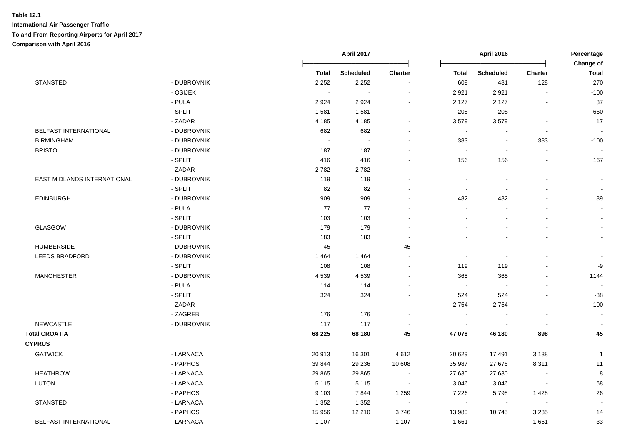|                             |             |                | April 2017                 |                          |                          | <b>April 2016</b>        |                          | Percentage                |
|-----------------------------|-------------|----------------|----------------------------|--------------------------|--------------------------|--------------------------|--------------------------|---------------------------|
|                             |             | <b>Total</b>   | <b>Scheduled</b>           | <b>Charter</b>           | <b>Total</b>             | <b>Scheduled</b>         | <b>Charter</b>           | Change of<br><b>Total</b> |
| <b>STANSTED</b>             | - DUBROVNIK | 2 2 5 2        | 2 2 5 2                    | $\blacksquare$           | 609                      | 481                      | 128                      | 270                       |
|                             | - OSIJEK    | $\blacksquare$ |                            | $\blacksquare$           | 2 9 2 1                  | 2921                     |                          | $-100$                    |
|                             | - PULA      | 2924           | 2924                       |                          | 2 1 2 7                  | 2 1 2 7                  |                          | 37                        |
|                             | - SPLIT     | 1581           | 1581                       |                          | 208                      | 208                      |                          | 660                       |
|                             | - ZADAR     | 4 1 8 5        | 4 1 8 5                    | $\overline{a}$           | 3579                     | 3579                     |                          | 17                        |
| BELFAST INTERNATIONAL       | - DUBROVNIK | 682            | 682                        | $\blacksquare$           | $\sim$                   | $\sim$                   | $\sim$                   |                           |
| <b>BIRMINGHAM</b>           | - DUBROVNIK | $\blacksquare$ |                            | $\sim$                   | 383                      | $\blacksquare$           | 383                      | $-100$                    |
| <b>BRISTOL</b>              | - DUBROVNIK | 187            | 187                        | $\blacksquare$           | $\blacksquare$           | $\blacksquare$           | $\blacksquare$           |                           |
|                             | - SPLIT     | 416            | 416                        | $\overline{\phantom{a}}$ | 156                      | 156                      | $\blacksquare$           | 167                       |
|                             | - ZADAR     | 2782           | 2782                       | $\overline{a}$           |                          | $\blacksquare$           |                          |                           |
| EAST MIDLANDS INTERNATIONAL | - DUBROVNIK | 119            | 119                        | $\overline{\phantom{a}}$ | $\overline{\phantom{a}}$ | $\overline{\phantom{a}}$ |                          | $\blacksquare$            |
|                             | - SPLIT     | 82             | 82                         |                          | $\overline{\phantom{a}}$ | $\overline{\phantom{a}}$ |                          |                           |
| <b>EDINBURGH</b>            | - DUBROVNIK | 909            | 909                        |                          | 482                      | 482                      |                          | 89                        |
|                             | - PULA      | 77             | 77                         |                          | $\sim$                   |                          |                          |                           |
|                             | - SPLIT     | 103            | 103                        |                          |                          |                          |                          |                           |
| GLASGOW                     | - DUBROVNIK | 179            | 179                        |                          |                          |                          |                          |                           |
|                             | - SPLIT     | 183            | 183                        | ÷                        |                          |                          |                          |                           |
| <b>HUMBERSIDE</b>           | - DUBROVNIK | 45             | $\sim$                     | 45                       |                          |                          |                          |                           |
| <b>LEEDS BRADFORD</b>       | - DUBROVNIK | 1 4 6 4        | 1464                       | $\blacksquare$           | $\overline{\phantom{a}}$ | $\overline{\phantom{a}}$ |                          |                           |
|                             | - SPLIT     | 108            | 108                        | $\overline{\phantom{a}}$ | 119                      | 119                      |                          | -9                        |
| <b>MANCHESTER</b>           | - DUBROVNIK | 4539           | 4539                       | $\overline{a}$           | 365                      | 365                      |                          | 1144                      |
|                             | - PULA      | 114            | 114                        | $\overline{a}$           | $\overline{\phantom{a}}$ |                          |                          |                           |
|                             | - SPLIT     | 324            | 324                        | $\blacksquare$           | 524                      | 524                      |                          | $-38$                     |
|                             | - ZADAR     | $\sim$         | $\mathcal{L}_{\mathbf{r}}$ | $\blacksquare$           | 2 7 5 4                  | 2754                     |                          | $-100$                    |
|                             | - ZAGREB    | 176            | 176                        | $\overline{\phantom{a}}$ | $\blacksquare$           | $\overline{\phantom{a}}$ |                          |                           |
| <b>NEWCASTLE</b>            | - DUBROVNIK | 117            | 117                        | $\overline{\phantom{a}}$ | $\overline{\phantom{a}}$ |                          |                          |                           |
| <b>Total CROATIA</b>        |             | 68 225         | 68 180                     | 45                       | 47 078                   | 46 180                   | 898                      | 45                        |
| <b>CYPRUS</b>               |             |                |                            |                          |                          |                          |                          |                           |
| <b>GATWICK</b>              | - LARNACA   | 20913          | 16 301                     | 4 6 1 2                  | 20 6 29                  | 17491                    | 3 1 3 8                  | $\mathbf{1}$              |
|                             | - PAPHOS    | 39 844         | 29 236                     | 10 608                   | 35 987                   | 27 676                   | 8 3 1 1                  | 11                        |
| <b>HEATHROW</b>             | - LARNACA   | 29 8 65        | 29 8 65                    | $\sim$                   | 27 630                   | 27 630                   |                          | 8                         |
| <b>LUTON</b>                | - LARNACA   | 5 1 1 5        | 5 1 1 5                    | $\sim$                   | 3 0 4 6                  | 3 0 4 6                  | $\overline{\phantom{a}}$ | 68                        |
|                             | - PAPHOS    | 9 1 0 3        | 7844                       | 1 2 5 9                  | 7 2 2 6                  | 5798                     | 1 4 2 8                  | 26                        |
| <b>STANSTED</b>             | - LARNACA   | 1 3 5 2        | 1 3 5 2                    | $\sim$                   | $\sim$                   | $\sim$                   | $\sim$                   |                           |
|                             | - PAPHOS    | 15 956         | 12 210                     | 3746                     | 13 980                   | 10745                    | 3 2 3 5                  | 14                        |
| BELFAST INTERNATIONAL       | - LARNACA   | 1 1 0 7        | $\sim$                     | 1 1 0 7                  | 1661                     | $\blacksquare$           | 1661                     | $-33$                     |
|                             |             |                |                            |                          |                          |                          |                          |                           |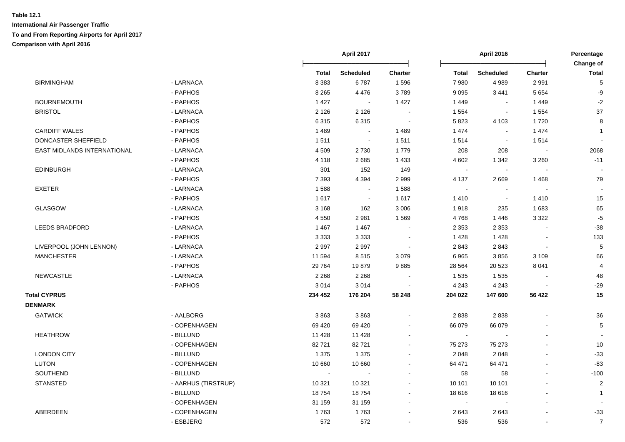| <b>BIRMINGHAM</b>           |                     |         |                  |                          |                |                  |                          | Change of      |
|-----------------------------|---------------------|---------|------------------|--------------------------|----------------|------------------|--------------------------|----------------|
|                             |                     | Total   | <b>Scheduled</b> | <b>Charter</b>           | Total          | <b>Scheduled</b> | <b>Charter</b>           | <b>Total</b>   |
|                             | - LARNACA           | 8 3 8 3 | 6787             | 1596                     | 7980           | 4 9 8 9          | 2991                     | 5              |
|                             | - PAPHOS            | 8 2 6 5 | 4476             | 3789                     | 9 0 9 5        | 3 4 4 1          | 5 6 5 4                  | -9             |
| <b>BOURNEMOUTH</b>          | - PAPHOS            | 1 4 2 7 | $\sim$           | 1 4 2 7                  | 1449           | $\sim$           | 1449                     | $-2$           |
| <b>BRISTOL</b>              | - LARNACA           | 2 1 2 6 | 2 1 2 6          | $\sim$                   | 1 5 5 4        | $\sim$           | 1 5 5 4                  | 37             |
|                             | - PAPHOS            | 6315    | 6315             | $\sim$                   | 5 8 2 3        | 4 1 0 3          | 1720                     | 8              |
| <b>CARDIFF WALES</b>        | - PAPHOS            | 1 4 8 9 | $\sim$           | 1 4 8 9                  | 1 4 7 4        | $\sim$           | 1 4 7 4                  | $\mathbf{1}$   |
| DONCASTER SHEFFIELD         | - PAPHOS            | 1511    | $\sim$           | 1511                     | 1514           | $\sim$           | 1514                     |                |
| EAST MIDLANDS INTERNATIONAL | - LARNACA           | 4509    | 2730             | 1779                     | 208            | 208              | $\overline{\phantom{a}}$ | 2068           |
|                             | - PAPHOS            | 4 1 1 8 | 2685             | 1 4 3 3                  | 4 6 0 2        | 1 3 4 2          | 3 2 6 0                  | $-11$          |
| <b>EDINBURGH</b>            | - LARNACA           | 301     | 152              | 149                      | $\sim$         |                  |                          |                |
|                             | - PAPHOS            | 7 3 9 3 | 4 3 9 4          | 2 9 9 9                  | 4 1 3 7        | 2669             | 1468                     | 79             |
| <b>EXETER</b>               | - LARNACA           | 1588    | $\sim$           | 1588                     | $\sim$         |                  |                          |                |
|                             | - PAPHOS            | 1617    | $\sim$           | 1 6 1 7                  | 1410           | $\sim$           | 1410                     | 15             |
| <b>GLASGOW</b>              | - LARNACA           | 3 1 6 8 | 162              | 3 0 0 6                  | 1918           | 235              | 1683                     | 65             |
|                             | - PAPHOS            | 4 5 5 0 | 2981             | 1 5 6 9                  | 4768           | 1446             | 3 3 2 2                  | $-5$           |
| <b>LEEDS BRADFORD</b>       | - LARNACA           | 1 4 6 7 | 1 4 6 7          |                          | 2 3 5 3        | 2 3 5 3          |                          | $-38$          |
|                             | - PAPHOS            | 3 3 3 3 | 3 3 3 3          | $\blacksquare$           | 1428           | 1428             | $\overline{a}$           | 133            |
| LIVERPOOL (JOHN LENNON)     | - LARNACA           | 2997    | 2997             | $\sim$                   | 2843           | 2843             | $\blacksquare$           | $\sqrt{5}$     |
| <b>MANCHESTER</b>           | - LARNACA           | 11 594  | 8515             | 3 0 7 9                  | 6965           | 3856             | 3 1 0 9                  | 66             |
|                             | - PAPHOS            | 29 7 64 | 19879            | 9885                     | 28 5 64        | 20 5 23          | 8 0 4 1                  | 4              |
| <b>NEWCASTLE</b>            | - LARNACA           | 2 2 6 8 | 2 2 6 8          |                          | 1 5 3 5        | 1535             |                          | 48             |
|                             | - PAPHOS            | 3014    | 3014             |                          | 4 2 4 3        | 4 2 4 3          |                          | $-29$          |
| <b>Total CYPRUS</b>         |                     | 234 452 | 176 204          | 58 248                   | 204 022        | 147 600          | 56 422                   | 15             |
| <b>DENMARK</b>              |                     |         |                  |                          |                |                  |                          |                |
| <b>GATWICK</b>              | - AALBORG           | 3863    | 3863             |                          | 2838           | 2838             |                          | 36             |
|                             | - COPENHAGEN        | 69 4 20 | 69 4 20          |                          | 66 079         | 66 079           |                          | $\mathbf 5$    |
| <b>HEATHROW</b>             | - BILLUND           | 11 4 28 | 11 4 28          |                          | $\sim$         |                  |                          |                |
|                             | - COPENHAGEN        | 82721   | 82721            |                          | 75 273         | 75 273           |                          | 10             |
| <b>LONDON CITY</b>          | - BILLUND           | 1 3 7 5 | 1 3 7 5          |                          | 2 0 4 8        | 2 0 4 8          | $\overline{a}$           | $-33$          |
| <b>LUTON</b>                | - COPENHAGEN        | 10 660  | 10 660           |                          | 64 471         | 64 471           | L,                       | $-83$          |
| SOUTHEND                    | - BILLUND           | $\sim$  | $\blacksquare$   | $\sim$                   | 58             | 58               | $\blacksquare$           | $-100$         |
| <b>STANSTED</b>             | - AARHUS (TIRSTRUP) | 10 321  | 10 3 21          |                          | 10 101         | 10 101           | $\blacksquare$           | $\overline{2}$ |
|                             | - BILLUND           | 18754   | 18754            |                          | 18 616         | 18616            |                          | $\mathbf{1}$   |
|                             | - COPENHAGEN        | 31 159  | 31 159           | $\overline{\phantom{a}}$ | $\blacksquare$ |                  | $\blacksquare$           |                |
| ABERDEEN                    | - COPENHAGEN        | 1763    | 1763             |                          | 2643           | 2643             |                          | $-33$          |
|                             | - ESBJERG           | 572     | 572              |                          | 536            | 536              | $\overline{a}$           | $\overline{7}$ |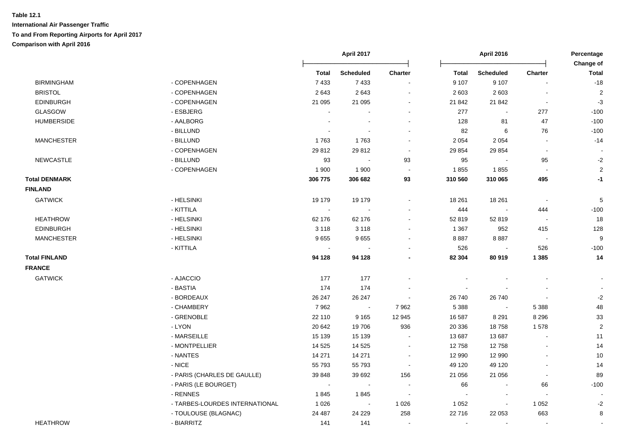|                      |                                |                          | April 2017       |                |                | <b>April 2016</b> |                          | Percentage<br>Change of |  |
|----------------------|--------------------------------|--------------------------|------------------|----------------|----------------|-------------------|--------------------------|-------------------------|--|
|                      |                                | <b>Total</b>             | <b>Scheduled</b> | <b>Charter</b> | <b>Total</b>   | <b>Scheduled</b>  | Charter                  | <b>Total</b>            |  |
| <b>BIRMINGHAM</b>    | - COPENHAGEN                   | 7433                     | 7433             |                | 9 107          | 9 1 0 7           |                          | $-18$                   |  |
| <b>BRISTOL</b>       | - COPENHAGEN                   | 2643                     | 2643             |                | 2 6 0 3        | 2 6 0 3           | $\sim$                   | $\overline{c}$          |  |
| <b>EDINBURGH</b>     | - COPENHAGEN                   | 21 095                   | 21 095           |                | 21 842         | 21 842            | $\blacksquare$           | $-3$                    |  |
| GLASGOW              | - ESBJERG                      | $\overline{\phantom{a}}$ |                  | $\sim$         | 277            | $\blacksquare$    | 277                      | $-100$                  |  |
| <b>HUMBERSIDE</b>    | - AALBORG                      |                          | $\sim$           |                | 128            | 81                | 47                       | $-100$                  |  |
|                      | - BILLUND                      |                          |                  |                | 82             | 6                 | 76                       | $-100$                  |  |
| <b>MANCHESTER</b>    | - BILLUND                      | 1763                     | 1763             | $\sim$         | 2 0 5 4        | 2 0 5 4           | $\blacksquare$           | $-14$                   |  |
|                      | - COPENHAGEN                   | 29812                    | 29812            | $\blacksquare$ | 29 854         | 29 854            | $\sim$                   |                         |  |
| <b>NEWCASTLE</b>     | - BILLUND                      | 93                       |                  | 93             | 95             |                   | 95                       | $-2$                    |  |
|                      | - COPENHAGEN                   | 1 900                    | 1 900            | $\sim$         | 1855           | 1855              | $\sim$                   | $\overline{2}$          |  |
| <b>Total DENMARK</b> |                                | 306 775                  | 306 682          | 93             | 310 560        | 310 065           | 495                      | $-1$                    |  |
| <b>FINLAND</b>       |                                |                          |                  |                |                |                   |                          |                         |  |
| <b>GATWICK</b>       | - HELSINKI                     | 19 179                   | 19 179           |                | 18 261         | 18 261            | $\sim$                   | $\sqrt{5}$              |  |
|                      | - KITTILA                      | $\sim$                   |                  |                | 444            |                   | 444                      | $-100$                  |  |
| <b>HEATHROW</b>      | - HELSINKI                     | 62 176                   | 62 176           |                | 52 819         | 52 819            | $\overline{\phantom{a}}$ | 18                      |  |
| <b>EDINBURGH</b>     | - HELSINKI                     | 3 1 1 8                  | 3 1 1 8          |                | 1 3 6 7        | 952               | 415                      | 128                     |  |
| <b>MANCHESTER</b>    | - HELSINKI                     | 9655                     | 9655             |                | 8887           | 8887              | $\overline{\phantom{a}}$ | 9                       |  |
|                      | - KITTILA                      | $\blacksquare$           |                  |                | 526            | $\blacksquare$    | 526                      | $-100$                  |  |
| <b>Total FINLAND</b> |                                | 94 128                   | 94 128           |                | 82 304         | 80 919            | 1 3 8 5                  | 14                      |  |
| <b>FRANCE</b>        |                                |                          |                  |                |                |                   |                          |                         |  |
| <b>GATWICK</b>       | - AJACCIO                      | 177                      | 177              |                |                |                   |                          |                         |  |
|                      | - BASTIA                       | 174                      | 174              |                |                |                   |                          |                         |  |
|                      | - BORDEAUX                     | 26 247                   | 26 247           | $\sim$         | 26 740         | 26 740            |                          | $-2$                    |  |
|                      | - CHAMBERY                     | 7962                     | $\sim$           | 7962           | 5 3 8 8        | $\sim$            | 5 3 8 8                  | 48                      |  |
|                      | - GRENOBLE                     | 22 110                   | 9 1 6 5          | 12 945         | 16 587         | 8 2 9 1           | 8 2 9 6                  | 33                      |  |
|                      | - LYON                         | 20 642                   | 19706            | 936            | 20 336         | 18758             | 1578                     | $\sqrt{2}$              |  |
|                      | - MARSEILLE                    | 15 139                   | 15 139           |                | 13 687         | 13 687            |                          | 11                      |  |
|                      | - MONTPELLIER                  | 14 5 25                  | 14 5 25          | $\sim$         | 12758          | 12758             |                          | 14                      |  |
|                      | - NANTES                       | 14 271                   | 14 271           | $\sim$         | 12 990         | 12 990            | $\overline{\phantom{a}}$ | 10                      |  |
|                      | $-$ NICE                       | 55 793                   | 55 793           | $\blacksquare$ | 49 120         | 49 120            | $\blacksquare$           | 14                      |  |
|                      | - PARIS (CHARLES DE GAULLE)    | 39 848                   | 39 692           | 156            | 21 056         | 21 056            | $\blacksquare$           | 89                      |  |
|                      | - PARIS (LE BOURGET)           | $\blacksquare$           | $\blacksquare$   | $\sim$         | 66             |                   | 66                       | $-100$                  |  |
|                      | - RENNES                       | 1845                     | 1845             | $\sim$         |                | $\blacksquare$    |                          |                         |  |
|                      | - TARBES-LOURDES INTERNATIONAL | 1 0 2 6                  | $\bullet$        | 1 0 2 6        | 1 0 5 2        | $\blacksquare$    | 1 0 5 2                  | $-2$                    |  |
|                      | - TOULOUSE (BLAGNAC)           | 24 487                   | 24 2 29          | 258            | 22 716         | 22 053            | 663                      | 8                       |  |
| <b>HEATHROW</b>      | - BIARRITZ                     | 141                      | 141              | $\blacksquare$ | $\blacksquare$ | $\blacksquare$    | $\blacksquare$           |                         |  |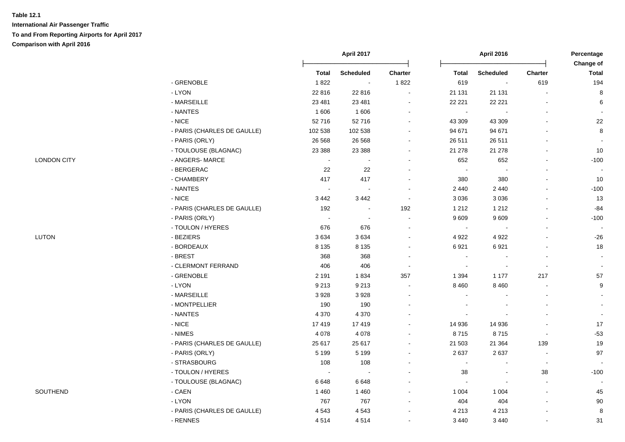|                    |                             |              | April 2017       |         |                | April 2016       |                                                                                  | Percentage<br>Change of |  |
|--------------------|-----------------------------|--------------|------------------|---------|----------------|------------------|----------------------------------------------------------------------------------|-------------------------|--|
|                    |                             | <b>Total</b> | <b>Scheduled</b> | Charter | <b>Total</b>   | <b>Scheduled</b> | Charter<br>619<br>217<br>$\overline{\phantom{a}}$<br>139<br>$\blacksquare$<br>38 | <b>Total</b>            |  |
|                    | - GRENOBLE                  | 1822         |                  | 1822    | 619            |                  |                                                                                  | 194                     |  |
|                    | - LYON                      | 22 816       | 22 8 16          |         | 21 131         | 21 131           |                                                                                  | 8                       |  |
|                    | - MARSEILLE                 | 23 4 81      | 23 4 81          |         | 22 2 21        | 22 221           |                                                                                  | $\,6$                   |  |
|                    | - NANTES                    | 1 606        | 1 60 6           |         | $\blacksquare$ |                  |                                                                                  |                         |  |
|                    | $-NICE$                     | 52716        | 52716            |         | 43 309         | 43 309           |                                                                                  | 22                      |  |
|                    | - PARIS (CHARLES DE GAULLE) | 102 538      | 102 538          |         | 94 671         | 94 671           |                                                                                  | $\bf8$                  |  |
|                    | - PARIS (ORLY)              | 26 5 68      | 26 5 68          |         | 26 511         | 26 511           |                                                                                  |                         |  |
|                    | - TOULOUSE (BLAGNAC)        | 23 3 88      | 23 3 88          |         | 21 278         | 21 278           |                                                                                  | 10                      |  |
| <b>LONDON CITY</b> | - ANGERS- MARCE             |              |                  |         | 652            | 652              |                                                                                  | $-100$                  |  |
|                    | - BERGERAC                  | 22           | 22               |         | $\blacksquare$ |                  |                                                                                  |                         |  |
|                    | - CHAMBERY                  | 417          | 417              |         | 380            | 380              |                                                                                  | 10                      |  |
|                    | - NANTES                    |              | $\sim$           |         | 2 4 4 0        | 2 4 4 0          |                                                                                  | $-100$                  |  |
|                    | $-NICE$                     | 3 4 4 2      | 3442             | $\sim$  | 3 0 3 6        | 3 0 3 6          |                                                                                  | 13                      |  |
|                    | - PARIS (CHARLES DE GAULLE) | 192          | $\blacksquare$   | 192     | 1 2 1 2        | 1 2 1 2          |                                                                                  | $-84$                   |  |
|                    | - PARIS (ORLY)              | $\sim$       | $\sim$           |         | 9609           | 9609             |                                                                                  | $-100$                  |  |
|                    | - TOULON / HYERES           | 676          | 676              |         | $\blacksquare$ |                  |                                                                                  |                         |  |
| <b>LUTON</b>       | - BEZIERS                   | 3634         | 3634             |         | 4 9 2 2        | 4 9 2 2          |                                                                                  | $-26$                   |  |
|                    | - BORDEAUX                  | 8 1 3 5      | 8 1 3 5          |         | 6921           | 6921             |                                                                                  | 18                      |  |
|                    | - BREST                     | 368          | 368              |         | $\sim$         |                  |                                                                                  | $\sim$                  |  |
|                    | - CLERMONT FERRAND          | 406          | 406              | $\sim$  | $\sim$         |                  |                                                                                  |                         |  |
|                    | - GRENOBLE                  | 2 1 9 1      | 1834             | 357     | 1 3 9 4        | 1 1 7 7          |                                                                                  | 57                      |  |
|                    | - LYON                      | 9 2 1 3      | 9 2 1 3          | $\sim$  | 8 4 6 0        | 8 4 6 0          |                                                                                  | 9                       |  |
|                    | - MARSEILLE                 | 3928         | 3928             |         | $\sim$         |                  |                                                                                  | $\blacksquare$          |  |
|                    | - MONTPELLIER               | 190          | 190              |         |                |                  |                                                                                  | $\blacksquare$          |  |
|                    | - NANTES                    | 4 3 7 0      | 4 3 7 0          |         |                |                  |                                                                                  |                         |  |
|                    | $-NICE$                     | 17419        | 17419            |         | 14 936         | 14 936           |                                                                                  | 17                      |  |
|                    | - NIMES                     | 4 0 7 8      | 4 0 7 8          |         | 8715           | 8715             |                                                                                  | $-53$                   |  |
|                    | - PARIS (CHARLES DE GAULLE) | 25 617       | 25 617           |         | 21 503         | 21 3 64          |                                                                                  | 19                      |  |
|                    | - PARIS (ORLY)              | 5 1 9 9      | 5 1 9 9          |         | 2637           | 2637             |                                                                                  | 97                      |  |
|                    | - STRASBOURG                | 108          | 108              |         | $\blacksquare$ |                  |                                                                                  | $\sim$                  |  |
|                    | - TOULON / HYERES           | $\sim$       |                  |         | 38             |                  |                                                                                  | $-100$                  |  |
|                    | - TOULOUSE (BLAGNAC)        | 6648         | 6648             |         | $\sim$         |                  |                                                                                  |                         |  |
| SOUTHEND           | - CAEN                      | 1 4 6 0      | 1 4 6 0          |         | 1 0 0 4        | 1 0 0 4          |                                                                                  | 45                      |  |
|                    | - LYON                      | 767          | 767              |         | 404            | 404              |                                                                                  | $90\,$                  |  |
|                    | - PARIS (CHARLES DE GAULLE) | 4 5 4 3      | 4543             |         | 4 2 1 3        | 4 2 1 3          |                                                                                  | 8                       |  |
|                    | - RENNES                    | 4514         | 4514             |         | 3 4 4 0        | 3 4 4 0          |                                                                                  | 31                      |  |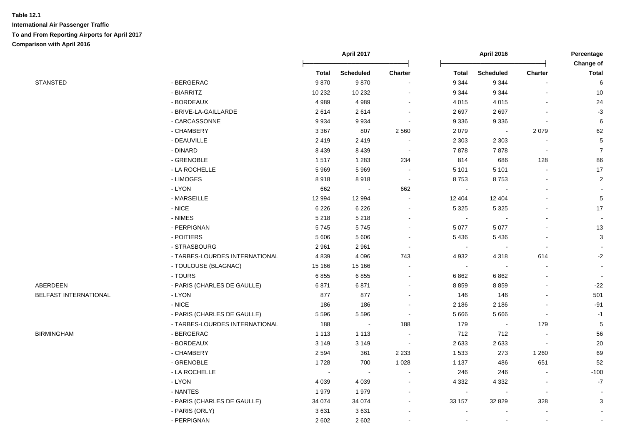|                       |                                |         | April 2017       |                |              | April 2016               |                          | Percentage<br>Change of  |
|-----------------------|--------------------------------|---------|------------------|----------------|--------------|--------------------------|--------------------------|--------------------------|
|                       |                                | Total   | <b>Scheduled</b> | Charter        | <b>Total</b> | <b>Scheduled</b>         | <b>Charter</b>           | <b>Total</b>             |
| <b>STANSTED</b>       | - BERGERAC                     | 9870    | 9870             |                | 9 3 4 4      | 9 3 4 4                  |                          | $\,6\,$                  |
|                       | - BIARRITZ                     | 10 232  | 10 232           |                | 9 3 4 4      | 9 3 4 4                  |                          | $10$                     |
|                       | - BORDEAUX                     | 4989    | 4989             |                | 4 0 1 5      | 4 0 1 5                  |                          | 24                       |
|                       | - BRIVE-LA-GAILLARDE           | 2614    | 2614             |                | 2697         | 2697                     |                          | $-3$                     |
|                       | - CARCASSONNE                  | 9934    | 9934             |                | 9 3 3 6      | 9 3 3 6                  |                          | 6                        |
|                       | - CHAMBERY                     | 3 3 6 7 | 807              | 2 5 6 0        | 2 0 7 9      | $\sim$                   | 2079                     | 62                       |
|                       | - DEAUVILLE                    | 2419    | 2419             |                | 2 3 0 3      | 2 3 0 3                  |                          | $\mathbf 5$              |
|                       | - DINARD                       | 8 4 3 9 | 8 4 3 9          | $\sim$         | 7878         | 7878                     | $\overline{\phantom{a}}$ | $\overline{7}$           |
|                       | - GRENOBLE                     | 1517    | 1 2 8 3          | 234            | 814          | 686                      | 128                      | 86                       |
|                       | - LA ROCHELLE                  | 5 9 6 9 | 5969             | $\sim$         | 5 1 0 1      | 5 1 0 1                  |                          | 17                       |
|                       | - LIMOGES                      | 8918    | 8918             | $\sim$         | 8753         | 8753                     |                          | $\sqrt{2}$               |
|                       | - LYON                         | 662     | $\sim$           | 662            | $\sim$       |                          |                          | $\overline{\phantom{a}}$ |
|                       | - MARSEILLE                    | 12 994  | 12 994           | $\blacksquare$ | 12 404       | 12 404                   |                          | $\sqrt{5}$               |
|                       | $-$ NICE                       | 6 2 2 6 | 6 2 2 6          | $\blacksquare$ | 5 3 2 5      | 5 3 2 5                  |                          | 17                       |
|                       | - NIMES                        | 5 2 1 8 | 5 2 1 8          |                | $\sim$       |                          |                          | $\blacksquare$           |
|                       | - PERPIGNAN                    | 5745    | 5745             | $\blacksquare$ | 5 0 7 7      | 5 0 7 7                  |                          | 13                       |
|                       | - POITIERS                     | 5 6 0 6 | 5 606            | $\blacksquare$ | 5436         | 5 4 3 6                  |                          | $\mathbf{3}$             |
|                       | - STRASBOURG                   | 2961    | 2 9 6 1          |                | $\sim$       |                          |                          | $\blacksquare$           |
|                       | - TARBES-LOURDES INTERNATIONAL | 4839    | 4 0 9 6          | 743            | 4 9 3 2      | 4 3 1 8                  | 614                      | $-2$                     |
|                       | - TOULOUSE (BLAGNAC)           | 15 166  | 15 166           |                | $\sim$       |                          |                          | $\sim$                   |
|                       | - TOURS                        | 6855    | 6855             |                | 6862         | 6 8 6 2                  |                          |                          |
| ABERDEEN              | - PARIS (CHARLES DE GAULLE)    | 6871    | 6871             |                | 8859         | 8859                     |                          | $-22$                    |
| BELFAST INTERNATIONAL | - LYON                         | 877     | 877              | $\overline{a}$ | 146          | 146                      |                          | 501                      |
|                       | $-NICE$                        | 186     | 186              | $\blacksquare$ | 2 1 8 6      | 2 1 8 6                  |                          | $-91$                    |
|                       | - PARIS (CHARLES DE GAULLE)    | 5 5 9 6 | 5 5 9 6          |                | 5 6 6 6      | 5 6 6 6                  | $\overline{\phantom{a}}$ | $-1$                     |
|                       | - TARBES-LOURDES INTERNATIONAL | 188     | $\sim$           | 188            | 179          | $\blacksquare$           | 179                      | $\overline{5}$           |
| <b>BIRMINGHAM</b>     | - BERGERAC                     | 1 1 1 3 | 1 1 1 3          |                | 712          | 712                      | $\overline{\phantom{a}}$ | 56                       |
|                       | - BORDEAUX                     | 3 1 4 9 | 3 1 4 9          | $\sim$         | 2633         | 2633                     |                          | $20\,$                   |
|                       | - CHAMBERY                     | 2 5 9 4 | 361              | 2 2 3 3        | 1 5 3 3      | 273                      | 1 2 6 0                  | 69                       |
|                       | - GRENOBLE                     | 1728    | 700              | 1 0 28         | 1 1 3 7      | 486                      | 651                      | 52                       |
|                       | - LA ROCHELLE                  |         | $\sim$           |                | 246          | 246                      |                          | $-100$                   |
|                       | - LYON                         | 4 0 3 9 | 4 0 3 9          |                | 4 3 3 2      | 4 3 3 2                  |                          | $-7$                     |
|                       | - NANTES                       | 1979    | 1979             |                | $\sim$       | $\overline{\phantom{a}}$ | $\overline{\phantom{a}}$ | $\blacksquare$           |
|                       | - PARIS (CHARLES DE GAULLE)    | 34 0 74 | 34 074           |                | 33 157       | 32 829                   | 328                      | 3                        |
|                       | - PARIS (ORLY)                 | 3631    | 3631             |                |              |                          |                          | $\blacksquare$           |
|                       | - PERPIGNAN                    | 2 6 0 2 | 2 6 0 2          |                |              |                          |                          |                          |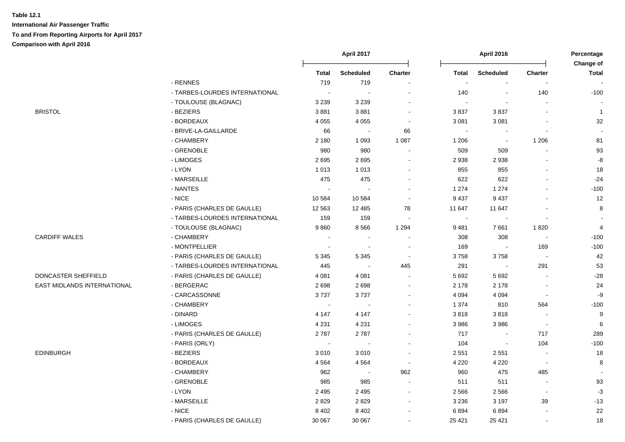**International Air Passenger Traffic To and From Reporting Airports for April 2017 Comparison with April 2016**

|                             |                                |         | <b>April 2017</b>        |                          |                | <b>April 2016</b>        |                | Percentage<br>Change of  |
|-----------------------------|--------------------------------|---------|--------------------------|--------------------------|----------------|--------------------------|----------------|--------------------------|
|                             |                                | Total   | <b>Scheduled</b>         | Charter                  | <b>Total</b>   | <b>Scheduled</b>         | Charter        | <b>Total</b>             |
|                             | - RENNES                       | 719     | 719                      |                          | $\sim$         | $\blacksquare$           |                | $\overline{\phantom{a}}$ |
|                             | - TARBES-LOURDES INTERNATIONAL | $\sim$  | $\sim$                   | $\overline{a}$           | 140            | $\mathbf{r}$             | 140            | $-100$                   |
|                             | - TOULOUSE (BLAGNAC)           | 3 2 3 9 | 3 2 3 9                  | $\blacksquare$           | $\sim$         | $\overline{a}$           |                |                          |
| <b>BRISTOL</b>              | - BEZIERS                      | 3881    | 3881                     | $\blacksquare$           | 3837           | 3837                     | ä,             | $\overline{1}$           |
|                             | - BORDEAUX                     | 4 0 5 5 | 4 0 5 5                  | $\overline{\phantom{a}}$ | 3 0 8 1        | 3 0 8 1                  |                | 32                       |
|                             | - BRIVE-LA-GAILLARDE           | 66      | $\overline{\phantom{a}}$ | 66                       | $\blacksquare$ |                          |                |                          |
|                             | - CHAMBERY                     | 2 1 8 0 | 1 0 9 3                  | 1 0 8 7                  | 1 2 0 6        | $\overline{\phantom{a}}$ | 1 2 0 6        | 81                       |
|                             | - GRENOBLE                     | 980     | 980                      | $\sim$                   | 509            | 509                      |                | 93                       |
|                             | - LIMOGES                      | 2695    | 2695                     | $\sim$                   | 2938           | 2938                     |                | $\mbox{-}8$              |
|                             | $-LYON$                        | 1 0 1 3 | 1 0 1 3                  | $\blacksquare$           | 855            | 855                      |                | 18                       |
|                             | - MARSEILLE                    | 475     | 475                      | $\overline{\phantom{0}}$ | 622            | 622                      | ä,             | $-24$                    |
|                             | - NANTES                       | $\sim$  |                          |                          | 1 2 7 4        | 1 2 7 4                  | $\mathbf{r}$   | $-100$                   |
|                             | $-$ NICE                       | 10584   | 10 584                   | $\sim$                   | 9 4 3 7        | 9 4 3 7                  |                | 12                       |
|                             | - PARIS (CHARLES DE GAULLE)    | 12 5 63 | 12 4 8 5                 | 78                       | 11 647         | 11 647                   | $\overline{a}$ | 8                        |
|                             | - TARBES-LOURDES INTERNATIONAL | 159     | 159                      | $\overline{\phantom{a}}$ | $\sim$         |                          | $\blacksquare$ |                          |
|                             | - TOULOUSE (BLAGNAC)           | 9860    | 8566                     | 1 2 9 4                  | 9 4 8 1        | 7661                     | 1820           | 4                        |
| <b>CARDIFF WALES</b>        | - CHAMBERY                     | $\sim$  | $\blacksquare$           | $\blacksquare$           | 308            | 308                      | $\blacksquare$ | $-100$                   |
|                             | - MONTPELLIER                  | $\sim$  | $\overline{\phantom{a}}$ |                          | 169            |                          | 169            | $-100$                   |
|                             | - PARIS (CHARLES DE GAULLE)    | 5 3 4 5 | 5 3 4 5                  | $\sim$                   | 3758           | 3758                     | $\sim$         | 42                       |
|                             | - TARBES-LOURDES INTERNATIONAL | 445     | $\sim$                   | 445                      | 291            |                          | 291            | 53                       |
| DONCASTER SHEFFIELD         | - PARIS (CHARLES DE GAULLE)    | 4 0 8 1 | 4 0 8 1                  | $\blacksquare$           | 5 6 9 2        | 5 6 9 2                  |                | $-28$                    |
| EAST MIDLANDS INTERNATIONAL | - BERGERAC                     | 2698    | 2698                     | $\blacksquare$           | 2 1 7 8        | 2 1 7 8                  | $\sim$         | 24                       |
|                             | - CARCASSONNE                  | 3737    | 3737                     | $\blacksquare$           | 4 0 9 4        | 4 0 9 4                  | $\blacksquare$ | -9                       |
|                             | - CHAMBERY                     | $\sim$  | $\overline{\phantom{a}}$ |                          | 1 3 7 4        | 810                      | 564            | $-100$                   |
|                             | - DINARD                       | 4 1 4 7 | 4 1 4 7                  |                          | 3818           | 3818                     | $\sim$         | 9                        |
|                             | - LIMOGES                      | 4 2 3 1 | 4 2 3 1                  |                          | 3 9 8 6        | 3986                     | $\sim$         | 6                        |
|                             | - PARIS (CHARLES DE GAULLE)    | 2787    | 2787                     | $\blacksquare$           | 717            |                          | 717            | 289                      |
|                             | - PARIS (ORLY)                 | $\sim$  | $\sim$                   | ۰                        | 104            |                          | 104            | $-100$                   |
| <b>EDINBURGH</b>            | - BEZIERS                      | 3010    | 3010                     | $\overline{\phantom{a}}$ | 2 5 5 1        | 2 5 5 1                  | $\blacksquare$ | 18                       |
|                             | - BORDEAUX                     | 4 5 6 4 | 4564                     | $\sim$                   | 4 2 2 0        | 4 2 2 0                  | $\sim$         | 8                        |
|                             | - CHAMBERY                     | 962     | $\sim$                   | 962                      | 960            | 475                      | 485            |                          |
|                             | - GRENOBLE                     | 985     | 985                      | $\sim$                   | 511            | 511                      | $\blacksquare$ | 93                       |
|                             | - LYON                         | 2 4 9 5 | 2 4 9 5                  | $\blacksquare$           | 2 5 6 6        | 2 5 6 6                  | $\blacksquare$ | $-3$                     |
|                             | - MARSEILLE                    | 2829    | 2829                     | $\blacksquare$           | 3 2 3 6        | 3 1 9 7                  | 39             | $-13$                    |
|                             | - NICE                         | 8 4 0 2 | 8 4 0 2                  | $\overline{\phantom{0}}$ | 6894           | 6894                     | $\overline{a}$ | 22                       |
|                             | - PARIS (CHARLES DE GAULLE)    | 30 067  | 30 067                   | $\blacksquare$           | 25 4 21        | 25 4 21                  | $\blacksquare$ | 18                       |
|                             |                                |         |                          |                          |                |                          |                |                          |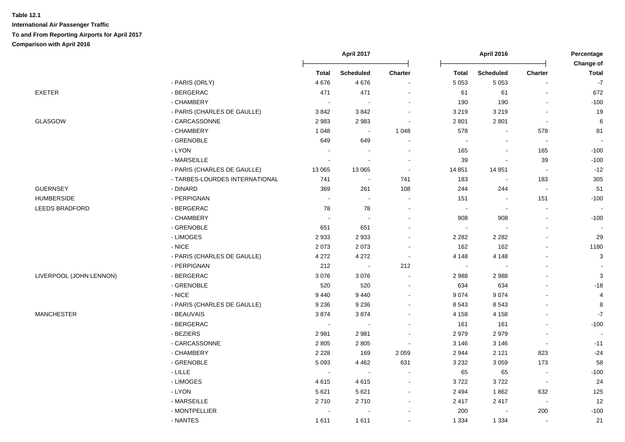|                         |                                |                             | April 2017                  |                       |                | <b>April 2016</b>        |                          | Percentage<br>Change of  |
|-------------------------|--------------------------------|-----------------------------|-----------------------------|-----------------------|----------------|--------------------------|--------------------------|--------------------------|
|                         |                                | <b>Total</b>                | <b>Scheduled</b>            | Charter               | <b>Total</b>   | <b>Scheduled</b>         | Charter                  | <b>Total</b>             |
|                         | - PARIS (ORLY)                 | 4676                        | 4676                        | $\blacksquare$        | 5 0 5 3        | 5 0 5 3                  |                          | $-7$                     |
| EXETER                  | - BERGERAC                     | 471                         | 471                         | $\blacksquare$        | 61             | 61                       | $\blacksquare$           | 672                      |
|                         | - CHAMBERY                     | $\mathcal{L}_{\mathcal{A}}$ | $\sim$                      | $\blacksquare$        | 190            | 190                      | $\blacksquare$           | $-100$                   |
|                         | - PARIS (CHARLES DE GAULLE)    | 3842                        | 3842                        | $\sim$                | 3 2 1 9        | 3 2 1 9                  | $\blacksquare$           | 19                       |
| GLASGOW                 | - CARCASSONNE                  | 2983                        | 2983                        | $\blacksquare$        | 2 8 0 1        | 2801                     | $\sim$                   | 6                        |
|                         | - CHAMBERY                     | 1 0 4 8                     | $\mathcal{L}_{\mathcal{A}}$ | 1 0 4 8               | 578            | $\blacksquare$           | 578                      | 81                       |
|                         | - GRENOBLE                     | 649                         | 649                         | $\sim$                | $\blacksquare$ |                          | $\blacksquare$           | $\overline{\phantom{a}}$ |
|                         | - LYON                         | $\sim$                      |                             | $\blacksquare$        | 165            |                          | 165                      | $-100$                   |
|                         | - MARSEILLE                    | $\sim$                      | $\blacksquare$              | $\blacksquare$        | 39             |                          | 39                       | $-100$                   |
|                         | - PARIS (CHARLES DE GAULLE)    | 13 065                      | 13 065                      | $\blacksquare$        | 14 851         | 14 8 51                  | $\sim$                   | $-12$                    |
|                         | - TARBES-LOURDES INTERNATIONAL | 741                         | $\sim$                      | 741                   | 183            | $\overline{\phantom{a}}$ | 183                      | 305                      |
| <b>GUERNSEY</b>         | - DINARD                       | 369                         | 261                         | 108                   | 244            | 244                      | $\overline{\phantom{a}}$ | 51                       |
| <b>HUMBERSIDE</b>       | - PERPIGNAN                    | $\sim$                      | $\sim$                      | $\sim$                | 151            | $\blacksquare$           | 151                      | $-100$                   |
| LEEDS BRADFORD          | - BERGERAC                     | 78                          | 78                          | $\sim$                | $\blacksquare$ | $\sim$                   | $\blacksquare$           |                          |
|                         | - CHAMBERY                     | $\mathcal{L}_{\mathbf{r}}$  | $\blacksquare$              | $\overline{a}$        | 908            | 908                      | $\blacksquare$           | $-100$                   |
|                         | - GRENOBLE                     | 651                         | 651                         | $\blacksquare$        | $\blacksquare$ | $\blacksquare$           | $\blacksquare$           |                          |
|                         | - LIMOGES                      | 2933                        | 2933                        | $\blacksquare$        | 2 2 8 2        | 2 2 8 2                  | $\blacksquare$           | 29                       |
|                         | $-$ NICE                       | 2073                        | 2073                        | $\blacksquare$        | 162            | 162                      | $\blacksquare$           | 1180                     |
|                         | - PARIS (CHARLES DE GAULLE)    | 4 2 7 2                     | 4 2 7 2                     | $\blacksquare$        | 4 1 4 8        | 4 1 4 8                  |                          | 3                        |
|                         | - PERPIGNAN                    | 212                         | $\sim$                      | 212                   | $\sim$         |                          |                          |                          |
| LIVERPOOL (JOHN LENNON) | - BERGERAC                     | 3076                        | 3076                        | $\tilde{\phantom{a}}$ | 2988           | 2988                     |                          | $\mathbf{3}$             |
|                         | - GRENOBLE                     | 520                         | 520                         | $\blacksquare$        | 634            | 634                      |                          | $-18$                    |
|                         | - NICE                         | 9440                        | 9 4 4 0                     | $\sim$                | 9 0 7 4        | 9074                     |                          | 4                        |
|                         | - PARIS (CHARLES DE GAULLE)    | 9 2 3 6                     | 9 2 3 6                     | $\mathbf{r}$          | 8 5 4 3        | 8 5 4 3                  |                          | 8                        |
| <b>MANCHESTER</b>       | - BEAUVAIS                     | 3874                        | 3874                        | $\blacksquare$        | 4 1 5 8        | 4 1 5 8                  |                          | $-7$                     |
|                         | - BERGERAC                     | $\blacksquare$              | $\sim$                      | $\overline{a}$        | 161            | 161                      | $\sim$                   | $-100$                   |
|                         | - BEZIERS                      | 2981                        | 2981                        | $\sim$                | 2979           | 2979                     | $\blacksquare$           |                          |
|                         | - CARCASSONNE                  | 2 8 0 5                     | 2 8 0 5                     | $\blacksquare$        | 3 1 4 6        | 3 1 4 6                  | $\blacksquare$           | $-11$                    |
|                         | - CHAMBERY                     | 2 2 2 8                     | 169                         | 2 0 5 9               | 2944           | 2 1 2 1                  | 823                      | $-24$                    |
|                         | - GRENOBLE                     | 5 0 9 3                     | 4 4 6 2                     | 631                   | 3 2 3 2        | 3 0 5 9                  | 173                      | 58                       |
|                         | - LILLE                        | $\blacksquare$              | $\sim$                      | $\blacksquare$        | 65             | 65                       | $\overline{\phantom{a}}$ | $-100$                   |
|                         | - LIMOGES                      | 4615                        | 4615                        | $\blacksquare$        | 3722           | 3722                     | $\sim$                   | 24                       |
|                         | - LYON                         | 5 6 21                      | 5 6 21                      | $\blacksquare$        | 2 4 9 4        | 1862                     | 632                      | 125                      |
|                         | - MARSEILLE                    | 2710                        | 2710                        | $\blacksquare$        | 2 4 1 7        | 2417                     | $\sim$                   | 12                       |
|                         | - MONTPELLIER                  | $\sim$                      |                             | ÷                     | 200            | $\sim$                   | 200                      | $-100$                   |
|                         | - NANTES                       | 1611                        | 1611                        | $\overline{a}$        | 1 3 3 4        | 1 3 3 4                  | $\blacksquare$           | 21                       |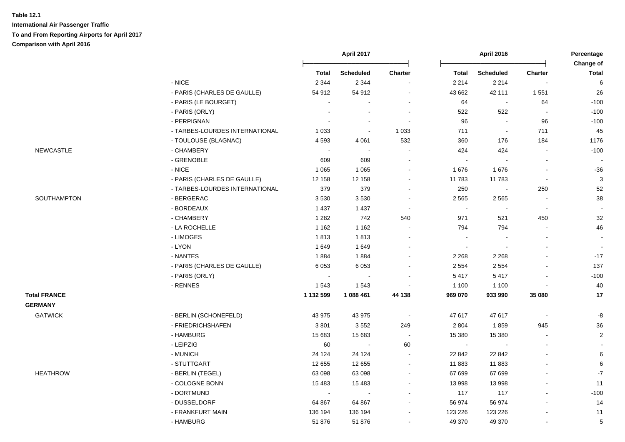**International Air Passenger Traffic To and From Reporting Airports for April 2017 Comparison with April 2016**

|                     |                                |              | April 2017       |                | April 2016   |                  | Percentage<br>Change of  |                 |
|---------------------|--------------------------------|--------------|------------------|----------------|--------------|------------------|--------------------------|-----------------|
|                     |                                | <b>Total</b> | <b>Scheduled</b> | <b>Charter</b> | <b>Total</b> | <b>Scheduled</b> | <b>Charter</b>           | <b>Total</b>    |
|                     | - NICE                         | 2 3 4 4      | 2 3 4 4          | $\sim$         | 2 2 1 4      | 2 2 1 4          |                          | 6               |
|                     | - PARIS (CHARLES DE GAULLE)    | 54 912       | 54 912           |                | 43 662       | 42 111           | 1 5 5 1                  | 26              |
|                     | - PARIS (LE BOURGET)           |              |                  | $\blacksquare$ | 64           |                  | 64                       | $-100$          |
|                     | - PARIS (ORLY)                 |              |                  | $\sim$         | 522          | 522              | $\blacksquare$           | $-100$          |
|                     | - PERPIGNAN                    |              | $\sim$           | $\sim$         | 96           |                  | 96                       | $-100$          |
|                     | - TARBES-LOURDES INTERNATIONAL | 1 0 3 3      | $\sim$           | 1 0 3 3        | 711          | $\sim$           | 711                      | 45              |
|                     | - TOULOUSE (BLAGNAC)           | 4593         | 4 0 61           | 532            | 360          | 176              | 184                      | 1176            |
| <b>NEWCASTLE</b>    | - CHAMBERY                     |              | $\sim$           | $\sim$         | 424          | 424              | $\blacksquare$           | $-100$          |
|                     | - GRENOBLE                     | 609          | 609              | $\sim$         | $\sim$       |                  | $\sim$                   |                 |
|                     | $-$ NICE                       | 1 0 6 5      | 1 0 6 5          | $\blacksquare$ | 1676         | 1676             | $\blacksquare$           | $-36$           |
|                     | - PARIS (CHARLES DE GAULLE)    | 12 158       | 12 158           | $\sim$         | 11 783       | 11783            | $\sim$                   | $\mathbf{3}$    |
|                     | - TARBES-LOURDES INTERNATIONAL | 379          | 379              | $\sim$         | 250          |                  | 250                      | 52              |
| SOUTHAMPTON         | - BERGERAC                     | 3530         | 3530             | $\sim$         | 2 5 6 5      | 2 5 6 5          | $\sim$                   | 38              |
|                     | - BORDEAUX                     | 1 4 3 7      | 1 4 3 7          | $\sim$         |              |                  |                          |                 |
|                     | - CHAMBERY                     | 1 2 8 2      | 742              | 540            | 971          | 521              | 450                      | 32              |
|                     | - LA ROCHELLE                  | 1 1 6 2      | 1 1 6 2          | $\sim$         | 794          | 794              |                          | 46              |
|                     | - LIMOGES                      | 1813         | 1813             | $\sim$         | $\sim$       |                  |                          | $\sim$          |
|                     | - LYON                         | 1649         | 1649             | $\blacksquare$ |              |                  |                          | $\sim$          |
|                     | - NANTES                       | 1884         | 1884             | $\blacksquare$ | 2 2 6 8      | 2 2 6 8          |                          | $-17$           |
|                     | - PARIS (CHARLES DE GAULLE)    | 6 0 5 3      | 6 0 5 3          | $\blacksquare$ | 2 5 5 4      | 2 5 5 4          | ä,                       | 137             |
|                     | - PARIS (ORLY)                 |              |                  |                | 5417         | 5417             |                          | $-100$          |
|                     | - RENNES                       | 1543         | 1 5 4 3          |                | 1 100        | 1 1 0 0          | ä,                       | 40              |
| <b>Total FRANCE</b> |                                | 1 132 599    | 1 088 461        | 44 138         | 969 070      | 933 990          | 35 080                   | 17              |
| <b>GERMANY</b>      |                                |              |                  |                |              |                  |                          |                 |
| <b>GATWICK</b>      | - BERLIN (SCHONEFELD)          | 43 975       | 43 975           | $\blacksquare$ | 47 617       | 47 617           | $\overline{\phantom{a}}$ | -8              |
|                     | - FRIEDRICHSHAFEN              | 3801         | 3552             | 249            | 2 8 0 4      | 1859             | 945                      | 36              |
|                     | - HAMBURG                      | 15 683       | 15 683           | $\sim$         | 15 380       | 15 380           | $\blacksquare$           | $\overline{2}$  |
|                     | - LEIPZIG                      | 60           |                  | 60             |              |                  |                          |                 |
|                     | - MUNICH                       | 24 1 24      | 24 124           |                | 22 842       | 22 842           |                          | $\,6\,$         |
|                     | - STUTTGART                    | 12 655       | 12 655           | $\sim$         | 11 883       | 11883            |                          | 6               |
| <b>HEATHROW</b>     | - BERLIN (TEGEL)               | 63 098       | 63 098           | $\sim$         | 67 699       | 67 699           |                          | $\mathbf{-7}$   |
|                     | - COLOGNE BONN                 | 15 4 83      | 15 4 83          | $\sim$         | 13 998       | 13 998           | $\blacksquare$           | 11              |
|                     | - DORTMUND                     | $\sim$       |                  | $\blacksquare$ | 117          | 117              | ä,                       | $-100$          |
|                     | - DUSSELDORF                   | 64 867       | 64 867           |                | 56 974       | 56 974           |                          | 14              |
|                     | - FRANKFURT MAIN               | 136 194      | 136 194          | $\blacksquare$ | 123 226      | 123 226          |                          | 11              |
|                     | - HAMBURG                      | 51 876       | 51 876           | $\blacksquare$ | 49 370       | 49 370           | ä,                       | $5\phantom{.0}$ |
|                     |                                |              |                  |                |              |                  |                          |                 |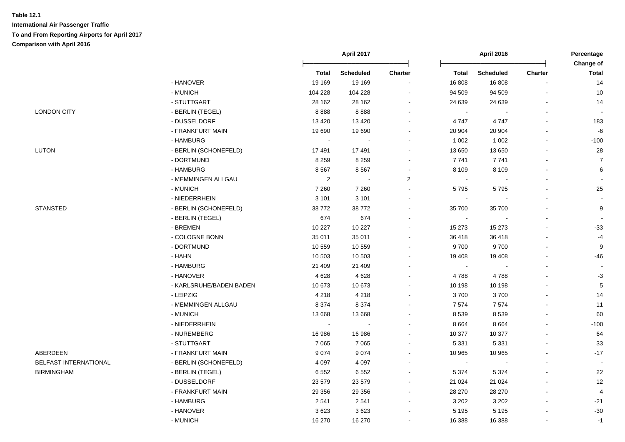|                       |                         |                | April 2017       |                          | April 2016                  |                          | Percentage               |                    |
|-----------------------|-------------------------|----------------|------------------|--------------------------|-----------------------------|--------------------------|--------------------------|--------------------|
|                       |                         | <b>Total</b>   | <b>Scheduled</b> | <b>Charter</b>           | <b>Total</b>                | <b>Scheduled</b>         | <b>Charter</b>           | Change of<br>Total |
|                       | - HANOVER               | 19 169         | 19 169           | $\blacksquare$           | 16 808                      | 16 808                   |                          | 14                 |
|                       | - MUNICH                | 104 228        | 104 228          |                          | 94 509                      | 94 509                   |                          | 10                 |
|                       | - STUTTGART             | 28 162         | 28 162           | $\ddot{\phantom{a}}$     | 24 639                      | 24 639                   |                          | 14                 |
| <b>LONDON CITY</b>    | - BERLIN (TEGEL)        | 8888           | 8888             |                          | $\sim$                      |                          | $\overline{a}$           |                    |
|                       | - DUSSELDORF            | 13 4 20        | 13 4 20          |                          | 4747                        | 4747                     | $\blacksquare$           | 183                |
|                       | - FRANKFURT MAIN        | 19 690         | 19 690           | $\overline{\phantom{a}}$ | 20 904                      | 20 904                   | $\blacksquare$           | $-6$               |
|                       | - HAMBURG               | $\blacksquare$ | $\blacksquare$   | $\blacksquare$           | 1 0 0 2                     | 1 0 0 2                  | $\overline{\phantom{a}}$ | $-100$             |
| <b>LUTON</b>          | - BERLIN (SCHONEFELD)   | 17491          | 17491            | $\blacksquare$           | 13 650                      | 13 650                   | $\blacksquare$           | 28                 |
|                       | - DORTMUND              | 8 2 5 9        | 8 2 5 9          | $\blacksquare$           | 7741                        | 7741                     | $\blacksquare$           | $\overline{7}$     |
|                       | - HAMBURG               | 8567           | 8567             | $\blacksquare$           | 8 1 0 9                     | 8 1 0 9                  | $\blacksquare$           | 6                  |
|                       | - MEMMINGEN ALLGAU      | $\overline{2}$ |                  | $\overline{2}$           | $\blacksquare$              |                          | $\blacksquare$           |                    |
|                       | - MUNICH                | 7 2 6 0        | 7 2 6 0          | ÷,                       | 5795                        | 5795                     | $\blacksquare$           | 25                 |
|                       | - NIEDERRHEIN           | 3 1 0 1        | 3 1 0 1          | $\overline{\phantom{a}}$ | $\blacksquare$              |                          | L.                       |                    |
| <b>STANSTED</b>       | - BERLIN (SCHONEFELD)   | 38772          | 38772            | $\ddot{\phantom{0}}$     | 35 700                      | 35 700                   | $\blacksquare$           | 9                  |
|                       | - BERLIN (TEGEL)        | 674            | 674              | $\overline{a}$           | $\sim$                      |                          |                          |                    |
|                       | - BREMEN                | 10 227         | 10 227           | $\overline{\phantom{a}}$ | 15 273                      | 15 273                   | $\blacksquare$           | $-33$              |
|                       | - COLOGNE BONN          | 35 011         | 35 011           |                          | 36 418                      | 36 418                   |                          | $-4$               |
|                       | - DORTMUND              | 10 559         | 10 559           | $\overline{a}$           | 9700                        | 9700                     | L,                       | 9                  |
|                       | - HAHN                  | 10 503         | 10 503           | $\overline{\phantom{a}}$ | 19 408                      | 19 408                   |                          | $-46$              |
|                       | - HAMBURG               | 21 409         | 21 409           | $\overline{\phantom{a}}$ | $\mathcal{L}_{\mathcal{A}}$ |                          | $\blacksquare$           |                    |
|                       | - HANOVER               | 4628           | 4628             | $\sim$                   | 4788                        | 4788                     |                          | $-3$               |
|                       | - KARLSRUHE/BADEN BADEN | 10 673         | 10 673           | $\overline{\phantom{a}}$ | 10 198                      | 10 198                   |                          | $\,$ 5 $\,$        |
|                       | - LEIPZIG               | 4 2 1 8        | 4 2 1 8          | $\overline{\phantom{a}}$ | 3700                        | 3700                     | $\overline{a}$           | 14                 |
|                       | - MEMMINGEN ALLGAU      | 8 3 7 4        | 8 3 7 4          | $\sim$                   | 7574                        | 7574                     | $\blacksquare$           | 11                 |
|                       | - MUNICH                | 13 668         | 13 668           |                          | 8 5 3 9                     | 8539                     | $\overline{a}$           | 60                 |
|                       | - NIEDERRHEIN           | $\sim$         | $\sim$           | $\blacksquare$           | 8 6 6 4                     | 8 6 6 4                  | $\overline{a}$           | $-100$             |
|                       | - NUREMBERG             | 16 986         | 16 986           |                          | 10 377                      | 10 377                   |                          | 64                 |
|                       | - STUTTGART             | 7 0 6 5        | 7 0 6 5          | $\blacksquare$           | 5 3 3 1                     | 5 3 3 1                  | L,                       | 33                 |
| ABERDEEN              | - FRANKFURT MAIN        | 9 0 7 4        | 9074             | $\ddot{\phantom{a}}$     | 10 965                      | 10 965                   | $\overline{a}$           | $-17$              |
| BELFAST INTERNATIONAL | - BERLIN (SCHONEFELD)   | 4 0 9 7        | 4 0 9 7          | $\overline{a}$           | $\mathcal{L}_{\mathcal{A}}$ | $\overline{\phantom{a}}$ | $\overline{a}$           | $\blacksquare$     |
| <b>BIRMINGHAM</b>     | - BERLIN (TEGEL)        | 6552           | 6552             | $\overline{a}$           | 5 3 7 4                     | 5 3 7 4                  | $\blacksquare$           | 22                 |
|                       | - DUSSELDORF            | 23 579         | 23 579           | $\blacksquare$           | 21 0 24                     | 21 0 24                  | $\overline{a}$           | 12                 |
|                       | - FRANKFURT MAIN        | 29 35 6        | 29 35 6          | $\sim$                   | 28 270                      | 28 270                   | $\mathbf{r}$             | 4                  |
|                       | - HAMBURG               | 2541           | 2541             | $\blacksquare$           | 3 2 0 2                     | 3 2 0 2                  | L,                       | $-21$              |
|                       | - HANOVER               | 3623           | 3623             |                          | 5 1 9 5                     | 5 1 9 5                  |                          | $-30$              |
|                       | - MUNICH                | 16 270         | 16 270           | $\overline{\phantom{a}}$ | 16 388                      | 16 388                   | L,                       | $-1$               |
|                       |                         |                |                  |                          |                             |                          |                          |                    |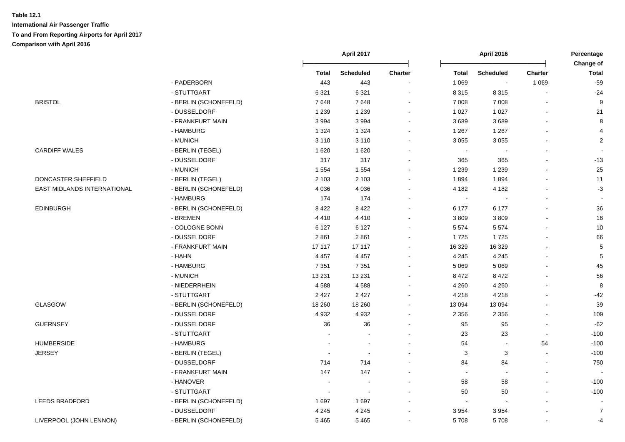|                             |                       |              | April 2017               |         |                | <b>April 2016</b>        |                | Percentage<br>Change of |
|-----------------------------|-----------------------|--------------|--------------------------|---------|----------------|--------------------------|----------------|-------------------------|
|                             |                       | <b>Total</b> | <b>Scheduled</b>         | Charter | <b>Total</b>   | <b>Scheduled</b>         | <b>Charter</b> | <b>Total</b>            |
|                             | - PADERBORN           | 443          | 443                      |         | 1 0 6 9        | $\sim$                   | 1 0 6 9        | $-59$                   |
|                             | - STUTTGART           | 6 3 21       | 6 3 2 1                  |         | 8 3 1 5        | 8 3 1 5                  |                | $-24$                   |
| <b>BRISTOL</b>              | - BERLIN (SCHONEFELD) | 7648         | 7648                     |         | 7 0 0 8        | 7 0 0 8                  |                | 9                       |
|                             | - DUSSELDORF          | 1 2 3 9      | 1 2 3 9                  |         | 1 0 2 7        | 1 0 2 7                  |                | 21                      |
|                             | - FRANKFURT MAIN      | 3 9 9 4      | 3994                     |         | 3689           | 3689                     |                | 8                       |
|                             | - HAMBURG             | 1 3 2 4      | 1 3 2 4                  |         | 1 2 6 7        | 1 2 6 7                  |                | $\overline{4}$          |
|                             | - MUNICH              | 3 1 1 0      | 3 1 1 0                  |         | 3 0 5 5        | 3 0 5 5                  |                | $\sqrt{2}$              |
| <b>CARDIFF WALES</b>        | - BERLIN (TEGEL)      | 1 6 2 0      | 1 6 2 0                  |         |                |                          |                |                         |
|                             | - DUSSELDORF          | 317          | 317                      |         | 365            | 365                      |                | $-13$                   |
|                             | - MUNICH              | 1 5 5 4      | 1 5 5 4                  |         | 1 2 3 9        | 1 2 3 9                  |                | 25                      |
| DONCASTER SHEFFIELD         | - BERLIN (TEGEL)      | 2 1 0 3      | 2 1 0 3                  |         | 1894           | 1894                     |                | 11                      |
| EAST MIDLANDS INTERNATIONAL | - BERLIN (SCHONEFELD) | 4 0 3 6      | 4 0 3 6                  |         | 4 182          | 4 1 8 2                  |                | $-3$                    |
|                             | - HAMBURG             | 174          | 174                      |         |                |                          |                |                         |
| <b>EDINBURGH</b>            | - BERLIN (SCHONEFELD) | 8 4 2 2      | 8 4 2 2                  |         | 6 177          | 6 177                    |                | 36                      |
|                             | - BREMEN              | 4410         | 4410                     |         | 3809           | 3809                     |                | 16                      |
|                             | - COLOGNE BONN        | 6 1 2 7      | 6 1 2 7                  |         | 5 5 7 4        | 5 5 7 4                  |                | 10                      |
|                             | - DUSSELDORF          | 2861         | 2861                     |         | 1725           | 1725                     |                | 66                      |
|                             | - FRANKFURT MAIN      | 17 117       | 17 117                   |         | 16 329         | 16 3 29                  |                | 5                       |
|                             | - HAHN                | 4 4 5 7      | 4 4 5 7                  |         | 4 2 4 5        | 4 2 4 5                  |                | 5                       |
|                             | - HAMBURG             | 7 3 5 1      | 7 3 5 1                  |         | 5 0 6 9        | 5 0 6 9                  |                | 45                      |
|                             | - MUNICH              | 13 2 31      | 13 2 31                  |         | 8 4 7 2        | 8 4 7 2                  |                | 56                      |
|                             | - NIEDERRHEIN         | 4588         | 4588                     |         | 4 2 6 0        | 4 2 6 0                  |                | 8                       |
|                             | - STUTTGART           | 2 4 2 7      | 2 4 2 7                  |         | 4 2 1 8        | 4 2 1 8                  | $\blacksquare$ | $-42$                   |
| <b>GLASGOW</b>              | - BERLIN (SCHONEFELD) | 18 260       | 18 260                   |         | 13 094         | 13 094                   |                | 39                      |
|                             | - DUSSELDORF          | 4 9 3 2      | 4932                     |         | 2 3 5 6        | 2 3 5 6                  |                | 109                     |
| <b>GUERNSEY</b>             | - DUSSELDORF          | 36           | 36                       |         | 95             | 95                       |                | $-62$                   |
|                             | - STUTTGART           |              |                          |         | 23             | 23                       |                | $-100$                  |
| <b>HUMBERSIDE</b>           | - HAMBURG             |              |                          |         | 54             | $\blacksquare$           | 54             | $-100$                  |
| <b>JERSEY</b>               | - BERLIN (TEGEL)      |              |                          |         | 3              | 3                        | $\sim$         | $-100$                  |
|                             | - DUSSELDORF          | 714          | 714                      |         | 84             | 84                       | $\blacksquare$ | 750                     |
|                             | - FRANKFURT MAIN      | 147          | 147                      |         | $\blacksquare$ | $\overline{\phantom{a}}$ | $\overline{a}$ |                         |
|                             | - HANOVER             |              |                          |         | 58             | 58                       |                | $-100$                  |
|                             | - STUTTGART           |              | $\overline{\phantom{a}}$ |         | 50             | 50                       |                | $-100$                  |
| <b>LEEDS BRADFORD</b>       | - BERLIN (SCHONEFELD) | 1697         | 1697                     |         |                |                          |                |                         |
|                             | - DUSSELDORF          | 4 2 4 5      | 4 2 4 5                  |         | 3 9 5 4        | 3 9 5 4                  |                | $\overline{7}$          |
| LIVERPOOL (JOHN LENNON)     | - BERLIN (SCHONEFELD) | 5465         | 5 4 6 5                  |         | 5708           | 5708                     |                | $-4$                    |
|                             |                       |              |                          |         |                |                          |                |                         |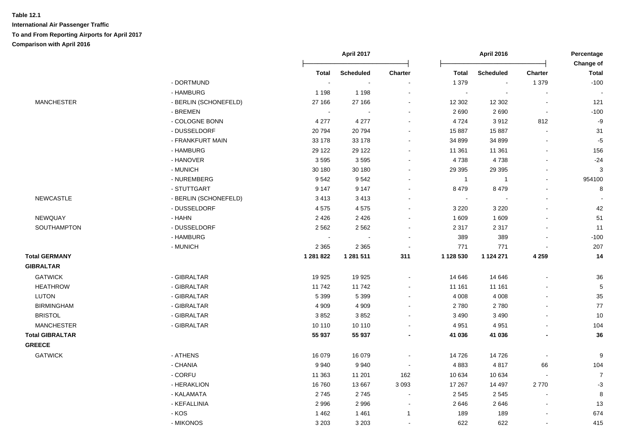|                        |                       |                            | April 2017 |                          |              | <b>April 2016</b> |                          | Percentage<br>Change of |
|------------------------|-----------------------|----------------------------|------------|--------------------------|--------------|-------------------|--------------------------|-------------------------|
|                        |                       | <b>Total</b>               | Scheduled  | Charter                  | <b>Total</b> | <b>Scheduled</b>  | Charter                  | <b>Total</b>            |
|                        | - DORTMUND            | $\sim$                     |            |                          | 1 3 7 9      |                   | 1 3 7 9                  | $-100$                  |
|                        | - HAMBURG             | 1 1 9 8                    | 1 1 9 8    |                          | ÷,           |                   |                          |                         |
| <b>MANCHESTER</b>      | - BERLIN (SCHONEFELD) | 27 166                     | 27 166     | ÷.                       | 12 302       | 12 30 2           | $\overline{\phantom{a}}$ | 121                     |
|                        | - BREMEN              | $\sim$                     | $\sim$     | $\sim$                   | 2690         | 2690              | $\blacksquare$           | $-100$                  |
|                        | - COLOGNE BONN        | 4 2 7 7                    | 4 2 7 7    | $\sim$                   | 4724         | 3912              | 812                      | $-9$                    |
|                        | - DUSSELDORF          | 20794                      | 20794      |                          | 15 887       | 15 887            |                          | 31                      |
|                        | - FRANKFURT MAIN      | 33 178                     | 33 178     | $\sim$                   | 34 899       | 34 899            |                          | $-5$                    |
|                        | - HAMBURG             | 29 1 22                    | 29 122     |                          | 11 361       | 11 361            |                          | 156                     |
|                        | - HANOVER             | 3595                       | 3595       |                          | 4738         | 4738              |                          | $-24$                   |
|                        | - MUNICH              | 30 180                     | 30 180     | $\overline{\phantom{a}}$ | 29 3 95      | 29 3 95           |                          | $\mathbf{3}$            |
|                        | - NUREMBERG           | 9542                       | 9542       | $\sim$                   | $\mathbf{1}$ | -1                | $\blacksquare$           | 954100                  |
|                        | - STUTTGART           | 9 1 4 7                    | 9 1 4 7    | $\overline{\phantom{a}}$ | 8 4 7 9      | 8 4 7 9           |                          | 8                       |
| NEWCASTLE              | - BERLIN (SCHONEFELD) | 3413                       | 3413       |                          | $\sim$       |                   |                          |                         |
|                        | - DUSSELDORF          | 4575                       | 4575       |                          | 3 2 2 0      | 3 2 2 0           |                          | 42                      |
| NEWQUAY                | - HAHN                | 2 4 2 6                    | 2 4 2 6    |                          | 1 609        | 1 609             |                          | 51                      |
| SOUTHAMPTON            | - DUSSELDORF          | 2 5 6 2                    | 2 5 6 2    | $\sim$                   | 2 3 1 7      | 2 3 1 7           |                          | 11                      |
|                        | - HAMBURG             | $\mathcal{L}_{\mathbf{r}}$ | $\sim$     | $\sim$                   | 389          | 389               |                          | $-100$                  |
|                        | - MUNICH              | 2 3 6 5                    | 2 3 6 5    | $\sim$                   | 771          | 771               |                          | 207                     |
| <b>Total GERMANY</b>   |                       | 1 281 822                  | 1 281 511  | 311                      | 1 128 530    | 1 124 271         | 4 2 5 9                  | $14$                    |
| <b>GIBRALTAR</b>       |                       |                            |            |                          |              |                   |                          |                         |
| <b>GATWICK</b>         | - GIBRALTAR           | 19 9 25                    | 19 9 25    |                          | 14 646       | 14 646            |                          | 36                      |
| <b>HEATHROW</b>        | - GIBRALTAR           | 11742                      | 11742      |                          | 11 161       | 11 161            |                          | $\overline{5}$          |
| LUTON                  | - GIBRALTAR           | 5 3 9 9                    | 5 3 9 9    | $\sim$                   | 4 0 0 8      | 4 0 0 8           |                          | 35                      |
| <b>BIRMINGHAM</b>      | - GIBRALTAR           | 4 9 0 9                    | 4 9 0 9    |                          | 2780         | 2780              |                          | $77\,$                  |
| <b>BRISTOL</b>         | - GIBRALTAR           | 3852                       | 3852       |                          | 3 4 9 0      | 3 4 9 0           |                          | $10$                    |
| <b>MANCHESTER</b>      | - GIBRALTAR           | 10 110                     | 10 110     |                          | 4 9 5 1      | 4 9 5 1           |                          | 104                     |
| <b>Total GIBRALTAR</b> |                       | 55 937                     | 55 937     |                          | 41 036       | 41 036            |                          | 36                      |
| <b>GREECE</b>          |                       |                            |            |                          |              |                   |                          |                         |
| <b>GATWICK</b>         | - ATHENS              | 16 079                     | 16 079     |                          | 14 726       | 14726             | $\overline{\phantom{a}}$ | 9                       |
|                        | - CHANIA              | 9940                       | 9940       | $\overline{\phantom{a}}$ | 4883         | 4817              | 66                       | 104                     |
|                        | - CORFU               | 11 363                     | 11 201     | 162                      | 10 634       | 10 634            |                          | $\overline{7}$          |
|                        | - HERAKLION           | 16760                      | 13 667     | 3 0 9 3                  | 17 267       | 14 497            | 2770                     | $-3$                    |
|                        | - KALAMATA            | 2745                       | 2745       |                          | 2 5 4 5      | 2545              |                          | 8                       |
|                        | - KEFALLINIA          | 2996                       | 2996       |                          | 2646         | 2646              |                          | 13                      |
|                        | - KOS                 | 1462                       | 1 4 6 1    | $\overline{1}$           | 189          | 189               |                          | 674                     |
|                        | - MIKONOS             | 3 2 0 3                    | 3 2 0 3    | $\sim$                   | 622          | 622               |                          | 415                     |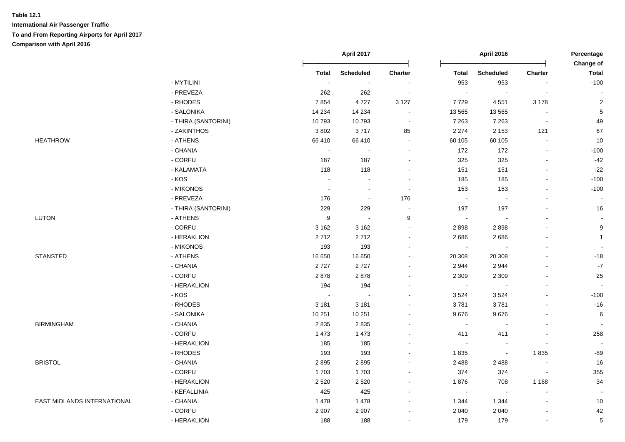|                             |                     |                  | April 2017<br><b>April 2016</b> |                          |              | Percentage<br>Change of |                          |                          |
|-----------------------------|---------------------|------------------|---------------------------------|--------------------------|--------------|-------------------------|--------------------------|--------------------------|
|                             |                     | <b>Total</b>     | <b>Scheduled</b>                | Charter                  | <b>Total</b> | <b>Scheduled</b>        | Charter                  | <b>Total</b>             |
|                             | - MYTILINI          | $\sim$           | $\sim$                          | ÷,                       | 953          | 953                     |                          | $-100$                   |
|                             | - PREVEZA           | 262              | 262                             | $\sim$                   | $\sim$       | $\Delta$                | $\sim$                   |                          |
|                             | - RHODES            | 7854             | 4727                            | 3 1 2 7                  | 7729         | 4 5 5 1                 | 3 1 7 8                  | $\overline{c}$           |
|                             | - SALONIKA          | 14 2 34          | 14 2 34                         | $\blacksquare$           | 13 5 65      | 13 5 65                 | $\overline{\phantom{a}}$ | $\sqrt{5}$               |
|                             | - THIRA (SANTORINI) | 10793            | 10793                           | $\blacksquare$           | 7 2 6 3      | 7 2 6 3                 | $\blacksquare$           | 49                       |
|                             | - ZAKINTHOS         | 3802             | 3717                            | 85                       | 2 2 7 4      | 2 1 5 3                 | 121                      | 67                       |
| <b>HEATHROW</b>             | - ATHENS            | 66 410           | 66 410                          | $\blacksquare$           | 60 105       | 60 105                  | $\blacksquare$           | 10                       |
|                             | - CHANIA            | $\blacksquare$   | $\sim$                          | $\overline{\phantom{a}}$ | 172          | 172                     |                          | $-100$                   |
|                             | - CORFU             | 187              | 187                             | $\blacksquare$           | 325          | 325                     | $\overline{\phantom{a}}$ | $-42$                    |
|                             | - KALAMATA          | 118              | 118                             | $\blacksquare$           | 151          | 151                     | $\blacksquare$           | $-22$                    |
|                             | $-KOS$              | $\sim$           | $\sim$                          | $\blacksquare$           | 185          | 185                     |                          | $-100$                   |
|                             | - MIKONOS           | $\sim$           | $\blacksquare$                  | $\sim$                   | 153          | 153                     |                          | $-100$                   |
|                             | - PREVEZA           | 176              | $\sim$                          | 176                      | $\sim$       |                         |                          |                          |
|                             | - THIRA (SANTORINI) | 229              | 229                             |                          | 197          | 197                     |                          | 16                       |
| <b>LUTON</b>                | - ATHENS            | $\boldsymbol{9}$ | $\sim$                          | 9                        | $\sim$       |                         |                          |                          |
|                             | - CORFU             | 3 1 6 2          | 3 1 6 2                         | $\blacksquare$           | 2898         | 2898                    |                          | $\boldsymbol{9}$         |
|                             | - HERAKLION         | 2712             | 2712                            | $\overline{a}$           | 2686         | 2686                    |                          | $\mathbf{1}$             |
|                             | - MIKONOS           | 193              | 193                             | $\blacksquare$           | $\sim$       | $\blacksquare$          |                          |                          |
| <b>STANSTED</b>             | - ATHENS            | 16 650           | 16 650                          | $\sim$                   | 20 30 8      | 20 308                  |                          | $-18$                    |
|                             | - CHANIA            | 2727             | 2727                            | $\blacksquare$           | 2 9 4 4      | 2944                    |                          | $\textbf{-7}$            |
|                             | - CORFU             | 2878             | 2878                            | $\blacksquare$           | 2 3 0 9      | 2 3 0 9                 |                          | 25                       |
|                             | - HERAKLION         | 194              | 194                             | $\blacksquare$           | $\sim$       |                         |                          | $\blacksquare$           |
|                             | - KOS               | $\sim$           | $\sim$                          | $\blacksquare$           | 3524         | 3524                    | $\overline{\phantom{a}}$ | $-100$                   |
|                             | - RHODES            | 3 1 8 1          | 3 1 8 1                         | $\blacksquare$           | 3781         | 3781                    |                          | $-16$                    |
|                             | - SALONIKA          | 10 251           | 10 251                          | $\overline{a}$           | 9676         | 9676                    |                          | $\,6$                    |
| <b>BIRMINGHAM</b>           | - CHANIA            | 2835             | 2835                            |                          | $\sim$       |                         |                          |                          |
|                             | - CORFU             | 1 4 7 3          | 1 4 7 3                         |                          | 411          | 411                     |                          | 258                      |
|                             | - HERAKLION         | 185              | 185                             |                          | $\sim$       | $\blacksquare$          |                          | $\overline{\phantom{a}}$ |
|                             | - RHODES            | 193              | 193                             | $\blacksquare$           | 1835         | $\sim$                  | 1835                     | $-89$                    |
| <b>BRISTOL</b>              | - CHANIA            | 2895             | 2895                            | $\blacksquare$           | 2 4 8 8      | 2 4 8 8                 | $\overline{\phantom{a}}$ | 16                       |
|                             | - CORFU             | 1703             | 1703                            | $\blacksquare$           | 374          | 374                     | $\sim$                   | 355                      |
|                             | - HERAKLION         | 2 5 2 0          | 2520                            | $\blacksquare$           | 1876         | 708                     | 1 1 6 8                  | 34                       |
|                             | - KEFALLINIA        | 425              | 425                             | $\blacksquare$           | $\sim$       | $\blacksquare$          | $\blacksquare$           |                          |
| EAST MIDLANDS INTERNATIONAL | - CHANIA            | 1 4 7 8          | 1 4 7 8                         | $\blacksquare$           | 1 3 4 4      | 1 3 4 4                 |                          | 10                       |
|                             | - CORFU             | 2 9 0 7          | 2 9 0 7                         | $\blacksquare$           | 2 0 4 0      | 2 0 4 0                 |                          | 42                       |
|                             | - HERAKLION         | 188              | 188                             | $\blacksquare$           | 179          | 179                     | $\blacksquare$           | $\sqrt{5}$               |
|                             |                     |                  |                                 |                          |              |                         |                          |                          |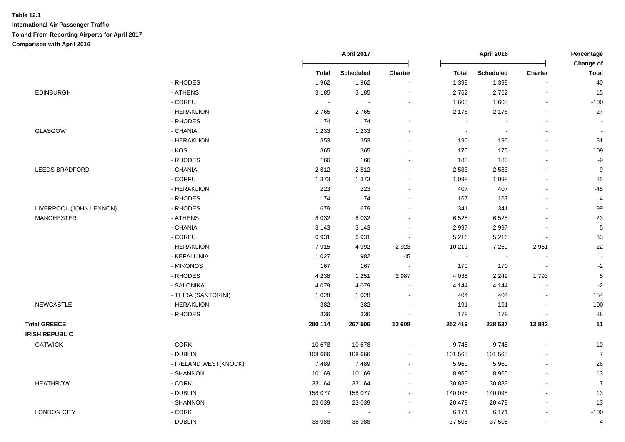|                         |                       |              | April 2017       |                          | <b>April 2016</b>        |                  |                | Percentage                |  |
|-------------------------|-----------------------|--------------|------------------|--------------------------|--------------------------|------------------|----------------|---------------------------|--|
|                         |                       | <b>Total</b> | <b>Scheduled</b> | Charter                  | <b>Total</b>             | <b>Scheduled</b> | <b>Charter</b> | Change of<br><b>Total</b> |  |
|                         | - RHODES              | 1962         | 1962             | $\blacksquare$           | 1 3 9 8                  | 1 3 9 8          | L.             | 40                        |  |
| <b>EDINBURGH</b>        | - ATHENS              | 3 1 8 5      | 3 1 8 5          | $\blacksquare$           | 2762                     | 2762             | $\blacksquare$ | 15                        |  |
|                         | - CORFU               | $\sim$       |                  |                          | 1 605                    | 1 605            | $\blacksquare$ | $-100$                    |  |
|                         | - HERAKLION           | 2765         | 2765             |                          | 2 176                    | 2 1 7 6          |                | 27                        |  |
|                         | - RHODES              | 174          | 174              |                          | $\overline{\phantom{a}}$ |                  |                |                           |  |
| GLASGOW                 | - CHANIA              | 1 2 3 3      | 1 2 3 3          |                          | $\sim$                   | $\overline{a}$   | ÷.             | $\overline{\phantom{a}}$  |  |
|                         | - HERAKLION           | 353          | 353              |                          | 195                      | 195              | $\overline{a}$ | 81                        |  |
|                         | - KOS                 | 365          | 365              |                          | 175                      | 175              | $\blacksquare$ | 109                       |  |
|                         | - RHODES              | 166          | 166              | $\sim$                   | 183                      | 183              | L,             | $-9$                      |  |
| <b>LEEDS BRADFORD</b>   | - CHANIA              | 2812         | 2812             |                          | 2 5 8 3                  | 2 5 8 3          |                | $\boldsymbol{9}$          |  |
|                         | - CORFU               | 1 3 7 3      | 1 3 7 3          |                          | 1 0 9 8                  | 1 0 9 8          | ÷.             | 25                        |  |
|                         | - HERAKLION           | 223          | 223              |                          | 407                      | 407              | $\blacksquare$ | $-45$                     |  |
|                         | - RHODES              | 174          | 174              |                          | 167                      | 167              | $\blacksquare$ | $\overline{4}$            |  |
| LIVERPOOL (JOHN LENNON) | - RHODES              | 679          | 679              |                          | 341                      | 341              |                | 99                        |  |
| <b>MANCHESTER</b>       | - ATHENS              | 8 0 3 2      | 8 0 3 2          |                          | 6 5 25                   | 6525             |                | 23                        |  |
|                         | - CHANIA              | 3 1 4 3      | 3 1 4 3          |                          | 2 9 9 7                  | 2997             |                | $\overline{5}$            |  |
|                         | - CORFU               | 6931         | 6931             |                          | 5 2 1 6                  | 5 2 1 6          | $\overline{a}$ | 33                        |  |
|                         | - HERAKLION           | 7915         | 4 9 9 2          | 2923                     | 10 211                   | 7 2 6 0          | 2951           | $-22$                     |  |
|                         | - KEFALLINIA          | 1 0 2 7      | 982              | 45                       | $\blacksquare$           | $\blacksquare$   |                | $\blacksquare$            |  |
|                         | - MIKONOS             | 167          | 167              |                          | 170                      | 170              | $\blacksquare$ | $-2$                      |  |
|                         | - RHODES              | 4 2 3 8      | 1 2 5 1          | 2 9 8 7                  | 4 0 3 5                  | 2 2 4 2          | 1793           | $\mathbf 5$               |  |
|                         | - SALONIKA            | 4 0 7 9      | 4 0 7 9          |                          | 4 1 4 4                  | 4 1 4 4          | L.             | $-2$                      |  |
|                         | - THIRA (SANTORINI)   | 1 0 28       | 1 0 28           |                          | 404                      | 404              |                | 154                       |  |
| <b>NEWCASTLE</b>        | - HERAKLION           | 382          | 382              | $\overline{\phantom{a}}$ | 191                      | 191              | $\blacksquare$ | 100                       |  |
|                         | - RHODES              | 336          | 336              |                          | 179                      | 179              |                | 88                        |  |
| <b>Total GREECE</b>     |                       | 280 114      | 267 506          | 12 608                   | 252 419                  | 238 537          | 13882          | 11                        |  |
| <b>IRISH REPUBLIC</b>   |                       |              |                  |                          |                          |                  |                |                           |  |
| <b>GATWICK</b>          | $-CORK$               | 10 678       | 10 678           |                          | 9748                     | 9748             |                | 10                        |  |
|                         | - DUBLIN              | 108 666      | 108 666          |                          | 101 565                  | 101 565          | ÷.             | $\overline{7}$            |  |
|                         | - IRELAND WEST(KNOCK) | 7489         | 7489             |                          | 5 9 6 0                  | 5 9 6 0          | $\blacksquare$ | 26                        |  |
|                         | - SHANNON             | 10 169       | 10 169           |                          | 8 9 6 5                  | 8 9 6 5          | $\blacksquare$ | 13                        |  |
| <b>HEATHROW</b>         | - CORK                | 33 164       | 33 164           |                          | 30 883                   | 30 883           | $\blacksquare$ | $\boldsymbol{7}$          |  |
|                         | - DUBLIN              | 158 077      | 158 077          | $\sim$                   | 140 098                  | 140 098          |                | 13                        |  |
|                         | - SHANNON             | 23 0 39      | 23 039           |                          | 20 479                   | 20 479           | L,             | 13                        |  |
| <b>LONDON CITY</b>      | - CORK                |              |                  |                          | 6 171                    | 6 171            | $\blacksquare$ | $-100$                    |  |
|                         | - DUBLIN              | 38 988       | 38 988           |                          | 37 508                   | 37 508           | $\overline{a}$ | 4                         |  |
|                         |                       |              |                  |                          |                          |                  |                |                           |  |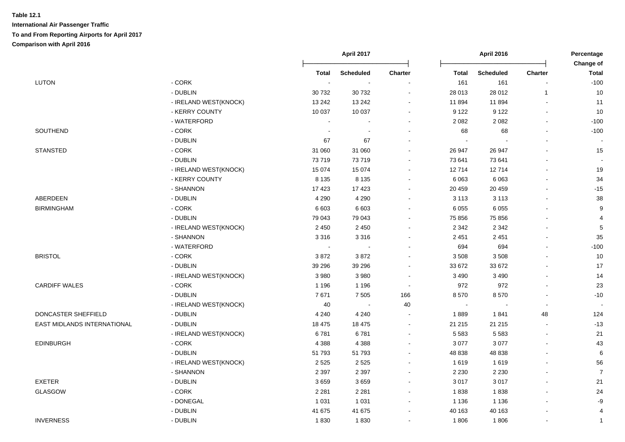|                             |                       |         | April 2017<br><b>April 2016</b> |                          | Percentage<br>Change of |                  |                          |                |
|-----------------------------|-----------------------|---------|---------------------------------|--------------------------|-------------------------|------------------|--------------------------|----------------|
|                             |                       | Total   | <b>Scheduled</b>                | <b>Charter</b>           | <b>Total</b>            | <b>Scheduled</b> | Charter                  | <b>Total</b>   |
| <b>LUTON</b>                | - CORK                |         |                                 |                          | 161                     | 161              |                          | $-100$         |
|                             | - DUBLIN              | 30732   | 30 732                          | $\blacksquare$           | 28 013                  | 28 012           | $\mathbf{1}$             | 10             |
|                             | - IRELAND WEST(KNOCK) | 13 24 2 | 13 24 2                         | $\sim$                   | 11 894                  | 11894            |                          | 11             |
|                             | - KERRY COUNTY        | 10 037  | 10 037                          |                          | 9 1 2 2                 | 9 1 2 2          |                          | 10             |
|                             | - WATERFORD           |         |                                 | $\blacksquare$           | 2 0 8 2                 | 2 0 8 2          |                          | $-100$         |
| SOUTHEND                    | - CORK                |         |                                 | $\blacksquare$           | 68                      | 68               |                          | $-100$         |
|                             | - DUBLIN              | 67      | 67                              | $\blacksquare$           | $\sim$                  |                  |                          |                |
| <b>STANSTED</b>             | - CORK                | 31 060  | 31 060                          | $\blacksquare$           | 26 947                  | 26 947           |                          | 15             |
|                             | - DUBLIN              | 73719   | 73719                           | $\blacksquare$           | 73 641                  | 73 641           |                          |                |
|                             | - IRELAND WEST(KNOCK) | 15 0 74 | 15 0 74                         | $\sim$                   | 12714                   | 12714            |                          | 19             |
|                             | - KERRY COUNTY        | 8 1 3 5 | 8 1 3 5                         | $\blacksquare$           | 6 0 63                  | 6 0 6 3          |                          | 34             |
|                             | - SHANNON             | 17 4 23 | 17423                           | $\blacksquare$           | 20 459                  | 20 459           |                          | $-15$          |
| ABERDEEN                    | - DUBLIN              | 4 2 9 0 | 4 2 9 0                         | $\blacksquare$           | 3 1 1 3                 | 3 1 1 3          | $\sim$                   | 38             |
| <b>BIRMINGHAM</b>           | $-CORK$               | 6 603   | 6 603                           | $\blacksquare$           | 6 0 5 5                 | 6 0 5 5          |                          | 9              |
|                             | - DUBLIN              | 79 043  | 79 043                          | $\sim$                   | 75 856                  | 75 856           |                          | 4              |
|                             | - IRELAND WEST(KNOCK) | 2 4 5 0 | 2 4 5 0                         |                          | 2 3 4 2                 | 2 3 4 2          |                          | 5              |
|                             | - SHANNON             | 3 3 1 6 | 3 3 1 6                         |                          | 2 4 5 1                 | 2 4 5 1          |                          | 35             |
|                             | - WATERFORD           | $\sim$  |                                 | $\sim$                   | 694                     | 694              |                          | $-100$         |
| <b>BRISTOL</b>              | - CORK                | 3872    | 3872                            | $\sim$                   | 3 5 0 8                 | 3508             |                          | 10             |
|                             | - DUBLIN              | 39 29 6 | 39 29 6                         | $\blacksquare$           | 33 672                  | 33 672           |                          | 17             |
|                             | - IRELAND WEST(KNOCK) | 3 9 8 0 | 3 9 8 0                         | $\blacksquare$           | 3 4 9 0                 | 3 4 9 0          |                          | 14             |
| <b>CARDIFF WALES</b>        | - CORK                | 1 1 9 6 | 1 1 9 6                         | $\overline{\phantom{a}}$ | 972                     | 972              |                          | 23             |
|                             | - DUBLIN              | 7671    | 7 5 0 5                         | 166                      | 8570                    | 8570             |                          | $-10$          |
|                             | - IRELAND WEST(KNOCK) | 40      | $\sim$                          | 40                       | $\tilde{\phantom{a}}$   |                  | $\overline{\phantom{a}}$ |                |
| DONCASTER SHEFFIELD         | - DUBLIN              | 4 2 4 0 | 4 2 4 0                         | $\sim$                   | 1889                    | 1841             | 48                       | 124            |
| EAST MIDLANDS INTERNATIONAL | - DUBLIN              | 18 475  | 18 4 75                         | $\blacksquare$           | 21 215                  | 21 215           |                          | $-13$          |
|                             | - IRELAND WEST(KNOCK) | 6781    | 6781                            | $\blacksquare$           | 5 5 8 3                 | 5 5 8 3          | $\sim$                   | 21             |
| <b>EDINBURGH</b>            | - CORK                | 4 3 8 8 | 4 3 8 8                         | ۰                        | 3 0 7 7                 | 3 0 7 7          |                          | 43             |
|                             | - DUBLIN              | 51 793  | 51 793                          |                          | 48 838                  | 48 838           |                          | 6              |
|                             | - IRELAND WEST(KNOCK) | 2 5 2 5 | 2525                            |                          | 1619                    | 1619             |                          | 56             |
|                             | - SHANNON             | 2 3 9 7 | 2 3 9 7                         | $\sim$                   | 2 2 3 0                 | 2 2 3 0          |                          | $\overline{7}$ |
| <b>EXETER</b>               | - DUBLIN              | 3659    | 3659                            | $\blacksquare$           | 3 0 1 7                 | 3017             |                          | 21             |
| <b>GLASGOW</b>              | - CORK                | 2 2 8 1 | 2 2 8 1                         | $\sim$                   | 1838                    | 1838             |                          | 24             |
|                             | - DONEGAL             | 1 0 3 1 | 1 0 3 1                         | $\blacksquare$           | 1 1 3 6                 | 1 1 3 6          |                          | -9             |
|                             | - DUBLIN              | 41 675  | 41 675                          | $\blacksquare$           | 40 163                  | 40 163           |                          | 4              |
| <b>INVERNESS</b>            | - DUBLIN              | 1830    | 1830                            | $\sim$                   | 1806                    | 1806             |                          | $\overline{1}$ |
|                             |                       |         |                                 |                          |                         |                  |                          |                |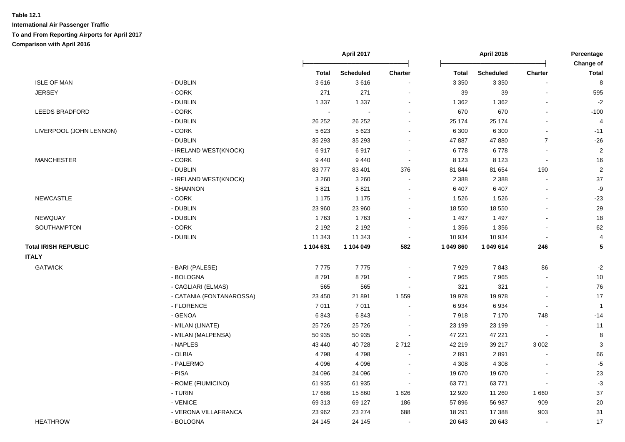|                             |                          |              | April 2017       |                          |              | April 2016       |                          | Percentage                |  |
|-----------------------------|--------------------------|--------------|------------------|--------------------------|--------------|------------------|--------------------------|---------------------------|--|
|                             |                          | <b>Total</b> | <b>Scheduled</b> | Charter                  | <b>Total</b> | <b>Scheduled</b> | Charter                  | Change of<br><b>Total</b> |  |
| <b>ISLE OF MAN</b>          | - DUBLIN                 | 3616         | 3616             |                          | 3 3 5 0      | 3 3 5 0          |                          | 8                         |  |
| <b>JERSEY</b>               | - CORK                   | 271          | 271              |                          | 39           | 39               | $\blacksquare$           | 595                       |  |
|                             | - DUBLIN                 | 1 3 3 7      | 1 3 3 7          |                          | 1 3 6 2      | 1 3 6 2          |                          | $-2$                      |  |
| <b>LEEDS BRADFORD</b>       | - CORK                   | $\sim$       | $\sim$           | ÷                        | 670          | 670              | $\overline{a}$           | $-100$                    |  |
|                             | - DUBLIN                 | 26 25 2      | 26 25 2          | $\blacksquare$           | 25 174       | 25 174           | $\overline{a}$           | 4                         |  |
| LIVERPOOL (JOHN LENNON)     | - CORK                   | 5 6 23       | 5 6 2 3          | $\blacksquare$           | 6 300        | 6 3 0 0          |                          | $-11$                     |  |
|                             | - DUBLIN                 | 35 293       | 35 293           | $\sim$                   | 47 887       | 47880            | $\overline{7}$           | $-26$                     |  |
|                             | - IRELAND WEST(KNOCK)    | 6917         | 6917             | $\sim$                   | 6778         | 6778             | $\sim$                   | $\overline{2}$            |  |
| <b>MANCHESTER</b>           | - CORK                   | 9 4 4 0      | 9 4 4 0          | $\sim$                   | 8 1 2 3      | 8 1 2 3          | $\overline{\phantom{a}}$ | 16                        |  |
|                             | - DUBLIN                 | 83777        | 83 401           | 376                      | 81 844       | 81 654           | 190                      | $\overline{2}$            |  |
|                             | - IRELAND WEST(KNOCK)    | 3 2 6 0      | 3 2 6 0          | $\sim$                   | 2 3 8 8      | 2 3 8 8          | $\blacksquare$           | 37                        |  |
|                             | - SHANNON                | 5821         | 5821             | $\overline{\phantom{a}}$ | 6 407        | 6 4 0 7          |                          | $-9$                      |  |
| <b>NEWCASTLE</b>            | - CORK                   | 1 1 7 5      | 1 1 7 5          |                          | 1526         | 1526             | ä,                       | $-23$                     |  |
|                             | - DUBLIN                 | 23 960       | 23 960           |                          | 18 550       | 18 550           |                          | 29                        |  |
| NEWQUAY                     | - DUBLIN                 | 1763         | 1763             |                          | 1 4 9 7      | 1 4 9 7          |                          | 18                        |  |
| SOUTHAMPTON                 | - CORK                   | 2 1 9 2      | 2 1 9 2          | $\blacksquare$           | 1 3 5 6      | 1 3 5 6          |                          | 62                        |  |
|                             | - DUBLIN                 | 11 343       | 11 343           | $\sim$                   | 10 934       | 10 934           | $\overline{a}$           | $\overline{4}$            |  |
| <b>Total IRISH REPUBLIC</b> |                          | 1 104 631    | 1 104 049        | 582                      | 1 049 860    | 1 049 614        | 246                      | 5                         |  |
| <b>ITALY</b>                |                          |              |                  |                          |              |                  |                          |                           |  |
| <b>GATWICK</b>              | - BARI (PALESE)          | 7775         | 7775             | $\sim$                   | 7929         | 7843             | 86                       | $-2$                      |  |
|                             | - BOLOGNA                | 8791         | 8791             | $\blacksquare$           | 7 9 6 5      | 7965             |                          | $10$                      |  |
|                             | - CAGLIARI (ELMAS)       | 565          | 565              | $\blacksquare$           | 321          | 321              | ä,                       | 76                        |  |
|                             | - CATANIA (FONTANAROSSA) | 23 450       | 21 891           | 1 5 5 9                  | 19 978       | 19 978           | $\sim$                   | 17                        |  |
|                             | - FLORENCE               | 7011         | 7011             |                          | 6934         | 6934             | $\blacksquare$           | $\overline{1}$            |  |
|                             | - GENOA                  | 6843         | 6843             |                          | 7918         | 7 1 7 0          | 748                      | $-14$                     |  |
|                             | - MILAN (LINATE)         | 25 7 26      | 25 7 26          |                          | 23 199       | 23 199           |                          | 11                        |  |
|                             | - MILAN (MALPENSA)       | 50 935       | 50 935           | $\overline{\phantom{a}}$ | 47 221       | 47 221           |                          | 8                         |  |
|                             | - NAPLES                 | 43 440       | 40728            | 2712                     | 42 219       | 39 217           | 3 0 0 2                  | 3                         |  |
|                             | - OLBIA                  | 4798         | 4798             |                          | 2891         | 2891             |                          | 66                        |  |
|                             | - PALERMO                | 4 0 9 6      | 4 0 9 6          |                          | 4 3 0 8      | 4 3 0 8          |                          | $-5$                      |  |
|                             | - PISA                   | 24 096       | 24 096           | $\overline{\phantom{a}}$ | 19670        | 19670            |                          | 23                        |  |
|                             | - ROME (FIUMICINO)       | 61 935       | 61 935           | $\sim$                   | 63 771       | 63771            | $\sim$                   | $-3$                      |  |
|                             | - TURIN                  | 17686        | 15 860           | 1826                     | 12 9 20      | 11 260           | 1660                     | 37                        |  |
|                             | - VENICE                 | 69 313       | 69 127           | 186                      | 57 896       | 56 987           | 909                      | $20\,$                    |  |
|                             | - VERONA VILLAFRANCA     | 23 962       | 23 274           | 688                      | 18 291       | 17 388           | 903                      | 31                        |  |
| <b>HEATHROW</b>             | - BOLOGNA                | 24 145       | 24 145           | $\sim$                   | 20 643       | 20 643           |                          | 17                        |  |
|                             |                          |              |                  |                          |              |                  |                          |                           |  |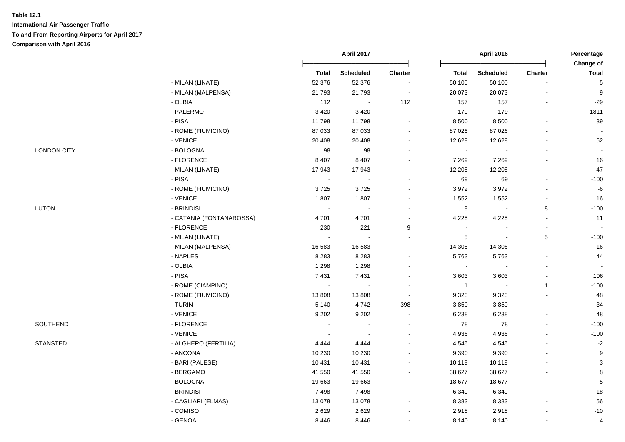|                    |                          |                          | April 2017       |         |                | April 2016       |                | Percentage                |
|--------------------|--------------------------|--------------------------|------------------|---------|----------------|------------------|----------------|---------------------------|
|                    |                          | <b>Total</b>             | <b>Scheduled</b> | Charter | <b>Total</b>   | <b>Scheduled</b> | <b>Charter</b> | Change of<br><b>Total</b> |
|                    | - MILAN (LINATE)         | 52 376                   | 52 376           |         | 50 100         | 50 100           | $\blacksquare$ | 5                         |
|                    | - MILAN (MALPENSA)       | 21 7 9 3                 | 21 793           |         | 20 073         | 20 073           |                | 9                         |
|                    | - OLBIA                  | 112                      |                  | 112     | 157            | 157              | $\blacksquare$ | $-29$                     |
|                    | - PALERMO                | 3 4 2 0                  | 3 4 2 0          |         | 179            | 179              | ä,             | 1811                      |
|                    | $-$ PISA                 | 11798                    | 11798            |         | 8 500          | 8 500            |                | 39                        |
|                    | - ROME (FIUMICINO)       | 87 033                   | 87 033           |         | 87 0 26        | 87 0 26          |                |                           |
|                    | - VENICE                 | 20 40 8                  | 20 40 8          |         | 12 6 28        | 12 6 28          | $\blacksquare$ | 62                        |
| <b>LONDON CITY</b> | - BOLOGNA                | 98                       | 98               |         | $\sim$         |                  | $\blacksquare$ |                           |
|                    | - FLORENCE               | 8 4 0 7                  | 8 4 0 7          |         | 7 2 6 9        | 7 2 6 9          | $\blacksquare$ | 16                        |
|                    | - MILAN (LINATE)         | 17943                    | 17943            | $\sim$  | 12 208         | 12 208           | ä,             | 47                        |
|                    | - PISA                   | $\sim$                   |                  |         | 69             | 69               | $\blacksquare$ | $-100$                    |
|                    | - ROME (FIUMICINO)       | 3725                     | 3725             |         | 3 9 7 2        | 3972             | $\blacksquare$ | $\textnormal{-}6$         |
|                    | - VENICE                 | 1807                     | 1807             |         | 1 5 5 2        | 1552             | $\blacksquare$ | 16                        |
| <b>LUTON</b>       | - BRINDISI               | $\sim$                   |                  |         | 8              |                  | 8              | $-100$                    |
|                    | - CATANIA (FONTANAROSSA) | 4701                     | 4701             |         | 4 2 2 5        | 4 2 2 5          | $\sim$         | 11                        |
|                    | - FLORENCE               | 230                      | 221              | 9       |                |                  | $\blacksquare$ |                           |
|                    | - MILAN (LINATE)         | $\overline{\phantom{a}}$ |                  |         | 5              |                  | 5              | $-100$                    |
|                    | - MILAN (MALPENSA)       | 16 583                   | 16 583           |         | 14 30 6        | 14 30 6          | $\sim$         | 16                        |
|                    | - NAPLES                 | 8 2 8 3                  | 8 2 8 3          |         | 5763           | 5763             |                | 44                        |
|                    | - OLBIA                  | 1 2 9 8                  | 1 2 9 8          |         | $\blacksquare$ |                  |                |                           |
|                    | - PISA                   | 7 4 31                   | 7431             |         | 3 603          | 3603             | $\sim$         | 106                       |
|                    | - ROME (CIAMPINO)        | $\sim$                   |                  |         | $\overline{1}$ |                  | $\mathbf{1}$   | $-100$                    |
|                    | - ROME (FIUMICINO)       | 13808                    | 13808            | $\sim$  | 9 3 2 3        | 9323             | $\blacksquare$ | 48                        |
|                    | - TURIN                  | 5 1 4 0                  | 4742             | 398     | 3850           | 3850             |                | 34                        |
|                    | - VENICE                 | 9 2 0 2                  | 9 2 0 2          | $\sim$  | 6 2 3 8        | 6 2 3 8          | ä,             | 48                        |
| SOUTHEND           | - FLORENCE               | $\sim$                   |                  |         | 78             | 78               | $\blacksquare$ | $-100$                    |
|                    | - VENICE                 |                          |                  |         | 4 9 3 6        | 4 9 3 6          |                | $-100$                    |
| <b>STANSTED</b>    | - ALGHERO (FERTILIA)     | 4 4 4 4                  | 4 4 4 4          |         | 4545           | 4545             |                | $-2$                      |
|                    | - ANCONA                 | 10 230                   | 10 230           |         | 9 3 9 0        | 9 3 9 0          | $\blacksquare$ | 9                         |
|                    | - BARI (PALESE)          | 10 4 31                  | 10 431           | $\sim$  | 10 119         | 10 119           | $\blacksquare$ | $\ensuremath{\mathsf{3}}$ |
|                    | - BERGAMO                | 41 550                   | 41 550           | $\sim$  | 38 627         | 38 627           | $\overline{a}$ | 8                         |
|                    | - BOLOGNA                | 19663                    | 19663            |         | 18 677         | 18 677           |                | $\,$ 5 $\,$               |
|                    | - BRINDISI               | 7498                     | 7498             |         | 6 3 4 9        | 6 3 4 9          |                | $18$                      |
|                    | - CAGLIARI (ELMAS)       | 13 0 78                  | 13 0 78          |         | 8 3 8 3        | 8 3 8 3          |                | 56                        |
|                    | - COMISO                 | 2629                     | 2629             |         | 2918           | 2918             |                | $-10$                     |
|                    | - GENOA                  | 8 4 4 6                  | 8 4 4 6          |         | 8 1 4 0        | 8 1 4 0          | $\blacksquare$ | $\overline{4}$            |
|                    |                          |                          |                  |         |                |                  |                |                           |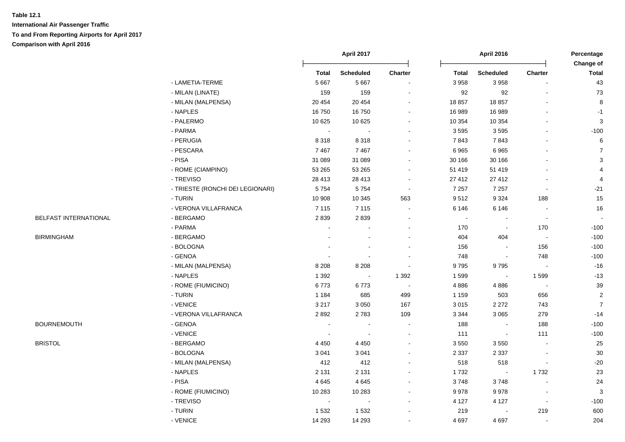|                       |                                  | April 2017   |                          |                |                | <b>April 2016</b> |                          | Percentage                |
|-----------------------|----------------------------------|--------------|--------------------------|----------------|----------------|-------------------|--------------------------|---------------------------|
|                       |                                  | <b>Total</b> | <b>Scheduled</b>         | Charter        | <b>Total</b>   | <b>Scheduled</b>  | Charter                  | Change of<br><b>Total</b> |
|                       | - LAMETIA-TERME                  | 5 6 6 7      | 5 6 6 7                  |                | 3 9 5 8        | 3 9 5 8           |                          | 43                        |
|                       | - MILAN (LINATE)                 | 159          | 159                      |                | 92             | 92                | $\blacksquare$           | 73                        |
|                       | - MILAN (MALPENSA)               | 20 454       | 20 454                   |                | 18 857         | 18857             |                          | 8                         |
|                       | - NAPLES                         | 16750        | 16750                    |                | 16 989         | 16 989            |                          | $-1$                      |
|                       | - PALERMO                        | 10 625       | 10 625                   |                | 10 354         | 10 354            | $\blacksquare$           | 3                         |
|                       | - PARMA                          | $\sim$       | $\sim$                   | $\sim$         | 3595           | 3595              | $\blacksquare$           | $-100$                    |
|                       | - PERUGIA                        | 8 3 1 8      | 8318                     | $\sim$         | 7843           | 7843              | $\blacksquare$           | 6                         |
|                       | - PESCARA                        | 7467         | 7467                     |                | 6965           | 6965              |                          | $\overline{7}$            |
|                       | - PISA                           | 31 089       | 31 089                   |                | 30 166         | 30 166            |                          | 3                         |
|                       | - ROME (CIAMPINO)                | 53 265       | 53 265                   |                | 51 419         | 51 419            | $\blacksquare$           | 4                         |
|                       | - TREVISO                        | 28 413       | 28 413                   |                | 27 412         | 27 412            | $\blacksquare$           | 4                         |
|                       | - TRIESTE (RONCHI DEI LEGIONARI) | 5754         | 5754                     | $\sim$         | 7 2 5 7        | 7 2 5 7           | $\sim$                   | $-21$                     |
|                       | - TURIN                          | 10 908       | 10 345                   | 563            | 9512           | 9 3 2 4           | 188                      | 15                        |
|                       | - VERONA VILLAFRANCA             | 7 1 1 5      | 7 1 1 5                  |                | 6 1 4 6        | 6 1 4 6           | $\sim$                   | 16                        |
| BELFAST INTERNATIONAL | - BERGAMO                        | 2839         | 2839                     |                | $\blacksquare$ |                   |                          |                           |
|                       | - PARMA                          |              |                          |                | 170            |                   | 170                      | $-100$                    |
| <b>BIRMINGHAM</b>     | - BERGAMO                        |              |                          |                | 404            | 404               | $\overline{\phantom{a}}$ | $-100$                    |
|                       | - BOLOGNA                        |              | $\sim$                   |                | 156            | $\blacksquare$    | 156                      | $-100$                    |
|                       | - GENOA                          |              | $\overline{\phantom{a}}$ |                | 748            | $\sim$            | 748                      | $-100$                    |
|                       | - MILAN (MALPENSA)               | 8 2 0 8      | 8 2 0 8                  |                | 9795           | 9795              | $\overline{\phantom{a}}$ | $-16$                     |
|                       | - NAPLES                         | 1 3 9 2      | $\bullet$                | 1 3 9 2        | 1599           | $\blacksquare$    | 1599                     | $-13$                     |
|                       | - ROME (FIUMICINO)               | 6773         | 6773                     | $\blacksquare$ | 4886           | 4886              | $\blacksquare$           | 39                        |
|                       | - TURIN                          | 1 1 8 4      | 685                      | 499            | 1 1 5 9        | 503               | 656                      | $\sqrt{2}$                |
|                       | - VENICE                         | 3 2 1 7      | 3 0 5 0                  | 167            | 3 0 1 5        | 2 2 7 2           | 743                      | $\overline{7}$            |
|                       | - VERONA VILLAFRANCA             | 2892         | 2783                     | 109            | 3 3 4 4        | 3 0 6 5           | 279                      | $-14$                     |
| <b>BOURNEMOUTH</b>    | - GENOA                          |              |                          |                | 188            |                   | 188                      | $-100$                    |
|                       | - VENICE                         |              |                          |                | 111            |                   | 111                      | $-100$                    |
| <b>BRISTOL</b>        | - BERGAMO                        | 4 4 5 0      | 4 4 5 0                  |                | 3 5 5 0        | 3550              |                          | 25                        |
|                       | - BOLOGNA                        | 3 0 4 1      | 3 0 4 1                  |                | 2 3 3 7        | 2 3 3 7           |                          | $30\,$                    |
|                       | - MILAN (MALPENSA)               | 412          | 412                      |                | 518            | 518               | $\blacksquare$           | $-20$                     |
|                       | - NAPLES                         | 2 1 3 1      | 2 1 3 1                  |                | 1732           | $\blacksquare$    | 1732                     | 23                        |
|                       | - PISA                           | 4 6 4 5      | 4645                     | $\sim$         | 3748           | 3748              | $\blacksquare$           | 24                        |
|                       | - ROME (FIUMICINO)               | 10 283       | 10 283                   |                | 9978           | 9978              | $\overline{\phantom{a}}$ | 3                         |
|                       | - TREVISO                        | $\sim$       | $\blacksquare$           |                | 4 1 2 7        | 4 1 2 7           | $\bullet$                | $-100$                    |
|                       | - TURIN                          | 1532         | 1532                     |                | 219            |                   | 219                      | 600                       |
|                       | - VENICE                         | 14 29 3      | 14 29 3                  |                | 4 6 9 7        | 4697              | $\sim$                   | 204                       |
|                       |                                  |              |                          |                |                |                   |                          |                           |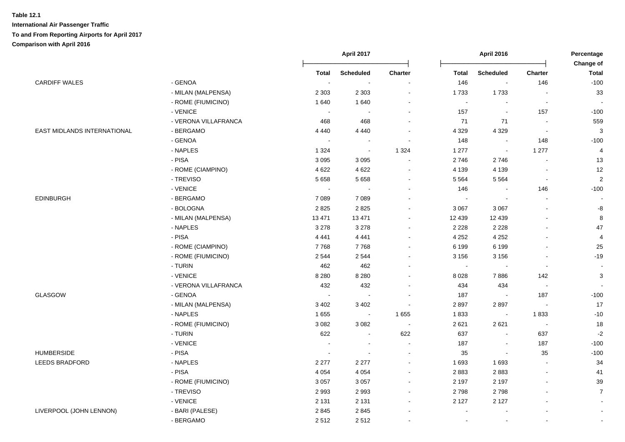|                             |                      |                          | April 2017               |                          | <b>April 2016</b>        |                          | Percentage<br>Change of  |                |
|-----------------------------|----------------------|--------------------------|--------------------------|--------------------------|--------------------------|--------------------------|--------------------------|----------------|
|                             |                      | <b>Total</b>             | <b>Scheduled</b>         | Charter                  | <b>Total</b>             | <b>Scheduled</b>         | <b>Charter</b>           | <b>Total</b>   |
| <b>CARDIFF WALES</b>        | - GENOA              | $\sim$                   | $\overline{\phantom{a}}$ | $\overline{\phantom{a}}$ | 146                      | $\blacksquare$           | 146                      | $-100$         |
|                             | - MILAN (MALPENSA)   | 2 3 0 3                  | 2 3 0 3                  |                          | 1733                     | 1733                     |                          | 33             |
|                             | - ROME (FIUMICINO)   | 1640                     | 1 6 4 0                  |                          | $\overline{\phantom{a}}$ |                          |                          |                |
|                             | - VENICE             | $\overline{\phantom{a}}$ |                          |                          | 157                      |                          | 157                      | $-100$         |
|                             | - VERONA VILLAFRANCA | 468                      | 468                      |                          | 71                       | 71                       | $\sim$                   | 559            |
| EAST MIDLANDS INTERNATIONAL | - BERGAMO            | 4 4 4 0                  | 4 4 4 0                  | $\sim$                   | 4 3 2 9                  | 4 3 2 9                  | $\overline{\phantom{a}}$ | $\mathbf{3}$   |
|                             | - GENOA              | $\sim$                   | $\sim$                   | $\overline{\phantom{a}}$ | 148                      | $\sim$                   | 148                      | $-100$         |
|                             | - NAPLES             | 1 3 2 4                  | $\sim$                   | 1 3 2 4                  | 1 277                    | $\blacksquare$           | 1 277                    | $\overline{4}$ |
|                             | - PISA               | 3 0 9 5                  | 3 0 9 5                  | $\overline{\phantom{a}}$ | 2746                     | 2746                     |                          | 13             |
|                             | - ROME (CIAMPINO)    | 4 6 22                   | 4 6 2 2                  | $\sim$                   | 4 1 3 9                  | 4 1 3 9                  |                          | 12             |
|                             | - TREVISO            | 5 6 5 8                  | 5 6 5 8                  |                          | 5 5 6 4                  | 5 5 6 4                  | $\blacksquare$           | $\overline{2}$ |
|                             | - VENICE             | $\sim$                   |                          | $\sim$                   | 146                      |                          | 146                      | $-100$         |
| <b>EDINBURGH</b>            | - BERGAMO            | 7 0 8 9                  | 7 0 8 9                  |                          | $\sim$                   |                          |                          |                |
|                             | - BOLOGNA            | 2825                     | 2825                     |                          | 3 0 6 7                  | 3 0 6 7                  |                          | -8             |
|                             | - MILAN (MALPENSA)   | 13 4 71                  | 13 4 71                  |                          | 12 439                   | 12 4 39                  |                          | $\, 8$         |
|                             | - NAPLES             | 3 2 7 8                  | 3 2 7 8                  |                          | 2 2 2 8                  | 2 2 2 8                  |                          | 47             |
|                             | - PISA               | 4 4 4 1                  | 4 4 4 1                  | $\sim$                   | 4 2 5 2                  | 4 2 5 2                  |                          | $\overline{4}$ |
|                             | - ROME (CIAMPINO)    | 7768                     | 7768                     | $\sim$                   | 6 1 9 9                  | 6 1 9 9                  |                          | 25             |
|                             | - ROME (FIUMICINO)   | 2544                     | 2 5 4 4                  | $\sim$                   | 3 1 5 6                  | 3 1 5 6                  |                          | $-19$          |
|                             | - TURIN              | 462                      | 462                      | $\sim$                   | $\sim$                   |                          | $\sim$                   | $\sim$         |
|                             | - VENICE             | 8 2 8 0                  | 8 2 8 0                  |                          | 8 0 28                   | 7886                     | 142                      | 3              |
|                             | - VERONA VILLAFRANCA | 432                      | 432                      |                          | 434                      | 434                      | $\blacksquare$           |                |
| <b>GLASGOW</b>              | - GENOA              | $\sim$                   | $\overline{\phantom{a}}$ |                          | 187                      |                          | 187                      | $-100$         |
|                             | - MILAN (MALPENSA)   | 3 4 0 2                  | 3 4 0 2                  | $\sim$                   | 2897                     | 2897                     | $\mathbf{r}$             | 17             |
|                             | - NAPLES             | 1655                     | $\sim$                   | 1 6 5 5                  | 1833                     |                          | 1833                     | $-10$          |
|                             | - ROME (FIUMICINO)   | 3 0 8 2                  | 3 0 8 2                  |                          | 2621                     | 2621                     | $\overline{\phantom{a}}$ | 18             |
|                             | - TURIN              | 622                      |                          | 622                      | 637                      |                          | 637                      | $-2$           |
|                             | - VENICE             |                          |                          |                          | 187                      | $\overline{\phantom{a}}$ | 187                      | $-100$         |
| <b>HUMBERSIDE</b>           | - PISA               | $\sim$                   | $\overline{\phantom{a}}$ | $\sim$                   | 35                       | $\blacksquare$           | 35                       | $-100$         |
| <b>LEEDS BRADFORD</b>       | - NAPLES             | 2 2 7 7                  | 2 2 7 7                  | $\overline{\phantom{a}}$ | 1 6 9 3                  | 1 6 9 3                  |                          | 34             |
|                             | - PISA               | 4 0 5 4                  | 4 0 5 4                  | $\blacksquare$           | 2883                     | 2883                     |                          | 41             |
|                             | - ROME (FIUMICINO)   | 3 0 5 7                  | 3 0 5 7                  | $\sim$                   | 2 1 9 7                  | 2 1 9 7                  |                          | 39             |
|                             | - TREVISO            | 2993                     | 2993                     |                          | 2798                     | 2798                     |                          | $\overline{7}$ |
|                             | - VENICE             | 2 1 3 1                  | 2 1 3 1                  |                          | 2 1 2 7                  | 2 1 2 7                  |                          | $\blacksquare$ |
| LIVERPOOL (JOHN LENNON)     | - BARI (PALESE)      | 2845                     | 2845                     |                          |                          |                          |                          | $\blacksquare$ |
|                             | - BERGAMO            | 2512                     | 2512                     |                          |                          |                          |                          | $\blacksquare$ |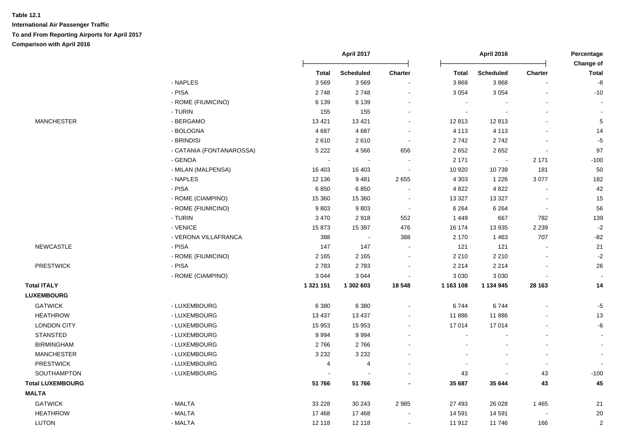|                         |                          |           | April 2017       |                          |                | <b>April 2016</b> |                | Percentage<br>Change of |
|-------------------------|--------------------------|-----------|------------------|--------------------------|----------------|-------------------|----------------|-------------------------|
|                         |                          | Total     | <b>Scheduled</b> | <b>Charter</b>           | <b>Total</b>   | <b>Scheduled</b>  | Charter        | Total                   |
|                         | - NAPLES                 | 3569      | 3569             |                          | 3868           | 3868              |                | -8                      |
|                         | - PISA                   | 2748      | 2748             | ÷,                       | 3 0 5 4        | 3 0 5 4           |                | $-10$                   |
|                         | - ROME (FIUMICINO)       | 6 1 3 9   | 6 1 3 9          | $\blacksquare$           | $\blacksquare$ |                   |                |                         |
|                         | - TURIN                  | 155       | 155              | $\blacksquare$           | $\sim$         |                   |                |                         |
| <b>MANCHESTER</b>       | - BERGAMO                | 13 4 21   | 13 4 21          | $\blacksquare$           | 12813          | 12813             |                |                         |
|                         | - BOLOGNA                | 4687      | 4687             | $\sim$                   | 4 1 1 3        | 4 1 1 3           |                | 14                      |
|                         | - BRINDISI               | 2610      | 2610             | $\sim$                   | 2 742          | 2742              |                | $-5$                    |
|                         | - CATANIA (FONTANAROSSA) | 5 2 2 2   | 4566             | 656                      | 2 6 5 2        | 2652              | $\blacksquare$ | 97                      |
|                         | - GENOA                  |           |                  |                          | 2 1 7 1        | $\blacksquare$    | 2 1 7 1        | $-100$                  |
|                         | - MILAN (MALPENSA)       | 16 403    | 16 403           | $\overline{\phantom{a}}$ | 10 920         | 10739             | 181            | 50                      |
|                         | - NAPLES                 | 12 136    | 9481             | 2655                     | 4 3 0 3        | 1 2 2 6           | 3077           | 182                     |
|                         | - PISA                   | 6850      | 6850             |                          | 4 8 2 2        | 4 8 2 2           |                | 42                      |
|                         | - ROME (CIAMPINO)        | 15 360    | 15 360           |                          | 13 3 27        | 13 3 27           |                | 15                      |
|                         | - ROME (FIUMICINO)       | 9803      | 9803             |                          | 6 2 6 4        | 6 2 6 4           |                | 56                      |
|                         | - TURIN                  | 3 4 7 0   | 2918             | 552                      | 1449           | 667               | 782            | 139                     |
|                         | - VENICE                 | 15873     | 15 3 9 7         | 476                      | 16 174         | 13 935            | 2 2 3 9        | $-2$                    |
|                         | - VERONA VILLAFRANCA     | 388       | $\sim$           | 388                      | 2 170          | 1463              | 707            | $-82$                   |
| NEWCASTLE               | - PISA                   | 147       | 147              | $\sim$                   | 121            | 121               |                | 21                      |
|                         | - ROME (FIUMICINO)       | 2 1 6 5   | 2 1 6 5          |                          | 2 2 1 0        | 2 2 1 0           |                | $-2$                    |
| <b>PRESTWICK</b>        | - PISA                   | 2783      | 2783             |                          | 2 2 1 4        | 2 2 1 4           |                | 26                      |
|                         | - ROME (CIAMPINO)        | 3 0 4 4   | 3 0 4 4          |                          | 3 0 3 0        | 3 0 3 0           |                |                         |
| <b>Total ITALY</b>      |                          | 1 321 151 | 1 302 603        | 18 548                   | 1 163 108      | 1 134 945         | 28 163         | 14                      |
| <b>LUXEMBOURG</b>       |                          |           |                  |                          |                |                   |                |                         |
| <b>GATWICK</b>          | - LUXEMBOURG             | 6 3 8 0   | 6 3 8 0          | $\blacksquare$           | 6744           | 6744              |                | $-5$                    |
| <b>HEATHROW</b>         | - LUXEMBOURG             | 13 4 37   | 13 4 37          |                          | 11886          | 11886             |                | 13                      |
| <b>LONDON CITY</b>      | - LUXEMBOURG             | 15 953    | 15 953           |                          | 17 014         | 17014             |                | -6                      |
| <b>STANSTED</b>         | - LUXEMBOURG             | 9994      | 9994             |                          | $\blacksquare$ |                   |                |                         |
| <b>BIRMINGHAM</b>       | - LUXEMBOURG             | 2766      | 2766             |                          |                |                   |                |                         |
| <b>MANCHESTER</b>       | - LUXEMBOURG             | 3 2 3 2   | 3 2 3 2          |                          |                |                   | $\blacksquare$ |                         |
| <b>PRESTWICK</b>        | - LUXEMBOURG             | 4         | $\overline{4}$   |                          | $\blacksquare$ |                   | $\sim$         |                         |
| SOUTHAMPTON             | - LUXEMBOURG             |           |                  |                          | 43             |                   | 43             | $-100$                  |
| <b>Total LUXEMBOURG</b> |                          | 51766     | 51 766           |                          | 35 687         | 35 644            | 43             | 45                      |
| <b>MALTA</b>            |                          |           |                  |                          |                |                   |                |                         |
| <b>GATWICK</b>          | - MALTA                  | 33 2 28   | 30 24 3          | 2 9 8 5                  | 27 493         | 26 0 28           | 1 4 6 5        | 21                      |
| <b>HEATHROW</b>         | - MALTA                  | 17 4 68   | 17468            |                          | 14 591         | 14 591            |                | 20                      |
| <b>LUTON</b>            | - MALTA                  | 12 118    | 12 118           |                          | 11 912         | 11746             | 166            | $\overline{2}$          |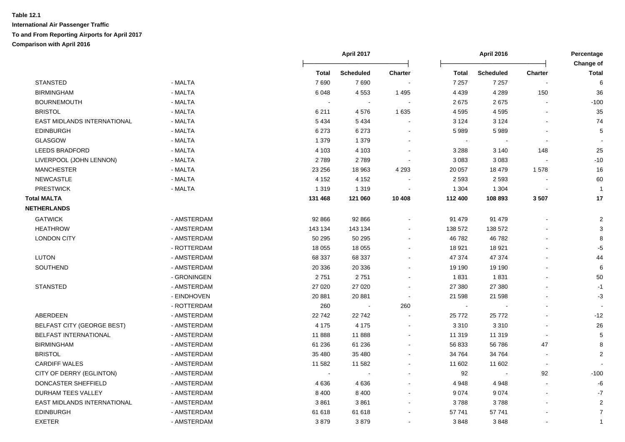|                             |             |                | April 2017       |                |          | April 2016       |                | Percentage                |  |
|-----------------------------|-------------|----------------|------------------|----------------|----------|------------------|----------------|---------------------------|--|
|                             |             | Total          | <b>Scheduled</b> | <b>Charter</b> | Total    | <b>Scheduled</b> | <b>Charter</b> | Change of<br><b>Total</b> |  |
| <b>STANSTED</b>             | - MALTA     | 7690           | 7690             |                | 7 2 5 7  | 7 2 5 7          |                | 6                         |  |
| <b>BIRMINGHAM</b>           | - MALTA     | 6048           | 4553             | 1495           | 4 4 3 9  | 4 2 8 9          | 150            | 36                        |  |
| <b>BOURNEMOUTH</b>          | - MALTA     |                | $\sim$           |                | 2675     | 2675             |                | $-100$                    |  |
| <b>BRISTOL</b>              | - MALTA     | 6 2 1 1        | 4576             | 1 6 3 5        | 4 5 9 5  | 4595             |                | 35                        |  |
| EAST MIDLANDS INTERNATIONAL | - MALTA     | 5 4 3 4        | 5434             |                | 3 1 2 4  | 3 1 2 4          |                | 74                        |  |
| <b>EDINBURGH</b>            | - MALTA     | 6 2 7 3        | 6 2 7 3          |                | 5989     | 5989             |                | 5                         |  |
| <b>GLASGOW</b>              | - MALTA     | 1 3 7 9        | 1 3 7 9          |                | $\sim$   |                  | $\blacksquare$ |                           |  |
| <b>LEEDS BRADFORD</b>       | - MALTA     | 4 1 0 3        | 4 1 0 3          |                | 3 2 8 8  | 3 1 4 0          | 148            | 25                        |  |
| LIVERPOOL (JOHN LENNON)     | - MALTA     | 2789           | 2789             |                | 3 0 8 3  | 3 0 8 3          |                | $-10$                     |  |
| <b>MANCHESTER</b>           | - MALTA     | 23 256         | 18 963           | 4 2 9 3        | 20 057   | 18 479           | 1578           | 16                        |  |
| NEWCASTLE                   | - MALTA     | 4 1 5 2        | 4 1 5 2          |                | 2 5 9 3  | 2 5 9 3          |                | 60                        |  |
| <b>PRESTWICK</b>            | - MALTA     | 1 3 1 9        | 1 3 1 9          |                | 1 3 0 4  | 1 3 0 4          |                | $\mathbf{1}$              |  |
| <b>Total MALTA</b>          |             | 131 468        | 121 060          | 10 408         | 112 400  | 108 893          | 3507           | 17                        |  |
| <b>NETHERLANDS</b>          |             |                |                  |                |          |                  |                |                           |  |
| <b>GATWICK</b>              | - AMSTERDAM | 92 866         | 92 866           |                | 91 479   | 91 479           |                | $\overline{2}$            |  |
| <b>HEATHROW</b>             | - AMSTERDAM | 143 134        | 143 134          |                | 138 572  | 138 572          |                | 3                         |  |
| <b>LONDON CITY</b>          | - AMSTERDAM | 50 295         | 50 295           |                | 46 782   | 46782            |                |                           |  |
|                             | - ROTTERDAM | 18 055         | 18 0 55          |                | 18 9 21  | 18 9 21          |                | -5                        |  |
| <b>LUTON</b>                | - AMSTERDAM | 68 337         | 68 337           |                | 47 374   | 47 374           |                | 44                        |  |
| SOUTHEND                    | - AMSTERDAM | 20 336         | 20 336           |                | 19 190   | 19 190           |                | 6                         |  |
|                             | - GRONINGEN | 2751           | 2751             |                | 1831     | 1831             |                | 50                        |  |
| <b>STANSTED</b>             | - AMSTERDAM | 27 0 20        | 27 0 20          |                | 27 380   | 27 380           |                | $-1$                      |  |
|                             | - EINDHOVEN | 20 881         | 20 881           | $\sim$         | 21 598   | 21 598           |                | $-3$                      |  |
|                             | - ROTTERDAM | 260            | $\blacksquare$   | 260            | $\sim$   |                  |                |                           |  |
| <b>ABERDEEN</b>             | - AMSTERDAM | 22742          | 22742            |                | 25 7 7 2 | 25 7 7 2         |                | $-12$                     |  |
| BELFAST CITY (GEORGE BEST)  | - AMSTERDAM | 4 1 7 5        | 4 1 7 5          |                | 3 3 1 0  | 3 3 1 0          | $\blacksquare$ | 26                        |  |
| BELFAST INTERNATIONAL       | - AMSTERDAM | 11888          | 11888            |                | 11 319   | 11 319           | $\blacksquare$ | 5                         |  |
| <b>BIRMINGHAM</b>           | - AMSTERDAM | 61 236         | 61 236           |                | 56 833   | 56 786           | 47             | 8                         |  |
| <b>BRISTOL</b>              | - AMSTERDAM | 35 480         | 35 480           |                | 34 764   | 34 764           |                | 2                         |  |
| <b>CARDIFF WALES</b>        | - AMSTERDAM | 11 582         | 11 582           |                | 11 602   | 11 602           |                |                           |  |
| CITY OF DERRY (EGLINTON)    | - AMSTERDAM | $\blacksquare$ |                  |                | 92       | $\sim$           | 92             | $-100$                    |  |
| DONCASTER SHEFFIELD         | - AMSTERDAM | 4636           | 4636             |                | 4 9 4 8  | 4 9 4 8          |                | -6                        |  |
| DURHAM TEES VALLEY          | - AMSTERDAM | 8 4 0 0        | 8 4 0 0          |                | 9 0 7 4  | 9074             | ÷.             | $-7$                      |  |
| EAST MIDLANDS INTERNATIONAL | - AMSTERDAM | 3861           | 3861             |                | 3788     | 3788             | $\overline{a}$ | $\overline{2}$            |  |
| <b>EDINBURGH</b>            | - AMSTERDAM | 61 618         | 61 618           |                | 57 741   | 57 741           |                | $\overline{7}$            |  |
| <b>EXETER</b>               | - AMSTERDAM | 3879           | 3879             |                | 3848     | 3848             |                | $\mathbf{1}$              |  |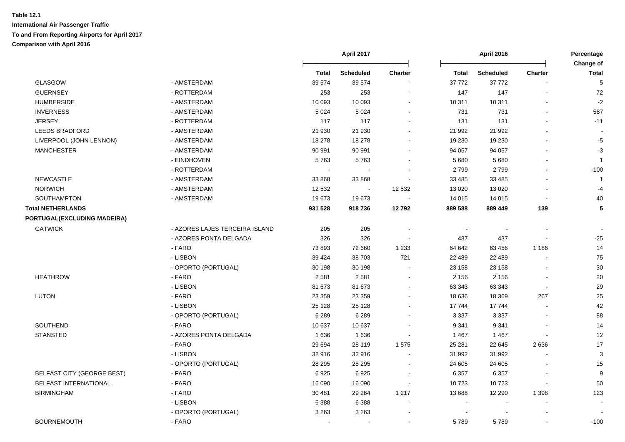|                                   |                                |              | April 2017 |                          |                          | <b>April 2016</b> |                | Percentage<br>Change of |
|-----------------------------------|--------------------------------|--------------|------------|--------------------------|--------------------------|-------------------|----------------|-------------------------|
|                                   |                                | <b>Total</b> | Scheduled  | Charter                  | <b>Total</b>             | Scheduled         | Charter        | <b>Total</b>            |
| <b>GLASGOW</b>                    | - AMSTERDAM                    | 39 574       | 39 574     |                          | 37 772                   | 37 772            |                | 5                       |
| <b>GUERNSEY</b>                   | - ROTTERDAM                    | 253          | 253        |                          | 147                      | 147               |                | 72                      |
| <b>HUMBERSIDE</b>                 | - AMSTERDAM                    | 10 093       | 10 093     |                          | 10 311                   | 10 311            |                | $-2$                    |
| <b>INVERNESS</b>                  | - AMSTERDAM                    | 5 0 24       | 5 0 2 4    | $\overline{\phantom{a}}$ | 731                      | 731               | $\blacksquare$ | 587                     |
| <b>JERSEY</b>                     | - ROTTERDAM                    | 117          | 117        |                          | 131                      | 131               |                | $-11$                   |
| LEEDS BRADFORD                    | - AMSTERDAM                    | 21 930       | 21 930     |                          | 21 992                   | 21 992            |                |                         |
| LIVERPOOL (JOHN LENNON)           | - AMSTERDAM                    | 18 278       | 18 278     |                          | 19 230                   | 19 230            |                | $-5$                    |
| <b>MANCHESTER</b>                 | - AMSTERDAM                    | 90 991       | 90 991     |                          | 94 057                   | 94 057            | $\blacksquare$ | $-3$                    |
|                                   | - EINDHOVEN                    | 5763         | 5763       |                          | 5 6 8 0                  | 5 6 8 0           | $\overline{a}$ | $\overline{1}$          |
|                                   | - ROTTERDAM                    |              |            |                          | 2799                     | 2799              | $\overline{a}$ | $-100$                  |
| <b>NEWCASTLE</b>                  | - AMSTERDAM                    | 33 868       | 33 868     |                          | 33 4 85                  | 33 4 85           |                | $\overline{1}$          |
| <b>NORWICH</b>                    | - AMSTERDAM                    | 12 532       |            | 12 532                   | 13 0 20                  | 13 0 20           |                | $-4$                    |
| SOUTHAMPTON                       | - AMSTERDAM                    | 19673        | 19673      |                          | 14 015                   | 14 015            | $\overline{a}$ | 40                      |
| <b>Total NETHERLANDS</b>          |                                | 931 528      | 918736     | 12792                    | 889 588                  | 889 449           | 139            | 5                       |
| PORTUGAL(EXCLUDING MADEIRA)       |                                |              |            |                          |                          |                   |                |                         |
| <b>GATWICK</b>                    | - AZORES LAJES TERCEIRA ISLAND | 205          | 205        |                          | $\overline{\phantom{a}}$ |                   |                |                         |
|                                   | - AZORES PONTA DELGADA         | 326          | 326        |                          | 437                      | 437               |                | $-25$                   |
|                                   | - FARO                         | 73893        | 72 660     | 1 2 3 3                  | 64 642                   | 63 456            | 1 1 8 6        | 14                      |
|                                   | - LISBON                       | 39 4 24      | 38 703     | 721                      | 22 489                   | 22 489            | $\blacksquare$ | 75                      |
|                                   | - OPORTO (PORTUGAL)            | 30 198       | 30 198     | $\blacksquare$           | 23 158                   | 23 158            |                | 30                      |
| <b>HEATHROW</b>                   | - FARO                         | 2 5 8 1      | 2581       |                          | 2 1 5 6                  | 2 1 5 6           |                | 20                      |
|                                   | - LISBON                       | 81 673       | 81 673     |                          | 63 343                   | 63 343            | $\overline{a}$ | 29                      |
| <b>LUTON</b>                      | - FARO                         | 23 359       | 23 359     |                          | 18 636                   | 18 3 69           | 267            | 25                      |
|                                   | - LISBON                       | 25 1 28      | 25 1 28    |                          | 17744                    | 17744             |                | 42                      |
|                                   | - OPORTO (PORTUGAL)            | 6 2 8 9      | 6 2 8 9    |                          | 3 3 3 7                  | 3 3 3 7           |                | 88                      |
| SOUTHEND                          | - FARO                         | 10 637       | 10 637     |                          | 9 3 4 1                  | 9 3 4 1           |                | 14                      |
| <b>STANSTED</b>                   | - AZORES PONTA DELGADA         | 1636         | 1636       |                          | 1 4 6 7                  | 1 4 6 7           |                | 12                      |
|                                   | - FARO                         | 29 6 94      | 28 119     | 1575                     | 25 281                   | 22 645            | 2636           | 17                      |
|                                   | - LISBON                       | 32 916       | 32 916     | $\sim$                   | 31 992                   | 31 992            |                | $\mathsf 3$             |
|                                   | - OPORTO (PORTUGAL)            | 28 29 5      | 28 29 5    | $\sim$                   | 24 605                   | 24 605            |                | 15                      |
| <b>BELFAST CITY (GEORGE BEST)</b> | - FARO                         | 6925         | 6925       | $\overline{\phantom{a}}$ | 6 3 5 7                  | 6 3 5 7           | $\overline{a}$ | 9                       |
| <b>BELFAST INTERNATIONAL</b>      | - FARO                         | 16 090       | 16 090     | $\blacksquare$           | 10723                    | 10723             | $\blacksquare$ | 50                      |
| <b>BIRMINGHAM</b>                 | - FARO                         | 30 481       | 29 264     | 1 2 1 7                  | 13 688                   | 12 290            | 1 3 9 8        | 123                     |
|                                   | - LISBON                       | 6 3 8 8      | 6 3 8 8    |                          | $\blacksquare$           |                   | $\overline{a}$ |                         |
|                                   | - OPORTO (PORTUGAL)            | 3 2 6 3      | 3 2 6 3    |                          | $\sim$                   |                   |                |                         |
| <b>BOURNEMOUTH</b>                | - FARO                         |              |            |                          | 5789                     | 5789              |                | $-100$                  |
|                                   |                                |              |            |                          |                          |                   |                |                         |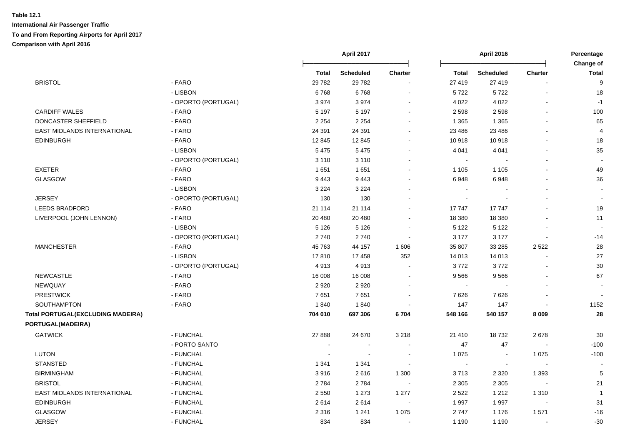|                                          |                     |         | April 2017       |                | <b>April 2016</b> |                  |                          | Percentage<br>Change of |  |
|------------------------------------------|---------------------|---------|------------------|----------------|-------------------|------------------|--------------------------|-------------------------|--|
|                                          |                     | Total   | <b>Scheduled</b> | <b>Charter</b> | <b>Total</b>      | <b>Scheduled</b> | <b>Charter</b>           | <b>Total</b>            |  |
| <b>BRISTOL</b>                           | - FARO              | 29782   | 29782            |                | 27 419            | 27 419           |                          | 9                       |  |
|                                          | - LISBON            | 6768    | 6768             |                | 5722              | 5722             |                          | 18                      |  |
|                                          | - OPORTO (PORTUGAL) | 3974    | 3974             |                | 4 0 2 2           | 4 0 2 2          |                          | $-1$                    |  |
| <b>CARDIFF WALES</b>                     | - FARO              | 5 1 9 7 | 5 1 9 7          |                | 2 5 9 8           | 2598             |                          | 100                     |  |
| DONCASTER SHEFFIELD                      | - FARO              | 2 2 5 4 | 2 2 5 4          |                | 1 3 6 5           | 1 3 6 5          |                          | 65                      |  |
| EAST MIDLANDS INTERNATIONAL              | - FARO              | 24 391  | 24 391           |                | 23 4 86           | 23 4 86          |                          | $\overline{4}$          |  |
| <b>EDINBURGH</b>                         | - FARO              | 12 845  | 12 845           |                | 10 918            | 10918            |                          | 18                      |  |
|                                          | - LISBON            | 5 4 7 5 | 5475             |                | 4 0 4 1           | 4 0 4 1          |                          | 35                      |  |
|                                          | - OPORTO (PORTUGAL) | 3 1 1 0 | 3 1 1 0          |                | $\sim$            |                  | $\overline{a}$           |                         |  |
| <b>EXETER</b>                            | - FARO              | 1651    | 1651             |                | 1 1 0 5           | 1 1 0 5          |                          | 49                      |  |
| GLASGOW                                  | - FARO              | 9443    | 9443             |                | 6948              | 6948             |                          | 36                      |  |
|                                          | - LISBON            | 3 2 2 4 | 3 2 2 4          |                |                   |                  |                          | $\blacksquare$          |  |
| <b>JERSEY</b>                            | - OPORTO (PORTUGAL) | 130     | 130              |                | $\sim$            |                  |                          | $\blacksquare$          |  |
| LEEDS BRADFORD                           | - FARO              | 21 114  | 21 114           |                | 17747             | 17747            |                          | 19                      |  |
| LIVERPOOL (JOHN LENNON)                  | - FARO              | 20 480  | 20 480           |                | 18 380            | 18 380           |                          | 11                      |  |
|                                          | - LISBON            | 5 1 2 6 | 5 1 2 6          |                | 5 1 2 2           | 5 1 2 2          |                          |                         |  |
|                                          | - OPORTO (PORTUGAL) | 2740    | 2740             |                | 3 177             | 3 1 7 7          |                          | $-14$                   |  |
| <b>MANCHESTER</b>                        | - FARO              | 45 763  | 44 157           | 1 606          | 35 807            | 33 285           | 2 5 2 2                  | 28                      |  |
|                                          | - LISBON            | 17810   | 17458            | 352            | 14 013            | 14 013           |                          | 27                      |  |
|                                          | - OPORTO (PORTUGAL) | 4913    | 4913             |                | 3772              | 3772             |                          | 30                      |  |
| <b>NEWCASTLE</b>                         | - FARO              | 16 008  | 16 008           |                | 9566              | 9566             |                          | 67                      |  |
| NEWQUAY                                  | - FARO              | 2920    | 2920             |                | $\sim$            |                  |                          |                         |  |
| <b>PRESTWICK</b>                         | - FARO              | 7651    | 7651             |                | 7626              | 7626             |                          |                         |  |
| <b>SOUTHAMPTON</b>                       | - FARO              | 1840    | 1840             |                | 147               | 147              |                          | 1152                    |  |
| <b>Total PORTUGAL(EXCLUDING MADEIRA)</b> |                     | 704 010 | 697 306          | 6704           | 548 166           | 540 157          | 8 0 0 9                  | 28                      |  |
| PORTUGAL(MADEIRA)                        |                     |         |                  |                |                   |                  |                          |                         |  |
| <b>GATWICK</b>                           | - FUNCHAL           | 27 8 88 | 24 670           | 3 2 1 8        | 21 410            | 18732            | 2678                     | 30                      |  |
|                                          | - PORTO SANTO       |         | $\sim$           |                | 47                | 47               |                          | $-100$                  |  |
| <b>LUTON</b>                             | - FUNCHAL           |         |                  |                | 1 0 7 5           | $\sim$           | 1 0 7 5                  | $-100$                  |  |
| <b>STANSTED</b>                          | - FUNCHAL           | 1 3 4 1 | 1 3 4 1          |                | $\sim$            | $\sim$           |                          |                         |  |
| <b>BIRMINGHAM</b>                        | - FUNCHAL           | 3916    | 2616             | 1 300          | 3713              | 2 3 2 0          | 1 3 9 3                  | 5                       |  |
| <b>BRISTOL</b>                           | - FUNCHAL           | 2784    | 2784             |                | 2 3 0 5           | 2 3 0 5          |                          | 21                      |  |
| EAST MIDLANDS INTERNATIONAL              | - FUNCHAL           | 2 5 5 0 | 1 2 7 3          | 1 277          | 2 5 2 2           | 1 2 1 2          | 1 3 1 0                  | $\overline{1}$          |  |
| <b>EDINBURGH</b>                         | - FUNCHAL           | 2614    | 2614             |                | 1 9 9 7           | 1997             | $\overline{\phantom{a}}$ | 31                      |  |
| <b>GLASGOW</b>                           | - FUNCHAL           | 2 3 1 6 | 1 2 4 1          | 1 0 7 5        | 2747              | 1 1 7 6          | 1571                     | $-16$                   |  |
| <b>JERSEY</b>                            | - FUNCHAL           | 834     | 834              |                | 1 1 9 0           | 1 1 9 0          |                          | $-30$                   |  |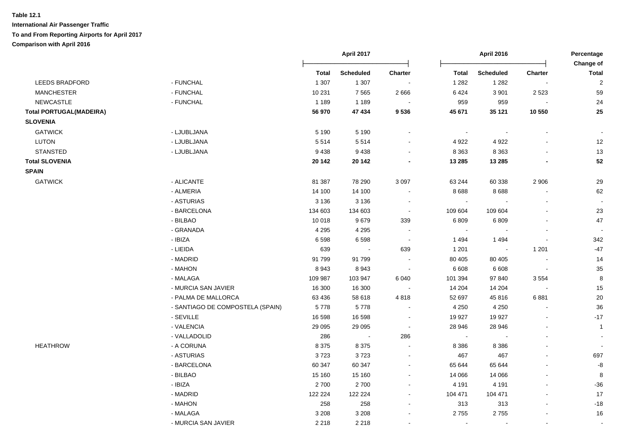|                                |                                  | April 2017   |                  |                | <b>April 2016</b> |                  |                      |                           |
|--------------------------------|----------------------------------|--------------|------------------|----------------|-------------------|------------------|----------------------|---------------------------|
|                                |                                  | <b>Total</b> | <b>Scheduled</b> | Charter        | <b>Total</b>      | <b>Scheduled</b> | Charter              | Change of<br><b>Total</b> |
| <b>LEEDS BRADFORD</b>          | - FUNCHAL                        | 1 3 0 7      | 1 3 0 7          |                | 1 2 8 2           | 1 2 8 2          | $\blacksquare$       | $\overline{2}$            |
| <b>MANCHESTER</b>              | - FUNCHAL                        | 10 231       | 7565             | 2 6 6 6        | 6 4 2 4           | 3 9 0 1          | 2 5 2 3              | 59                        |
| <b>NEWCASTLE</b>               | - FUNCHAL                        | 1 1 8 9      | 1 1 8 9          | $\sim$         | 959               | 959              |                      | 24                        |
| <b>Total PORTUGAL(MADEIRA)</b> |                                  | 56 970       | 47 434           | 9536           | 45 671            | 35 121           | 10 550               | 25                        |
| <b>SLOVENIA</b>                |                                  |              |                  |                |                   |                  |                      |                           |
| <b>GATWICK</b>                 | - LJUBLJANA                      | 5 1 9 0      | 5 1 9 0          |                | $\sim$            | $\blacksquare$   |                      |                           |
| LUTON                          | - LJUBLJANA                      | 5514         | 5514             |                | 4 9 2 2           | 4 9 2 2          | $\blacksquare$       | 12                        |
| <b>STANSTED</b>                | - LJUBLJANA                      | 9438         | 9438             | $\sim$         | 8 3 6 3           | 8 3 6 3          | $\blacksquare$       | 13                        |
| <b>Total SLOVENIA</b>          |                                  | 20 14 2      | 20 142           | $\blacksquare$ | 13 285            | 13 285           | $\blacksquare$       | 52                        |
| <b>SPAIN</b>                   |                                  |              |                  |                |                   |                  |                      |                           |
| <b>GATWICK</b>                 | - ALICANTE                       | 81 387       | 78 290           | 3 0 9 7        | 63 244            | 60 338           | 2 9 0 6              | 29                        |
|                                | - ALMERIA                        | 14 100       | 14 100           | $\blacksquare$ | 8688              | 8688             | $\blacksquare$       | 62                        |
|                                | - ASTURIAS                       | 3 1 3 6      | 3 1 3 6          | $\blacksquare$ | $\sim$            |                  |                      |                           |
|                                | - BARCELONA                      | 134 603      | 134 603          | $\sim$         | 109 604           | 109 604          | $\ddot{\phantom{a}}$ | 23                        |
|                                | - BILBAO                         | 10 018       | 9679             | 339            | 6809              | 6809             | $\blacksquare$       | 47                        |
|                                | - GRANADA                        | 4 2 9 5      | 4 2 9 5          | $\blacksquare$ |                   |                  |                      | $\sim$                    |
|                                | - IBIZA                          | 6598         | 6598             | $\blacksquare$ | 1494              | 1 4 9 4          | $\blacksquare$       | 342                       |
|                                | - LIEIDA                         | 639          |                  | 639            | 1 201             | $\sim$           | 1 2 0 1              | -47                       |
|                                | - MADRID                         | 91799        | 91799            |                | 80 40 5           | 80 40 5          |                      | 14                        |
|                                | - MAHON                          | 8943         | 8943             | $\sim$         | 6 6 0 8           | 6 6 0 8          | $\sim$               | 35                        |
|                                | - MALAGA                         | 109 987      | 103 947          | 6 0 4 0        | 101 394           | 97 840           | 3554                 | 8                         |
|                                | - MURCIA SAN JAVIER              | 16 300       | 16 300           | $\bullet$      | 14 204            | 14 204           |                      | 15                        |
|                                | - PALMA DE MALLORCA              | 63 436       | 58 618           | 4818           | 52 697            | 45 816           | 6881                 | 20                        |
|                                | - SANTIAGO DE COMPOSTELA (SPAIN) | 5778         | 5778             | $\sim$         | 4 2 5 0           | 4 2 5 0          | $\blacksquare$       | 36                        |
|                                | - SEVILLE                        | 16 5 98      | 16 598           | $\sim$         | 19 9 27           | 19 9 27          | $\blacksquare$       | $-17$                     |
|                                | - VALENCIA                       | 29 0 95      | 29 0 95          | $\blacksquare$ | 28 946            | 28 946           |                      | $\overline{1}$            |
|                                | - VALLADOLID                     | 286          |                  | 286            | $\sim$            |                  |                      |                           |
| <b>HEATHROW</b>                | - A CORUNA                       | 8 3 7 5      | 8 3 7 5          | $\sim$         | 8 3 8 6           | 8 3 8 6          | $\blacksquare$       | $\blacksquare$            |
|                                | - ASTURIAS                       | 3723         | 3723             | $\sim$         | 467               | 467              |                      | 697                       |
|                                | - BARCELONA                      | 60 347       | 60 347           | $\sim$         | 65 644            | 65 644           |                      | -8                        |
|                                | - BILBAO                         | 15 160       | 15 160           | $\sim$         | 14 066            | 14 066           |                      | 8                         |
|                                | - IBIZA                          | 2700         | 2700             |                | 4 1 9 1           | 4 1 9 1          | $\blacksquare$       | $-36$                     |
|                                | - MADRID                         | 122 224      | 122 224          | $\sim$         | 104 471           | 104 471          | $\blacksquare$       | 17                        |
|                                | - MAHON                          | 258          | 258              | $\sim$         | 313               | 313              | $\sim$               | $-18$                     |
|                                | - MALAGA                         | 3 2 0 8      | 3 2 0 8          |                | 2755              | 2755             |                      | 16                        |
|                                | - MURCIA SAN JAVIER              | 2 2 1 8      | 2 2 1 8          |                | $\sim$            | $\blacksquare$   | $\mathbf{r}$         |                           |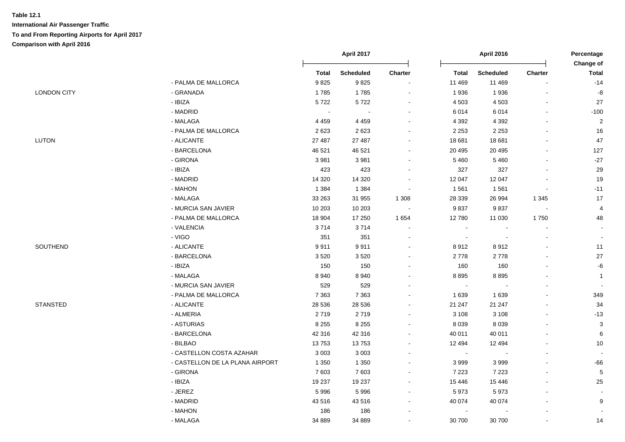|                    |                                 | April 2017   |                  | <b>April 2016</b>        |              |                          | Percentage<br>Change of  |                |
|--------------------|---------------------------------|--------------|------------------|--------------------------|--------------|--------------------------|--------------------------|----------------|
|                    |                                 | <b>Total</b> | <b>Scheduled</b> | Charter                  | <b>Total</b> | <b>Scheduled</b>         | Charter                  | <b>Total</b>   |
|                    | - PALMA DE MALLORCA             | 9825         | 9825             | $\blacksquare$           | 11 469       | 11 469                   |                          | $-14$          |
| <b>LONDON CITY</b> | - GRANADA                       | 1785         | 1785             | $\sim$                   | 1936         | 1936                     |                          | -8             |
|                    | - IBIZA                         | 5722         | 5722             | ä,                       | 4 5 0 3      | 4 5 0 3                  | $\sim$                   | 27             |
|                    | - MADRID                        | $\sim$       | $\sim$           | $\blacksquare$           | 6014         | 6014                     | $\sim$                   | $-100$         |
|                    | - MALAGA                        | 4 4 5 9      | 4 4 5 9          | $\blacksquare$           | 4 3 9 2      | 4 3 9 2                  |                          | $\overline{2}$ |
|                    | - PALMA DE MALLORCA             | 2623         | 2623             | $\sim$                   | 2 2 5 3      | 2 2 5 3                  |                          | 16             |
| LUTON              | - ALICANTE                      | 27 487       | 27 487           | ä,                       | 18 681       | 18 681                   |                          | 47             |
|                    | - BARCELONA                     | 46 521       | 46 521           | $\overline{\phantom{a}}$ | 20 4 95      | 20 4 95                  |                          | 127            |
|                    | - GIRONA                        | 3981         | 3981             | $\blacksquare$           | 5 4 6 0      | 5 4 6 0                  | $\overline{\phantom{a}}$ | $-27$          |
|                    | - IBIZA                         | 423          | 423              | $\blacksquare$           | 327          | 327                      | $\sim$                   | 29             |
|                    | - MADRID                        | 14 3 20      | 14 3 20          | $\blacksquare$           | 12 047       | 12 047                   |                          | 19             |
|                    | - MAHON                         | 1 3 8 4      | 1 3 8 4          | $\blacksquare$           | 1561         | 1561                     |                          | $-11$          |
|                    | - MALAGA                        | 33 263       | 31 955           | 1 3 0 8                  | 28 339       | 26 994                   | 1 3 4 5                  | 17             |
|                    | - MURCIA SAN JAVIER             | 10 203       | 10 203           | $\sim$                   | 9837         | 9837                     | $\sim$                   | 4              |
|                    | - PALMA DE MALLORCA             | 18 904       | 17 250           | 1 6 5 4                  | 12 780       | 11 030                   | 1750                     | 48             |
|                    | - VALENCIA                      | 3714         | 3714             | $\blacksquare$           | $\sim$       |                          |                          |                |
|                    | - VIGO                          | 351          | 351              | $\blacksquare$           | $\sim$       | $\sim$                   |                          |                |
| SOUTHEND           | - ALICANTE                      | 9911         | 9911             | $\blacksquare$           | 8912         | 8912                     |                          | 11             |
|                    | - BARCELONA                     | 3520         | 3520             | $\blacksquare$           | 2778         | 2778                     |                          | 27             |
|                    | - IBIZA                         | 150          | 150              | $\blacksquare$           | 160          | 160                      |                          | -6             |
|                    | - MALAGA                        | 8940         | 8940             | $\overline{a}$           | 8895         | 8895                     |                          | $\overline{1}$ |
|                    | - MURCIA SAN JAVIER             | 529          | 529              | ä,                       | $\sim$       |                          |                          |                |
|                    | - PALMA DE MALLORCA             | 7 3 6 3      | 7 3 6 3          | $\blacksquare$           | 1639         | 1 6 3 9                  |                          | 349            |
| <b>STANSTED</b>    | - ALICANTE                      | 28 536       | 28 536           | $\blacksquare$           | 21 247       | 21 247                   |                          | 34             |
|                    | - ALMERIA                       | 2719         | 2719             | $\sim$                   | 3 1 0 8      | 3 1 0 8                  |                          | $-13$          |
|                    | - ASTURIAS                      | 8 2 5 5      | 8 2 5 5          | ä,                       | 8 0 3 9      | 8 0 3 9                  |                          | $\mathsf 3$    |
|                    | - BARCELONA                     | 42 316       | 42 316           | ä,                       | 40 011       | 40 011                   |                          | $\,6$          |
|                    | - BILBAO                        | 13753        | 13753            | $\blacksquare$           | 12 4 94      | 12 4 94                  |                          | 10             |
|                    | - CASTELLON COSTA AZAHAR        | 3 0 0 3      | 3 0 0 3          | $\blacksquare$           | $\sim$       | $\overline{\phantom{a}}$ | $\sim$                   |                |
|                    | - CASTELLON DE LA PLANA AIRPORT | 1 3 5 0      | 1 3 5 0          | ä,                       | 3 9 9 9      | 3999                     |                          | $-66$          |
|                    | - GIRONA                        | 7603         | 7603             | $\blacksquare$           | 7 2 2 3      | 7 2 2 3                  | $\blacksquare$           | $\sqrt{5}$     |
|                    | - IBIZA                         | 19 237       | 19 237           | $\blacksquare$           | 15 4 46      | 15 4 46                  |                          | 25             |
|                    | - JEREZ                         | 5996         | 5996             | $\blacksquare$           | 5973         | 5973                     |                          |                |
|                    | - MADRID                        | 43516        | 43516            | ä,                       | 40 074       | 40 074                   |                          | 9              |
|                    | - MAHON                         | 186          | 186              | $\blacksquare$           |              |                          |                          |                |
|                    | - MALAGA                        | 34 889       | 34 889           | $\blacksquare$           | 30 700       | 30 700                   |                          | 14             |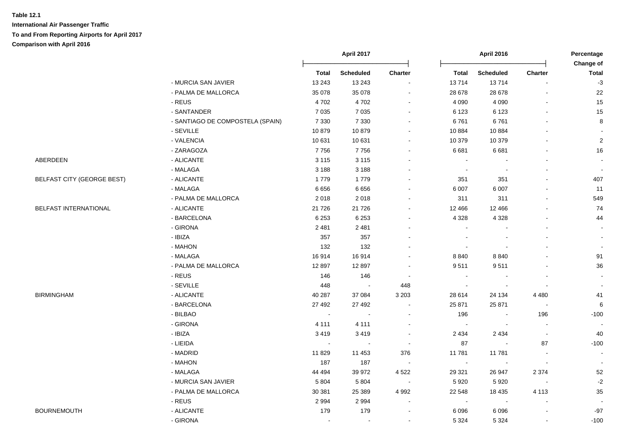|                            |                                  | April 2017   |                  |                          | <b>April 2016</b> |                          | Percentage<br>Change of  |                          |
|----------------------------|----------------------------------|--------------|------------------|--------------------------|-------------------|--------------------------|--------------------------|--------------------------|
|                            |                                  | <b>Total</b> | <b>Scheduled</b> | Charter                  | <b>Total</b>      | <b>Scheduled</b>         | <b>Charter</b>           | <b>Total</b>             |
|                            | - MURCIA SAN JAVIER              | 13 2 43      | 13 24 3          | $\blacksquare$           | 13714             | 13714                    | $\sim$                   | $-3$                     |
|                            | - PALMA DE MALLORCA              | 35 0 78      | 35 078           | $\sim$                   | 28 678            | 28 678                   | $\blacksquare$           | 22                       |
|                            | - REUS                           | 4702         | 4702             | $\sim$                   | 4 0 9 0           | 4 0 9 0                  | ä,                       | 15                       |
|                            | - SANTANDER                      | 7 0 3 5      | 7 0 3 5          | $\blacksquare$           | 6 1 2 3           | 6 1 2 3                  | $\blacksquare$           | 15                       |
|                            | - SANTIAGO DE COMPOSTELA (SPAIN) | 7 3 3 0      | 7 3 3 0          | $\sim$                   | 6761              | 6761                     | $\blacksquare$           | 8                        |
|                            | - SEVILLE                        | 10879        | 10879            | $\sim$                   | 10 884            | 10884                    | $\blacksquare$           |                          |
|                            | - VALENCIA                       | 10 631       | 10 631           | $\blacksquare$           | 10 379            | 10 379                   | $\blacksquare$           | $\overline{2}$           |
|                            | - ZARAGOZA                       | 7756         | 7756             | $\sim$                   | 6681              | 6681                     | $\blacksquare$           | 16                       |
| ABERDEEN                   | - ALICANTE                       | 3 1 1 5      | 3 1 1 5          | $\blacksquare$           | $\sim$            |                          | $\overline{a}$           | $\sim$                   |
|                            | - MALAGA                         | 3 1 8 8      | 3 1 8 8          | $\sim$                   |                   |                          | $\blacksquare$           |                          |
| BELFAST CITY (GEORGE BEST) | - ALICANTE                       | 1779         | 1779             | $\sim$                   | 351               | 351                      | $\overline{a}$           | 407                      |
|                            | - MALAGA                         | 6656         | 6656             | $\overline{a}$           | 6 0 0 7           | 6 0 0 7                  | ä,                       | 11                       |
|                            | - PALMA DE MALLORCA              | 2018         | 2018             | $\blacksquare$           | 311               | 311                      | $\overline{a}$           | 549                      |
| BELFAST INTERNATIONAL      | - ALICANTE                       | 21 7 26      | 21 7 26          | $\sim$                   | 12 4 6 6          | 12 4 66                  |                          | 74                       |
|                            | - BARCELONA                      | 6 2 5 3      | 6 2 5 3          | $\sim$                   | 4 3 2 8           | 4 3 2 8                  |                          | 44                       |
|                            | - GIRONA                         | 2 4 8 1      | 2 4 8 1          | $\sim$                   | $\sim$            |                          | $\blacksquare$           | $\sim$                   |
|                            | - IBIZA                          | 357          | 357              | $\blacksquare$           |                   |                          |                          |                          |
|                            | - MAHON                          | 132          | 132              |                          |                   |                          |                          |                          |
|                            | - MALAGA                         | 16914        | 16914            | $\blacksquare$           | 8840              | 8840                     |                          | 91                       |
|                            | - PALMA DE MALLORCA              | 12897        | 12897            | $\blacksquare$           | 9511              | 9511                     |                          | 36                       |
|                            | - REUS                           | 146          | 146              | $\sim$                   | $\sim$            |                          | $\sim$                   |                          |
|                            | - SEVILLE                        | 448          | $\sim$           | 448                      | $\sim$            |                          | $\blacksquare$           | $\overline{\phantom{a}}$ |
| <b>BIRMINGHAM</b>          | - ALICANTE                       | 40 287       | 37 084           | 3 2 0 3                  | 28 614            | 24 134                   | 4 4 8 0                  | 41                       |
|                            | - BARCELONA                      | 27 492       | 27 492           | $\sim$                   | 25 871            | 25 871                   | $\sim$                   | $\,6\,$                  |
|                            | - BILBAO                         | $\sim$       |                  | $\blacksquare$           | 196               |                          | 196                      | $-100$                   |
|                            | - GIRONA                         | 4 1 1 1      | 4 1 1 1          | $\blacksquare$           |                   |                          | $\sim$                   | $\overline{\phantom{a}}$ |
|                            | - IBIZA                          | 3419         | 3419             | $\sim$                   | 2 4 3 4           | 2 4 3 4                  | $\sim$                   | 40                       |
|                            | - LIEIDA                         | $\sim$       | $\sim$           | $\sim$                   | 87                | $\blacksquare$           | 87                       | $-100$                   |
|                            | - MADRID                         | 11 829       | 11 453           | 376                      | 11 781            | 11 781                   | $\blacksquare$           | $\sim$                   |
|                            | - MAHON                          | 187          | 187              | $\sim$                   | $\sim$            |                          | $\blacksquare$           |                          |
|                            | - MALAGA                         | 44 4 94      | 39 972           | 4 5 22                   | 29 321            | 26 947                   | 2 3 7 4                  | 52                       |
|                            | - MURCIA SAN JAVIER              | 5 8 0 4      | 5 8 0 4          | $\sim$                   | 5920              | 5920                     | $\overline{\phantom{a}}$ | $-2$                     |
|                            | - PALMA DE MALLORCA              | 30 381       | 25 389           | 4 9 9 2                  | 22 548            | 18 4 35                  | 4 1 1 3                  | 35                       |
|                            | - REUS                           | 2 9 9 4      | 2994             | $\sim$                   | $\sim$            | $\overline{\phantom{a}}$ | $\overline{\phantom{a}}$ |                          |
| <b>BOURNEMOUTH</b>         | - ALICANTE                       | 179          | 179              | $\sim$                   | 6 0 9 6           | 6096                     | $\blacksquare$           | $-97$                    |
|                            | - GIRONA                         |              |                  | $\overline{\phantom{a}}$ | 5 3 2 4           | 5 3 2 4                  |                          | $-100$                   |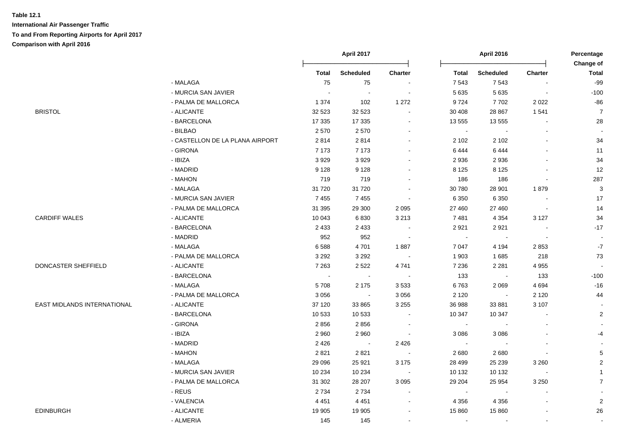|                             |                                 | April 2017   |                         |                |                | <b>April 2016</b> | Percentage               |                         |
|-----------------------------|---------------------------------|--------------|-------------------------|----------------|----------------|-------------------|--------------------------|-------------------------|
|                             |                                 |              |                         |                |                |                   |                          | Change of               |
|                             |                                 | <b>Total</b> | <b>Scheduled</b>        | <b>Charter</b> | <b>Total</b>   | <b>Scheduled</b>  | <b>Charter</b>           | <b>Total</b>            |
|                             | - MALAGA                        | 75           | 75                      |                | 7 5 4 3        | 7543              | $\sim$                   | $-99$                   |
|                             | - MURCIA SAN JAVIER             | $\sim$       | $\sim$                  |                | 5 6 3 5        | 5 6 3 5           | $\blacksquare$           | $-100$                  |
|                             | - PALMA DE MALLORCA             | 1 3 7 4      | 102                     | 1 2 7 2        | 9724           | 7702              | 2022                     | $-86$                   |
| <b>BRISTOL</b>              | - ALICANTE                      | 32 5 23      | 32 5 23                 |                | 30 40 8        | 28 867            | 1541                     | $\overline{7}$          |
|                             | - BARCELONA                     | 17 335       | 17 335                  |                | 13 555         | 13 555            |                          | 28                      |
|                             | - BILBAO                        | 2570         | 2570                    |                | $\omega$       | $\sim$            |                          |                         |
|                             | - CASTELLON DE LA PLANA AIRPORT | 2814         | 2814                    |                | 2 1 0 2        | 2 1 0 2           | $\sim$                   | 34                      |
|                             | - GIRONA                        | 7 1 7 3      | 7 1 7 3                 |                | 6444           | 6444              | $\sim$                   | 11                      |
|                             | - IBIZA                         | 3929         | 3929                    |                | 2936           | 2936              | $\sim$                   | 34                      |
|                             | - MADRID                        | 9 1 2 8      | 9 1 2 8                 | $\sim$         | 8 1 2 5        | 8 1 2 5           | $\overline{\phantom{a}}$ | 12                      |
|                             | - MAHON                         | 719          | 719                     |                | 186            | 186               | $\blacksquare$           | 287                     |
|                             | - MALAGA                        | 31 7 20      | 31 7 20                 |                | 30 780         | 28 901            | 1879                     | $\mathbf{3}$            |
|                             | - MURCIA SAN JAVIER             | 7455         | 7455                    |                | 6 3 5 0        | 6 3 5 0           | $\blacksquare$           | 17                      |
|                             | - PALMA DE MALLORCA             | 31 395       | 29 300                  | 2 0 9 5        | 27 460         | 27 460            | $\sim$                   | 14                      |
| <b>CARDIFF WALES</b>        | - ALICANTE                      | 10 043       | 6830                    | 3 2 1 3        | 7481           | 4 3 5 4           | 3 1 2 7                  | 34                      |
|                             | - BARCELONA                     | 2 4 3 3      | 2 4 3 3                 |                | 2921           | 2921              | $\sim$                   | $-17$                   |
|                             | - MADRID                        | 952          | 952                     |                | $\blacksquare$ |                   | $\sim$                   |                         |
|                             | - MALAGA                        | 6588         | 4701                    | 1887           | 7 0 4 7        | 4 1 9 4           | 2853                     | $\mathbf{-7}$           |
|                             | - PALMA DE MALLORCA             | 3 2 9 2      | 3 2 9 2                 |                | 1 903          | 1685              | 218                      | 73                      |
| DONCASTER SHEFFIELD         | - ALICANTE                      | 7 2 6 3      | 2 5 2 2                 | 4741           | 7 2 3 6        | 2 2 8 1           | 4 9 5 5                  |                         |
|                             | - BARCELONA                     | $\sim$       | $\sim$                  | $\sim$         | 133            | $\sim$            | 133                      | $-100$                  |
|                             | - MALAGA                        | 5708         | 2 1 7 5                 | 3 5 3 3        | 6763           | 2 0 6 9           | 4 6 9 4                  | $-16$                   |
|                             | - PALMA DE MALLORCA             | 3 0 5 6      | $\sim$                  | 3 0 5 6        | 2 1 2 0        | $\sim$            | 2 1 2 0                  | 44                      |
| EAST MIDLANDS INTERNATIONAL | - ALICANTE                      | 37 120       | 33 865                  | 3 2 5 5        | 36 988         | 33 881            | 3 1 0 7                  |                         |
|                             | - BARCELONA                     | 10 533       | 10 533                  | $\sim$         | 10 347         | 10 347            | $\overline{\phantom{a}}$ | $\overline{2}$          |
|                             | - GIRONA                        | 2856         | 2856                    | $\sim$         | $\blacksquare$ | $\sim$            | $\sim$                   |                         |
|                             | - IBIZA                         | 2 9 6 0      | 2 9 6 0                 | $\sim$         | 3 0 8 6        | 3 0 8 6           | $\blacksquare$           | $-4$                    |
|                             | - MADRID                        | 2 4 2 6      | $\sim 100$ km s $^{-1}$ | 2 4 2 6        | $\sim$         |                   | $\sim$                   |                         |
|                             | - MAHON                         | 2821         | 2821                    |                | 2680           | 2680              | $\sim$                   | 5                       |
|                             | - MALAGA                        | 29 0 96      | 25 9 21                 | 3 1 7 5        | 28 4 9 9       | 25 239            | 3 2 6 0                  | $\overline{\mathbf{c}}$ |
|                             | - MURCIA SAN JAVIER             | 10 234       | 10 234                  |                | 10 132         | 10 132            |                          | $\mathbf{1}$            |
|                             | - PALMA DE MALLORCA             | 31 302       | 28 207                  | 3 0 9 5        | 29 204         | 25 9 54           | 3 2 5 0                  | $\overline{7}$          |
|                             | - REUS                          | 2 7 3 4      | 2 7 3 4                 |                | $\sim$         | $\sim$            | $\sim$                   |                         |
|                             | - VALENCIA                      | 4 4 5 1      | 4 4 5 1                 | $\sim$         | 4 3 5 6        | 4 3 5 6           | $\sim$                   | $\mathbf 2$             |
| <b>EDINBURGH</b>            | - ALICANTE                      | 19 905       | 19 905                  |                | 15 860         | 15 860            |                          | 26                      |
|                             | - ALMERIA                       | 145          | 145                     |                | $\blacksquare$ |                   | $\blacksquare$           | $\blacksquare$          |
|                             |                                 |              |                         |                |                |                   |                          |                         |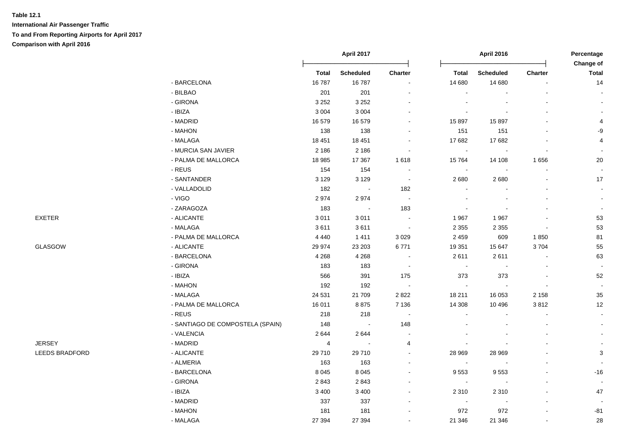|                       |                                  |              | April 2017       |                |                | April 2016       |                          | Percentage<br>Change of |
|-----------------------|----------------------------------|--------------|------------------|----------------|----------------|------------------|--------------------------|-------------------------|
|                       |                                  | <b>Total</b> | <b>Scheduled</b> | Charter        | <b>Total</b>   | <b>Scheduled</b> | <b>Charter</b>           | <b>Total</b>            |
|                       | - BARCELONA                      | 16787        | 16787            |                | 14 680         | 14 680           | $\blacksquare$           | 14                      |
|                       | - BILBAO                         | 201          | 201              |                |                |                  |                          |                         |
|                       | - GIRONA                         | 3 2 5 2      | 3 2 5 2          |                |                |                  |                          |                         |
|                       | - IBIZA                          | 3 0 0 4      | 3 0 0 4          |                |                |                  |                          |                         |
|                       | - MADRID                         | 16 579       | 16 579           |                | 15 897         | 15 897           |                          | 4                       |
|                       | - MAHON                          | 138          | 138              |                | 151            | 151              |                          | -9                      |
|                       | - MALAGA                         | 18 4 51      | 18 451           | $\sim$         | 17 682         | 17 682           |                          | 4                       |
|                       | - MURCIA SAN JAVIER              | 2 1 8 6      | 2 1 8 6          | $\sim$         | $\sim$         | $\sim$           | $\sim$                   |                         |
|                       | - PALMA DE MALLORCA              | 18 985       | 17 367           | 1 6 1 8        | 15764          | 14 108           | 1656                     | 20                      |
|                       | - REUS                           | 154          | 154              | $\sim$         | $\blacksquare$ | $\blacksquare$   | $\blacksquare$           |                         |
|                       | - SANTANDER                      | 3 1 2 9      | 3 1 2 9          | $\sim$         | 2680           | 2680             | $\blacksquare$           | 17                      |
|                       | - VALLADOLID                     | 182          | $\blacksquare$   | 182            |                |                  |                          | $\blacksquare$          |
|                       | - VIGO                           | 2974         | 2974             | $\blacksquare$ |                |                  | $\blacksquare$           | $\sim$                  |
|                       | - ZARAGOZA                       | 183          | $\sim$           | 183            |                |                  |                          | $\blacksquare$          |
| EXETER                | - ALICANTE                       | 3011         | 3 0 1 1          |                | 1967           | 1967             |                          | 53                      |
|                       | - MALAGA                         | 3611         | 3611             | $\sim$         | 2 3 5 5        | 2 3 5 5          | $\overline{\phantom{a}}$ | 53                      |
|                       | - PALMA DE MALLORCA              | 4 4 4 0      | 1411             | 3 0 2 9        | 2 4 5 9        | 609              | 1850                     | 81                      |
| GLASGOW               | - ALICANTE                       | 29 974       | 23 203           | 6771           | 19 351         | 15 647           | 3704                     | 55                      |
|                       | - BARCELONA                      | 4 2 6 8      | 4 2 6 8          | $\sim$         | 2611           | 2611             |                          | 63                      |
|                       | - GIRONA                         | 183          | 183              | $\sim$         | $\mathbf{u}$   | $\sim$           |                          | $\sim$                  |
|                       | - IBIZA                          | 566          | 391              | 175            | 373            | 373              | $\blacksquare$           | 52                      |
|                       | - MAHON                          | 192          | 192              | $\sim$         | $\sim$         |                  | $\overline{\phantom{a}}$ |                         |
|                       | - MALAGA                         | 24 5 31      | 21 709           | 2 8 2 2        | 18 211         | 16 053           | 2 1 5 8                  | $35\,$                  |
|                       | - PALMA DE MALLORCA              | 16 011       | 8875             | 7 1 3 6        | 14 308         | 10 496           | 3812                     | 12                      |
|                       | - REUS                           | 218          | 218              |                |                |                  |                          | $\blacksquare$          |
|                       | - SANTIAGO DE COMPOSTELA (SPAIN) | 148          | $\sim$           | 148            |                |                  |                          | $\sim$                  |
|                       | - VALENCIA                       | 2644         | 2644             | $\sim$         |                |                  |                          | $\sim$                  |
| <b>JERSEY</b>         | - MADRID                         | 4            | $\sim$           | 4              |                |                  |                          | $\blacksquare$          |
| <b>LEEDS BRADFORD</b> | - ALICANTE                       | 29710        | 29710            |                | 28 969         | 28 969           |                          | 3                       |
|                       | - ALMERIA                        | 163          | 163              |                | $\blacksquare$ |                  |                          | $\sim$                  |
|                       | - BARCELONA                      | 8 0 4 5      | 8 0 4 5          |                | 9553           | 9553             |                          | $-16$                   |
|                       | - GIRONA                         | 2843         | 2843             |                | $\sim$         |                  |                          | $\sim$                  |
|                       | - IBIZA                          | 3 4 0 0      | 3 4 0 0          |                | 2 3 1 0        | 2 3 1 0          | $\overline{a}$           | 47                      |
|                       | - MADRID                         | 337          | 337              | $\sim$         | $\sim$         | $\sim$           | $\sim$                   |                         |
|                       | - MAHON                          | 181          | 181              |                | 972            | 972              |                          | $-81$                   |
|                       | - MALAGA                         | 27 394       | 27 394           |                | 21 346         | 21 346           | $\blacksquare$           | 28                      |
|                       |                                  |              |                  |                |                |                  |                          |                         |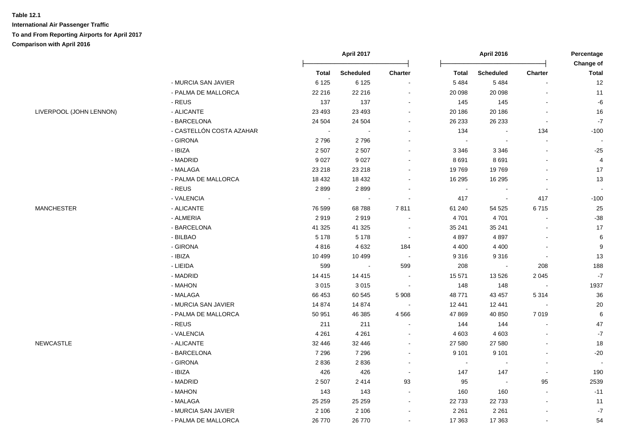|                         |                          | April 2017     |                  |                          | <b>April 2016</b> |                  | Percentage<br>Change of  |                          |
|-------------------------|--------------------------|----------------|------------------|--------------------------|-------------------|------------------|--------------------------|--------------------------|
|                         |                          | <b>Total</b>   | <b>Scheduled</b> | Charter                  | <b>Total</b>      | <b>Scheduled</b> | Charter                  | <b>Total</b>             |
|                         | - MURCIA SAN JAVIER      | 6 1 2 5        | 6 1 2 5          | $\blacksquare$           | 5 4 8 4           | 5 4 8 4          |                          | 12                       |
|                         | - PALMA DE MALLORCA      | 22 216         | 22 216           | $\blacksquare$           | 20 098            | 20 098           |                          | 11                       |
|                         | $-REUS$                  | 137            | 137              | $\blacksquare$           | 145               | 145              |                          | $\mbox{-}6$              |
| LIVERPOOL (JOHN LENNON) | - ALICANTE               | 23 4 93        | 23 4 93          | $\blacksquare$           | 20 186            | 20 18 6          | $\blacksquare$           | 16                       |
|                         | - BARCELONA              | 24 504         | 24 504           | $\blacksquare$           | 26 233            | 26 233           | $\blacksquare$           | $\mathbf{-7}$            |
|                         | - CASTELLÓN COSTA AZAHAR | $\blacksquare$ |                  | $\blacksquare$           | 134               |                  | 134                      | $-100$                   |
|                         | - GIRONA                 | 2796           | 2796             | $\blacksquare$           |                   | $\sim$           | $\blacksquare$           |                          |
|                         | - IBIZA                  | 2 5 0 7        | 2 5 0 7          |                          | 3 3 4 6           | 3 3 4 6          |                          | $-25$                    |
|                         | - MADRID                 | 9 0 27         | 9 0 27           | $\blacksquare$           | 8691              | 8691             | $\overline{a}$           | $\overline{4}$           |
|                         | - MALAGA                 | 23 218         | 23 218           | $\blacksquare$           | 19769             | 19769            | $\blacksquare$           | 17                       |
|                         | - PALMA DE MALLORCA      | 18 4 32        | 18 4 32          | $\blacksquare$           | 16 295            | 16 295           | $\blacksquare$           | 13                       |
|                         | - REUS                   | 2899           | 2899             | $\blacksquare$           | $\sim$            |                  |                          |                          |
|                         | - VALENCIA               |                |                  |                          | 417               |                  | 417                      | $-100$                   |
| <b>MANCHESTER</b>       | - ALICANTE               | 76 599         | 68788            | 7811                     | 61 240            | 54 525           | 6715                     | $25\,$                   |
|                         | - ALMERIA                | 2919           | 2919             |                          | 4701              | 4701             |                          | $-38$                    |
|                         | - BARCELONA              | 41 3 25        | 41 3 25          | $\sim$                   | 35 241            | 35 241           |                          | 17                       |
|                         | - BILBAO                 | 5 1 7 8        | 5 1 7 8          | $\blacksquare$           | 4897              | 4897             |                          | 6                        |
|                         | - GIRONA                 | 4816           | 4 6 3 2          | 184                      | 4 4 0 0           | 4 4 0 0          | ä,                       | $\boldsymbol{9}$         |
|                         | - IBIZA                  | 10 4 9 9       | 10 499           | $\blacksquare$           | 9 3 1 6           | 9316             | $\blacksquare$           | 13                       |
|                         | - LIEIDA                 | 599            | $\sim$           | 599                      | 208               | $\sim$           | 208                      | 188                      |
|                         | - MADRID                 | 14 4 15        | 14 4 15          | $\sim$                   | 15 571            | 13 5 26          | 2 0 4 5                  | $\mathbf{-7}$            |
|                         | - MAHON                  | 3015           | 3015             | $\sim$                   | 148               | 148              | $\sim$                   | 1937                     |
|                         | - MALAGA                 | 66 453         | 60 545           | 5 9 0 8                  | 48 771            | 43 457           | 5314                     | 36                       |
|                         | - MURCIA SAN JAVIER      | 14 8 74        | 14 874           | $\sim$                   | 12 441            | 12 441           | $\overline{\phantom{a}}$ | $20\,$                   |
|                         | - PALMA DE MALLORCA      | 50 951         | 46 385           | 4566                     | 47 869            | 40 850           | 7019                     | $\,6\,$                  |
|                         | - REUS                   | 211            | 211              | $\sim$                   | 144               | 144              | $\blacksquare$           | 47                       |
|                         | - VALENCIA               | 4 2 6 1        | 4 2 6 1          | $\blacksquare$           | 4 6 0 3           | 4 6 0 3          |                          | $\mathbf{-7}$            |
| <b>NEWCASTLE</b>        | - ALICANTE               | 32 446         | 32 446           | $\blacksquare$           | 27 580            | 27 580           |                          | 18                       |
|                         | - BARCELONA              | 7 2 9 6        | 7 2 9 6          | $\blacksquare$           | 9 1 0 1           | 9 1 0 1          |                          | $-20$                    |
|                         | - GIRONA                 | 2836           | 2836             | $\blacksquare$           | $\sim$            |                  | $\blacksquare$           | $\overline{\phantom{a}}$ |
|                         | - IBIZA                  | 426            | 426              | $\overline{\phantom{a}}$ | 147               | 147              | $\overline{\phantom{a}}$ | 190                      |
|                         | - MADRID                 | 2 5 0 7        | 2414             | 93                       | 95                | $\blacksquare$   | 95                       | 2539                     |
|                         | - MAHON                  | 143            | 143              | $\sim$                   | 160               | 160              | $\overline{a}$           | $-11$                    |
|                         | - MALAGA                 | 25 25 9        | 25 25 9          | $\blacksquare$           | 22 733            | 22 7 33          | $\blacksquare$           | 11                       |
|                         | - MURCIA SAN JAVIER      | 2 1 0 6        | 2 1 0 6          | $\overline{\phantom{a}}$ | 2 2 6 1           | 2 2 6 1          | $\overline{a}$           | $\mathbf{-7}$            |
|                         | - PALMA DE MALLORCA      | 26 770         | 26 770           | $\overline{a}$           | 17 363            | 17 363           | $\blacksquare$           | 54                       |
|                         |                          |                |                  |                          |                   |                  |                          |                          |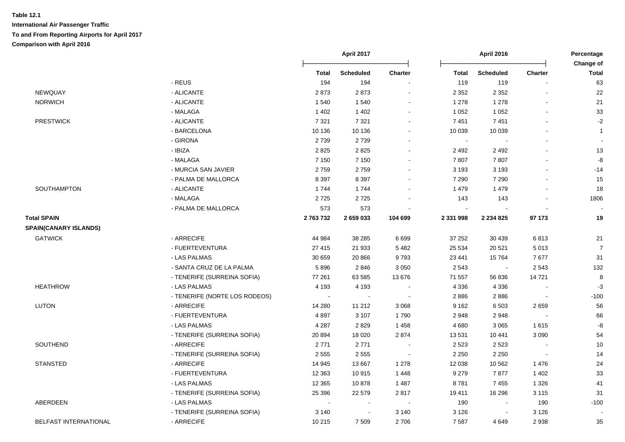|                              |                               |              | April 2017<br><b>April 2016</b> |                |              | Percentage<br>Change of |                          |                |
|------------------------------|-------------------------------|--------------|---------------------------------|----------------|--------------|-------------------------|--------------------------|----------------|
|                              |                               | <b>Total</b> | <b>Scheduled</b>                | <b>Charter</b> | <b>Total</b> | <b>Scheduled</b>        | Charter                  | <b>Total</b>   |
|                              | - REUS                        | 194          | 194                             |                | 119          | 119                     |                          | 63             |
| NEWQUAY                      | - ALICANTE                    | 2873         | 2873                            |                | 2 3 5 2      | 2 3 5 2                 |                          | 22             |
| <b>NORWICH</b>               | - ALICANTE                    | 1540         | 1540                            |                | 1 2 7 8      | 1 2 7 8                 |                          | 21             |
|                              | - MALAGA                      | 1 4 0 2      | 1 4 0 2                         |                | 1 0 5 2      | 1 0 5 2                 | $\blacksquare$           | 33             |
| <b>PRESTWICK</b>             | - ALICANTE                    | 7 3 2 1      | 7 3 2 1                         |                | 7451         | 7451                    |                          | $-2$           |
|                              | - BARCELONA                   | 10 136       | 10 136                          |                | 10 039       | 10 039                  |                          | $\mathbf{1}$   |
|                              | - GIRONA                      | 2739         | 2739                            |                | $\sim$       |                         |                          |                |
|                              | - IBIZA                       | 2825         | 2825                            |                | 2 4 9 2      | 2 4 9 2                 |                          | 13             |
|                              | - MALAGA                      | 7 1 5 0      | 7 1 5 0                         |                | 7807         | 7807                    |                          | -8             |
|                              | - MURCIA SAN JAVIER           | 2759         | 2759                            |                | 3 1 9 3      | 3 1 9 3                 |                          | $-14$          |
|                              | - PALMA DE MALLORCA           | 8 3 9 7      | 8 3 9 7                         |                | 7 2 9 0      | 7 2 9 0                 |                          | 15             |
| SOUTHAMPTON                  | - ALICANTE                    | 1744         | 1744                            |                | 1 4 7 9      | 1 4 7 9                 |                          | 18             |
|                              | - MALAGA                      | 2725         | 2725                            |                | 143          | 143                     |                          | 1806           |
|                              | - PALMA DE MALLORCA           | 573          | 573                             |                | $\sim$       |                         |                          |                |
| <b>Total SPAIN</b>           |                               | 2763732      | 2 659 033                       | 104 699        | 2 331 998    | 2 2 3 4 8 2 5           | 97 173                   | 19             |
| <b>SPAIN(CANARY ISLANDS)</b> |                               |              |                                 |                |              |                         |                          |                |
| <b>GATWICK</b>               | - ARRECIFE                    | 44 984       | 38 285                          | 6 6 9 9        | 37 252       | 30 439                  | 6813                     | $21$           |
|                              | - FUERTEVENTURA               | 27 415       | 21 933                          | 5 4 8 2        | 25 5 34      | 20 5 21                 | 5 0 1 3                  | $\overline{7}$ |
|                              | - LAS PALMAS                  | 30 659       | 20 866                          | 9793           | 23 441       | 15764                   | 7677                     | 31             |
|                              | - SANTA CRUZ DE LA PALMA      | 5896         | 2846                            | 3 0 5 0        | 2 5 4 3      | $\mathbf{r}$            | 2 5 4 3                  | 132            |
|                              | - TENERIFE (SURREINA SOFIA)   | 77 261       | 63 585                          | 13676          | 71 557       | 56 836                  | 14721                    | 8              |
| <b>HEATHROW</b>              | - LAS PALMAS                  | 4 1 9 3      | 4 1 9 3                         |                | 4 3 3 6      | 4 3 3 6                 |                          | $-3$           |
|                              | - TENERIFE (NORTE LOS RODEOS) |              |                                 |                | 2886         | 2886                    |                          | $-100$         |
| <b>LUTON</b>                 | - ARRECIFE                    | 14 280       | 11 212                          | 3 0 6 8        | 9 1 6 2      | 6 5 0 3                 | 2659                     | 56             |
|                              | - FUERTEVENTURA               | 4897         | 3 1 0 7                         | 1790           | 2948         | 2948                    |                          | 66             |
|                              | - LAS PALMAS                  | 4 2 8 7      | 2829                            | 1 4 5 8        | 4680         | 3 0 6 5                 | 1615                     | -8             |
|                              | - TENERIFE (SURREINA SOFIA)   | 20 894       | 18 0 20                         | 2874           | 13 5 31      | 10 441                  | 3 0 9 0                  | 54             |
| SOUTHEND                     | - ARRECIFE                    | 2771         | 2771                            |                | 2 5 2 3      | 2 5 2 3                 |                          | 10             |
|                              | - TENERIFE (SURREINA SOFIA)   | 2 5 5 5      | 2 5 5 5                         |                | 2 2 5 0      | 2 2 5 0                 | $\overline{\phantom{a}}$ | 14             |
| <b>STANSTED</b>              | - ARRECIFE                    | 14 945       | 13 667                          | 1 2 7 8        | 12 038       | 10 562                  | 1 4 7 6                  | 24             |
|                              | - FUERTEVENTURA               | 12 3 63      | 10915                           | 1 4 4 8        | 9 2 7 9      | 7877                    | 1 4 0 2                  | 33             |
|                              | - LAS PALMAS                  | 12 3 65      | 10878                           | 1 4 8 7        | 8781         | 7455                    | 1 3 2 6                  | 41             |
|                              | - TENERIFE (SURREINA SOFIA)   | 25 396       | 22 579                          | 2817           | 19 411       | 16 29 6                 | 3 1 1 5                  | 31             |
| ABERDEEN                     | - LAS PALMAS                  |              |                                 |                | 190          |                         | 190                      | $-100$         |
|                              | - TENERIFE (SURREINA SOFIA)   | 3 1 4 0      |                                 | 3 1 4 0        | 3 1 2 6      |                         | 3 1 2 6                  |                |
| <b>BELFAST INTERNATIONAL</b> | - ARRECIFE                    | 10 215       | 7 5 0 9                         | 2706           | 7 5 8 7      | 4 6 4 9                 | 2938                     | 35             |
|                              |                               |              |                                 |                |              |                         |                          |                |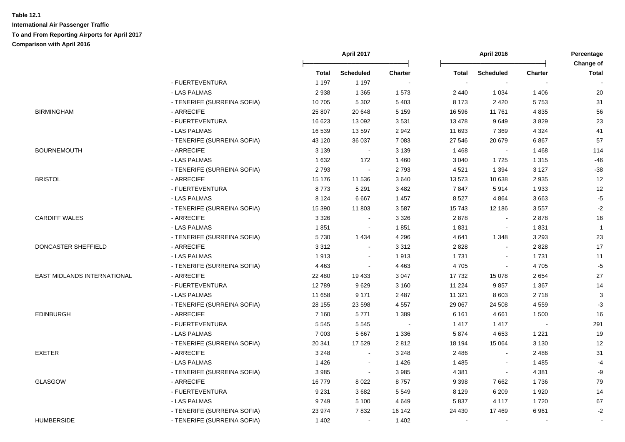|                             |                             |              | <b>April 2017</b> |                | <b>April 2016</b> |                  | Percentage<br>Change of |                |
|-----------------------------|-----------------------------|--------------|-------------------|----------------|-------------------|------------------|-------------------------|----------------|
|                             |                             | <b>Total</b> | <b>Scheduled</b>  | <b>Charter</b> | <b>Total</b>      | <b>Scheduled</b> | <b>Charter</b>          | <b>Total</b>   |
|                             | - FUERTEVENTURA             | 1 1 9 7      | 1 1 9 7           |                | $\sim$            |                  |                         |                |
|                             | - LAS PALMAS                | 2938         | 1 3 6 5           | 1573           | 2 4 4 0           | 1 0 3 4          | 1 4 0 6                 | 20             |
|                             | - TENERIFE (SURREINA SOFIA) | 10705        | 5 3 0 2           | 5 4 0 3        | 8 1 7 3           | 2 4 2 0          | 5753                    | 31             |
| <b>BIRMINGHAM</b>           | - ARRECIFE                  | 25 807       | 20 648            | 5 1 5 9        | 16 596            | 11761            | 4835                    | 56             |
|                             | - FUERTEVENTURA             | 16 623       | 13 092            | 3531           | 13 4 78           | 9649             | 3829                    | 23             |
|                             | - LAS PALMAS                | 16 539       | 13597             | 2 9 4 2        | 11 693            | 7 3 6 9          | 4 3 2 4                 | 41             |
|                             | - TENERIFE (SURREINA SOFIA) | 43 120       | 36 037            | 7 0 8 3        | 27 546            | 20 679           | 6867                    | 57             |
| <b>BOURNEMOUTH</b>          | - ARRECIFE                  | 3 1 3 9      | $\sim$            | 3 1 3 9        | 1468              |                  | 1468                    | 114            |
|                             | - LAS PALMAS                | 1 6 3 2      | 172               | 1 4 6 0        | 3 0 4 0           | 1725             | 1 3 1 5                 | $-46$          |
|                             | - TENERIFE (SURREINA SOFIA) | 2793         | $\sim$            | 2793           | 4 5 21            | 1 3 9 4          | 3 1 2 7                 | $-38$          |
| <b>BRISTOL</b>              | - ARRECIFE                  | 15 176       | 11 536            | 3640           | 13 573            | 10 638           | 2935                    | 12             |
|                             | - FUERTEVENTURA             | 8773         | 5 2 9 1           | 3 4 8 2        | 7847              | 5914             | 1933                    | 12             |
|                             | - LAS PALMAS                | 8 1 2 4      | 6667              | 1 4 5 7        | 8527              | 4 8 6 4          | 3663                    | $-5$           |
|                             | - TENERIFE (SURREINA SOFIA) | 15 390       | 11 803            | 3587           | 15743             | 12 186           | 3557                    | $-2$           |
| <b>CARDIFF WALES</b>        | - ARRECIFE                  | 3 3 2 6      | $\sim$            | 3 3 2 6        | 2878              | $\sim$           | 2878                    | 16             |
|                             | - LAS PALMAS                | 1851         | $\sim$            | 1851           | 1831              | $\sim$           | 1831                    | $\overline{1}$ |
|                             | - TENERIFE (SURREINA SOFIA) | 5730         | 1 4 3 4           | 4 2 9 6        | 4641              | 1 3 4 8          | 3 2 9 3                 | 23             |
| DONCASTER SHEFFIELD         | - ARRECIFE                  | 3 3 1 2      | $\blacksquare$    | 3 3 1 2        | 2828              | $\blacksquare$   | 2828                    | 17             |
|                             | - LAS PALMAS                | 1913         | $\blacksquare$    | 1913           | 1731              | $\mathbf{r}$     | 1731                    | 11             |
|                             | - TENERIFE (SURREINA SOFIA) | 4 4 6 3      | $\blacksquare$    | 4 4 6 3        | 4705              | $\mathbf{r}$     | 4705                    | $-5$           |
| EAST MIDLANDS INTERNATIONAL | - ARRECIFE                  | 22 480       | 19 433            | 3 0 4 7        | 17 732            | 15 0 78          | 2654                    | 27             |
|                             | - FUERTEVENTURA             | 12789        | 9629              | 3 160          | 11 2 24           | 9857             | 1 3 6 7                 | 14             |
|                             | - LAS PALMAS                | 11 658       | 9 1 7 1           | 2 4 8 7        | 11 321            | 8 6 0 3          | 2718                    | $\sqrt{3}$     |
|                             | - TENERIFE (SURREINA SOFIA) | 28 155       | 23 598            | 4 5 5 7        | 29 067            | 24 508           | 4559                    | $-3$           |
| <b>EDINBURGH</b>            | - ARRECIFE                  | 7 1 6 0      | 5771              | 1 3 8 9        | 6 1 6 1           | 4661             | 1500                    | 16             |
|                             | - FUERTEVENTURA             | 5 5 4 5      | 5 5 4 5           |                | 1417              | 1 4 1 7          |                         | 291            |
|                             | - LAS PALMAS                | 7 0 0 3      | 5 6 6 7           | 1 3 3 6        | 5874              | 4 6 5 3          | 1 2 2 1                 | 19             |
|                             | - TENERIFE (SURREINA SOFIA) | 20 341       | 17529             | 2812           | 18 194            | 15 0 64          | 3 1 3 0                 | 12             |
| <b>EXETER</b>               | - ARRECIFE                  | 3 2 4 8      | $\overline{a}$    | 3 2 4 8        | 2 4 8 6           | $\sim$           | 2 4 8 6                 | 31             |
|                             | - LAS PALMAS                | 1426         | $\sim$            | 1426           | 1 4 8 5           |                  | 1 4 8 5                 | $-4$           |
|                             | - TENERIFE (SURREINA SOFIA) | 3985         | $\blacksquare$    | 3 9 8 5        | 4 3 8 1           | $\sim$           | 4 3 8 1                 | -9             |
| GLASGOW                     | - ARRECIFE                  | 16779        | 8 0 2 2           | 8757           | 9 3 9 8           | 7662             | 1736                    | 79             |
|                             | - FUERTEVENTURA             | 9 2 3 1      | 3682              | 5 5 4 9        | 8 1 2 9           | 6 2 0 9          | 1920                    | 14             |
|                             | - LAS PALMAS                | 9749         | 5 1 0 0           | 4 6 4 9        | 5837              | 4 1 1 7          | 1720                    | 67             |
|                             | - TENERIFE (SURREINA SOFIA) | 23 974       | 7832              | 16 142         | 24 4 30           | 17469            | 6961                    | $-2$           |
| <b>HUMBERSIDE</b>           | - TENERIFE (SURREINA SOFIA) | 1 4 0 2      | $\sim$            | 1 4 0 2        | $\sim$            |                  |                         |                |
|                             |                             |              |                   |                |                   |                  |                         |                |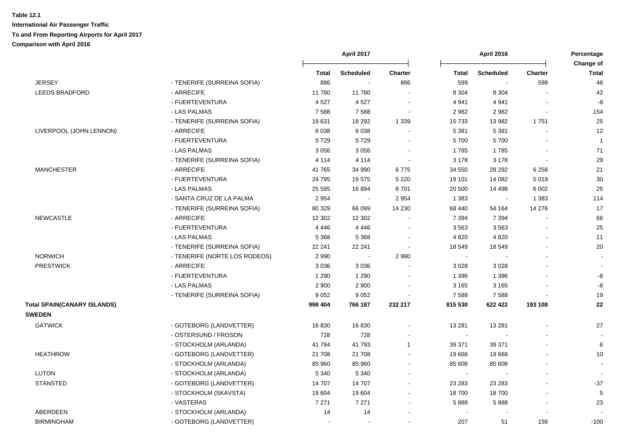|                                    |                               |              | April 2017       |                |                | <b>April 2016</b> |                          | Percentage<br>Change of |  |
|------------------------------------|-------------------------------|--------------|------------------|----------------|----------------|-------------------|--------------------------|-------------------------|--|
|                                    |                               | <b>Total</b> | <b>Scheduled</b> | <b>Charter</b> | <b>Total</b>   | <b>Scheduled</b>  | Charter                  | <b>Total</b>            |  |
| <b>JERSEY</b>                      | - TENERIFE (SURREINA SOFIA)   | 886          | $\sim$           | 886            | 599            | $\sim$            | 599                      | 48                      |  |
| <b>LEEDS BRADFORD</b>              | - ARRECIFE                    | 11780        | 11780            |                | 8 3 0 4        | 8 3 0 4           |                          | 42                      |  |
|                                    | - FUERTEVENTURA               | 4527         | 4527             | $\sim$         | 4941           | 4 9 4 1           | $\blacksquare$           | -8                      |  |
|                                    | - LAS PALMAS                  | 7588         | 7588             | $\sim$         | 2982           | 2982              | $\blacksquare$           | 154                     |  |
|                                    | - TENERIFE (SURREINA SOFIA)   | 19631        | 18 29 2          | 1 3 3 9        | 15 7 33        | 13 982            | 1751                     | 25                      |  |
| LIVERPOOL (JOHN LENNON)            | - ARRECIFE                    | 6038         | 6038             |                | 5 3 8 1        | 5 3 8 1           |                          | 12                      |  |
|                                    | - FUERTEVENTURA               | 5729         | 5729             |                | 5700           | 5700              |                          | $\mathbf{1}$            |  |
|                                    | - LAS PALMAS                  | 3 0 5 6      | 3 0 5 6          |                | 1785           | 1785              |                          | 71                      |  |
|                                    | - TENERIFE (SURREINA SOFIA)   | 4 1 1 4      | 4 1 1 4          | $\sim$         | 3 1 7 8        | 3 1 7 8           | $\blacksquare$           | 29                      |  |
| <b>MANCHESTER</b>                  | - ARRECIFE                    | 41765        | 34 990           | 6775           | 34 550         | 28 29 2           | 6 2 5 8                  | 21                      |  |
|                                    | - FUERTEVENTURA               | 24 795       | 19575            | 5 2 2 0        | 19 101         | 14 082            | 5019                     | $30\,$                  |  |
|                                    | - LAS PALMAS                  | 25 5 95      | 16894            | 8701           | 20 500         | 14 4 98           | 6 0 0 2                  | 25                      |  |
|                                    | - SANTA CRUZ DE LA PALMA      | 2954         | $\sim$           | 2 9 5 4        | 1 3 8 3        | $\sim$            | 1 3 8 3                  | 114                     |  |
|                                    | - TENERIFE (SURREINA SOFIA)   | 80 329       | 66 099           | 14 2 30        | 68 440         | 54 164            | 14 276                   | 17                      |  |
| <b>NEWCASTLE</b>                   | - ARRECIFE                    | 12 302       | 12 302           |                | 7 3 9 4        | 7 3 9 4           |                          | 66                      |  |
|                                    | - FUERTEVENTURA               | 4 4 4 6      | 4 4 4 6          |                | 3563           | 3563              |                          | 25                      |  |
|                                    | - LAS PALMAS                  | 5 3 6 8      | 5 3 6 8          | $\sim$         | 4 8 20         | 4 8 20            |                          | 11                      |  |
|                                    | - TENERIFE (SURREINA SOFIA)   | 22 241       | 22 241           |                | 18 549         | 18549             |                          | 20                      |  |
| <b>NORWICH</b>                     | - TENERIFE (NORTE LOS RODEOS) | 2 9 9 0      | $\blacksquare$   | 2 9 9 0        | $\blacksquare$ |                   |                          |                         |  |
| <b>PRESTWICK</b>                   | - ARRECIFE                    | 3 0 3 6      | 3036             |                | 3 0 28         | 3 0 28            |                          | $\blacksquare$          |  |
|                                    | - FUERTEVENTURA               | 1 2 9 0      | 1 2 9 0          |                | 1 3 9 6        | 1 3 9 6           |                          | -8                      |  |
|                                    | - LAS PALMAS                  | 2 9 0 0      | 2 9 0 0          |                | 3 1 6 5        | 3 1 6 5           |                          | $\mbox{-}8$             |  |
|                                    | - TENERIFE (SURREINA SOFIA)   | 9 0 5 2      | 9052             |                | 7588           | 7588              |                          | 19                      |  |
| <b>Total SPAIN(CANARY ISLANDS)</b> |                               | 998 404      | 766 187          | 232 217        | 815 530        | 622 422           | 193 108                  | 22                      |  |
| <b>SWEDEN</b>                      |                               |              |                  |                |                |                   |                          |                         |  |
| <b>GATWICK</b>                     | - GOTEBORG (LANDVETTER)       | 16830        | 16830            |                | 13 281         | 13 281            |                          | 27                      |  |
|                                    | - OSTERSUND / FROSON          | 728          | 728              |                | $\sim$         |                   |                          |                         |  |
|                                    | - STOCKHOLM (ARLANDA)         | 41 794       | 41 793           | $\mathbf{1}$   | 39 371         | 39 371            |                          | 6                       |  |
| <b>HEATHROW</b>                    | - GOTEBORG (LANDVETTER)       | 21 708       | 21 708           |                | 19 668         | 19668             |                          | 10                      |  |
|                                    | - STOCKHOLM (ARLANDA)         | 85 960       | 85 960           |                | 85 608         | 85 608            |                          |                         |  |
| <b>LUTON</b>                       | - STOCKHOLM (ARLANDA)         | 5 3 4 0      | 5 3 4 0          |                | $\sim$         | $\sim$            | $\sim$                   |                         |  |
| <b>STANSTED</b>                    | - GOTEBORG (LANDVETTER)       | 14 707       | 14 707           | $\sim$         | 23 28 3        | 23 28 3           |                          | $-37$                   |  |
|                                    | - STOCKHOLM (SKAVSTA)         | 19 604       | 19 604           |                | 18700          | 18700             |                          | 5                       |  |
|                                    | - VASTERAS                    | 7 2 7 1      | 7 271            |                | 5888           | 5888              | $\overline{\phantom{a}}$ | 23                      |  |
| ABERDEEN                           | - STOCKHOLM (ARLANDA)         | 14           | 14               |                |                |                   | $\blacksquare$           |                         |  |
| <b>BIRMINGHAM</b>                  | - GOTEBORG (LANDVETTER)       |              | $\sim$           |                | 207            | 51                | 156                      | $-100$                  |  |
|                                    |                               |              |                  |                |                |                   |                          |                         |  |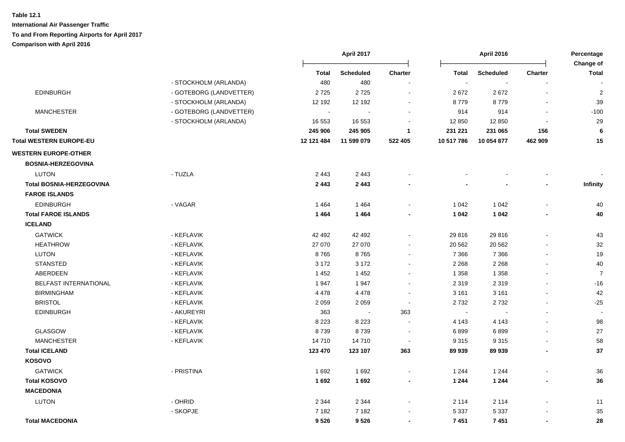|                                 |                         |                             | April 2017       |                |            | <b>April 2016</b> |                          | Percentage<br>Change of |  |
|---------------------------------|-------------------------|-----------------------------|------------------|----------------|------------|-------------------|--------------------------|-------------------------|--|
|                                 |                         | <b>Total</b>                | <b>Scheduled</b> | Charter        | Total      | <b>Scheduled</b>  | Charter                  | <b>Total</b>            |  |
|                                 | - STOCKHOLM (ARLANDA)   | 480                         | 480              |                | $\sim$     |                   |                          |                         |  |
| <b>EDINBURGH</b>                | - GOTEBORG (LANDVETTER) | 2725                        | 2725             | $\sim$         | 2672       | 2672              | $\blacksquare$           | $\overline{\mathbf{c}}$ |  |
|                                 | - STOCKHOLM (ARLANDA)   | 12 192                      | 12 192           |                | 8779       | 8779              |                          | $39\,$                  |  |
| <b>MANCHESTER</b>               | - GOTEBORG (LANDVETTER) | $\mathcal{L}_{\mathcal{A}}$ | $\blacksquare$   |                | 914        | 914               | $\blacksquare$           | $-100$                  |  |
|                                 | - STOCKHOLM (ARLANDA)   | 16 553                      | 16 553           |                | 12 850     | 12 850            | $\overline{\phantom{a}}$ | 29                      |  |
| <b>Total SWEDEN</b>             |                         | 245 906                     | 245 905          | $\mathbf{1}$   | 231 221    | 231 065           | 156                      | 6                       |  |
| Total WESTERN EUROPE-EU         |                         | 12 121 484                  | 11 599 079       | 522 405        | 10 517 786 | 10 054 877        | 462 909                  | 15                      |  |
| <b>WESTERN EUROPE-OTHER</b>     |                         |                             |                  |                |            |                   |                          |                         |  |
| <b>BOSNIA-HERZEGOVINA</b>       |                         |                             |                  |                |            |                   |                          |                         |  |
| <b>LUTON</b>                    | - TUZLA                 | 2 4 4 3                     | 2 4 4 3          |                |            |                   |                          |                         |  |
| <b>Total BOSNIA-HERZEGOVINA</b> |                         | 2 4 4 3                     | 2 4 4 3          |                |            |                   | $\blacksquare$           | Infinity                |  |
| <b>FAROE ISLANDS</b>            |                         |                             |                  |                |            |                   |                          |                         |  |
| <b>EDINBURGH</b>                | - VAGAR                 | 1464                        | 1464             |                | 1 0 4 2    | 1 0 4 2           | $\overline{a}$           | 40                      |  |
| <b>Total FAROE ISLANDS</b>      |                         | 1464                        | 1464             |                | 1 0 4 2    | 1 0 4 2           | $\blacksquare$           | 40                      |  |
| <b>ICELAND</b>                  |                         |                             |                  |                |            |                   |                          |                         |  |
| <b>GATWICK</b>                  | - KEFLAVIK              | 42 492                      | 42 492           |                | 29 816     | 29 816            | $\blacksquare$           | 43                      |  |
| <b>HEATHROW</b>                 | - KEFLAVIK              | 27 070                      | 27 070           |                | 20 562     | 20 5 62           |                          | $32\,$                  |  |
| LUTON                           | - KEFLAVIK              | 8765                        | 8765             |                | 7 3 6 6    | 7 3 6 6           | $\blacksquare$           | 19                      |  |
| <b>STANSTED</b>                 | - KEFLAVIK              | 3 1 7 2                     | 3 1 7 2          |                | 2 2 6 8    | 2 2 6 8           |                          | 40                      |  |
| ABERDEEN                        | - KEFLAVIK              | 1452                        | 1 4 5 2          |                | 1 3 5 8    | 1 3 5 8           |                          | $\overline{7}$          |  |
| BELFAST INTERNATIONAL           | - KEFLAVIK              | 1947                        | 1947             |                | 2 3 1 9    | 2 3 1 9           |                          | $-16$                   |  |
| <b>BIRMINGHAM</b>               | - KEFLAVIK              | 4 4 7 8                     | 4 4 7 8          |                | 3 1 6 1    | 3 1 6 1           |                          | 42                      |  |
| <b>BRISTOL</b>                  | - KEFLAVIK              | 2 0 5 9                     | 2 0 5 9          |                | 2732       | 2732              |                          | $-25$                   |  |
| <b>EDINBURGH</b>                | - AKUREYRI              | 363                         | $\sim$           | 363            | $\sim$     |                   |                          |                         |  |
|                                 | - KEFLAVIK              | 8 2 2 3                     | 8 2 2 3          | $\sim$         | 4 1 4 3    | 4 1 4 3           |                          | 98                      |  |
| <b>GLASGOW</b>                  | - KEFLAVIK              | 8739                        | 8739             | $\blacksquare$ | 6899       | 6899              | $\blacksquare$           | 27                      |  |
| <b>MANCHESTER</b>               | - KEFLAVIK              | 14710                       | 14 710           | $\blacksquare$ | 9 3 1 5    | 9315              | $\overline{a}$           | 58                      |  |
| <b>Total ICELAND</b>            |                         | 123 470                     | 123 107          | 363            | 89 939     | 89 939            | $\blacksquare$           | 37                      |  |
| <b>KOSOVO</b>                   |                         |                             |                  |                |            |                   |                          |                         |  |
| <b>GATWICK</b>                  | - PRISTINA              | 1692                        | 1692             |                | 1 2 4 4    | 1 2 4 4           |                          | $36\,$                  |  |
| <b>Total KOSOVO</b>             |                         | 1692                        | 1692             | $\blacksquare$ | 1 2 4 4    | 1 2 4 4           | $\blacksquare$           | 36                      |  |
| <b>MACEDONIA</b>                |                         |                             |                  |                |            |                   |                          |                         |  |
| LUTON                           | - OHRID                 | 2 3 4 4                     | 2 3 4 4          |                | 2 1 1 4    | 2 1 1 4           |                          | 11                      |  |
|                                 | - SKOPJE                | 7 1 8 2                     | 7 1 8 2          |                | 5 3 3 7    | 5 3 3 7           |                          | $35\,$                  |  |
| <b>Total MACEDONIA</b>          |                         | 9526                        | 9526             | $\blacksquare$ | 7451       | 7451              | $\blacksquare$           | 28                      |  |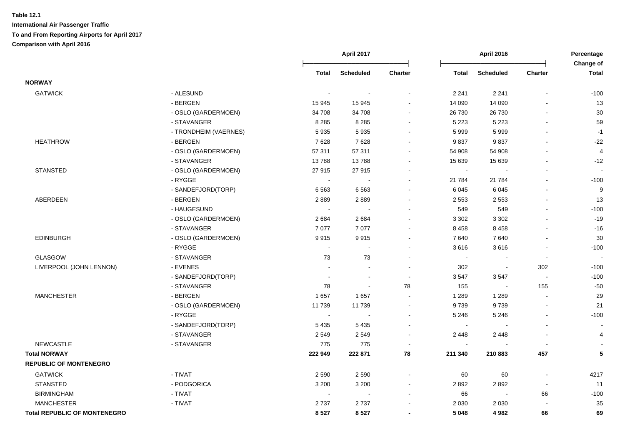|                                     |                       |                          | April 2017               |                          |              | <b>April 2016</b> |                          | Percentage<br><b>Change of</b> |
|-------------------------------------|-----------------------|--------------------------|--------------------------|--------------------------|--------------|-------------------|--------------------------|--------------------------------|
|                                     |                       | Total                    | <b>Scheduled</b>         | <b>Charter</b>           | <b>Total</b> | <b>Scheduled</b>  | <b>Charter</b>           | <b>Total</b>                   |
| <b>NORWAY</b>                       |                       |                          |                          |                          |              |                   |                          |                                |
| <b>GATWICK</b>                      | - ALESUND             |                          |                          |                          | 2 2 4 1      | 2 2 4 1           | $\blacksquare$           | $-100$                         |
|                                     | - BERGEN              | 15 945                   | 15 945                   |                          | 14 090       | 14 090            |                          | 13                             |
|                                     | - OSLO (GARDERMOEN)   | 34 708                   | 34 708                   |                          | 26 730       | 26 730            |                          | 30                             |
|                                     | - STAVANGER           | 8 2 8 5                  | 8 2 8 5                  |                          | 5 2 2 3      | 5 2 2 3           |                          | 59                             |
|                                     | - TRONDHEIM (VAERNES) | 5935                     | 5935                     |                          | 5999         | 5999              |                          | $-1$                           |
| <b>HEATHROW</b>                     | - BERGEN              | 7628                     | 7628                     |                          | 9837         | 9837              |                          | $-22$                          |
|                                     | - OSLO (GARDERMOEN)   | 57 311                   | 57 311                   |                          | 54 908       | 54 908            |                          | 4                              |
|                                     | - STAVANGER           | 13788                    | 13788                    |                          | 15 639       | 15 639            |                          | $-12$                          |
| <b>STANSTED</b>                     | - OSLO (GARDERMOEN)   | 27915                    | 27 915                   |                          | $\sim$       |                   |                          |                                |
|                                     | - RYGGE               |                          |                          |                          | 21 784       | 21 784            |                          | $-100$                         |
|                                     | - SANDEFJORD(TORP)    | 6563                     | 6563                     |                          | 6 0 4 5      | 6 0 4 5           | $\blacksquare$           | $\boldsymbol{9}$               |
| ABERDEEN                            | - BERGEN              | 2889                     | 2889                     |                          | 2 5 5 3      | 2 5 5 3           | $\blacksquare$           | 13                             |
|                                     | - HAUGESUND           |                          |                          |                          | 549          | 549               | $\blacksquare$           | $-100$                         |
|                                     | - OSLO (GARDERMOEN)   | 2684                     | 2684                     |                          | 3 3 0 2      | 3 3 0 2           |                          | $-19$                          |
|                                     | - STAVANGER           | 7077                     | 7077                     |                          | 8 4 5 8      | 8458              | ÷.                       | $-16$                          |
| <b>EDINBURGH</b>                    | - OSLO (GARDERMOEN)   | 9915                     | 9915                     |                          | 7640         | 7640              | $\blacksquare$           | 30                             |
|                                     | - RYGGE               | $\sim$                   |                          |                          | 3616         | 3616              | $\mathbf{r}$             | $-100$                         |
| GLASGOW                             | - STAVANGER           | 73                       | 73                       | $\overline{\phantom{a}}$ | $\sim$       | $\blacksquare$    | $\blacksquare$           |                                |
| LIVERPOOL (JOHN LENNON)             | - EVENES              |                          | $\overline{a}$           |                          | 302          | $\sim$            | 302                      | $-100$                         |
|                                     | - SANDEFJORD(TORP)    | $\overline{a}$           | $\overline{a}$           | $\blacksquare$           | 3547         | 3547              | $\sim$                   | $-100$                         |
|                                     | - STAVANGER           | 78                       | $\sim$                   | 78                       | 155          | $\sim$            | 155                      | $-50$                          |
| <b>MANCHESTER</b>                   | - BERGEN              | 1657                     | 1657                     | $\overline{\phantom{a}}$ | 1 2 8 9      | 1 2 8 9           | $\blacksquare$           | 29                             |
|                                     | - OSLO (GARDERMOEN)   | 11 739                   | 11 739                   | $\sim$                   | 9739         | 9739              | $\mathbf{r}$             | 21                             |
|                                     | - RYGGE               | $\overline{\phantom{a}}$ |                          | $\sim$                   | 5 2 4 6      | 5 2 4 6           | $\blacksquare$           | $-100$                         |
|                                     | - SANDEFJORD(TORP)    | 5 4 3 5                  | 5 4 3 5                  |                          |              |                   |                          |                                |
|                                     | - STAVANGER           | 2 5 4 9                  | 2549                     |                          | 2 4 4 8      | 2 4 4 8           |                          | 4                              |
| <b>NEWCASTLE</b>                    | - STAVANGER           | 775                      | 775                      |                          | $\sim$       |                   | $\overline{\phantom{a}}$ |                                |
| <b>Total NORWAY</b>                 |                       | 222 949                  | 222 871                  | 78                       | 211 340      | 210 883           | 457                      | 5                              |
| <b>REPUBLIC OF MONTENEGRO</b>       |                       |                          |                          |                          |              |                   |                          |                                |
| <b>GATWICK</b>                      | - TIVAT               | 2 5 9 0                  | 2 5 9 0                  |                          | 60           | 60                |                          | 4217                           |
| <b>STANSTED</b>                     | - PODGORICA           | 3 2 0 0                  | 3 2 0 0                  |                          | 2892         | 2892              | $\sim$                   | 11                             |
| <b>BIRMINGHAM</b>                   | - TIVAT               |                          | $\overline{\phantom{a}}$ | $\overline{\phantom{a}}$ | 66           | $\blacksquare$    | 66                       | $-100$                         |
| <b>MANCHESTER</b>                   | - TIVAT               | 2737                     | 2737                     |                          | 2 0 3 0      | 2 0 3 0           |                          | 35                             |
| <b>Total REPUBLIC OF MONTENEGRO</b> |                       | 8527                     | 8527                     | $\blacksquare$           | 5 0 4 8      | 4982              | 66                       | 69                             |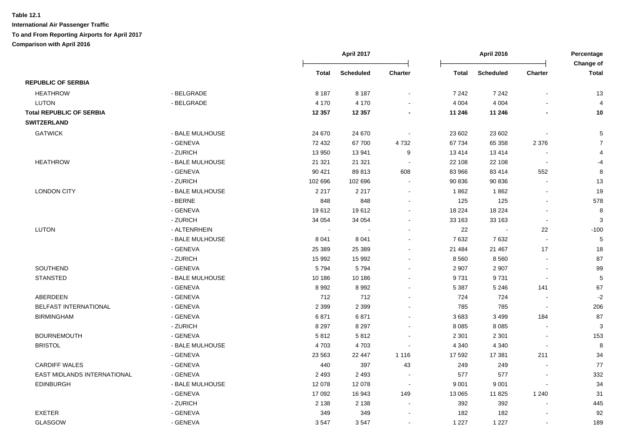|                                 |                 |              | April 2017<br><b>April 2016</b> |                | Percentage<br>Change of |                  |                          |                |
|---------------------------------|-----------------|--------------|---------------------------------|----------------|-------------------------|------------------|--------------------------|----------------|
|                                 |                 | <b>Total</b> | <b>Scheduled</b>                | Charter        | <b>Total</b>            | <b>Scheduled</b> | <b>Charter</b>           | <b>Total</b>   |
| <b>REPUBLIC OF SERBIA</b>       |                 |              |                                 |                |                         |                  |                          |                |
| <b>HEATHROW</b>                 | - BELGRADE      | 8 1 8 7      | 8 1 8 7                         |                | 7 2 4 2                 | 7 2 4 2          |                          | 13             |
| <b>LUTON</b>                    | - BELGRADE      | 4 1 7 0      | 4 1 7 0                         |                | 4 0 0 4                 | 4 0 0 4          |                          | $\overline{4}$ |
| <b>Total REPUBLIC OF SERBIA</b> |                 | 12 3 5 7     | 12 3 5 7                        |                | 11 246                  | 11 246           | L.                       | 10             |
| <b>SWITZERLAND</b>              |                 |              |                                 |                |                         |                  |                          |                |
| <b>GATWICK</b>                  | - BALE MULHOUSE | 24 670       | 24 670                          |                | 23 602                  | 23 602           |                          | 5              |
|                                 | - GENEVA        | 72 432       | 67700                           | 4732           | 67 734                  | 65 358           | 2 3 7 6                  | $\overline{7}$ |
|                                 | - ZURICH        | 13 950       | 13 941                          | 9              | 13 4 14                 | 13414            |                          |                |
| <b>HEATHROW</b>                 | - BALE MULHOUSE | 21 3 21      | 21 321                          | $\sim$         | 22 108                  | 22 108           | $\sim$                   | $-4$           |
|                                 | - GENEVA        | 90 4 21      | 89813                           | 608            | 83 966                  | 83 414           | 552                      | 8              |
|                                 | - ZURICH        | 102 696      | 102 696                         | $\blacksquare$ | 90 836                  | 90 836           | $\blacksquare$           | 13             |
| <b>LONDON CITY</b>              | - BALE MULHOUSE | 2 2 1 7      | 2 2 1 7                         | $\sim$         | 1862                    | 1862             | $\sim$                   | 19             |
|                                 | - BERNE         | 848          | 848                             | $\sim$         | 125                     | 125              | ä,                       | 578            |
|                                 | - GENEVA        | 19612        | 19612                           | $\sim$         | 18 2 24                 | 18 2 24          | $\blacksquare$           | 8              |
|                                 | - ZURICH        | 34 054       | 34 054                          | $\sim$         | 33 163                  | 33 163           | $\overline{\phantom{a}}$ | 3              |
| <b>LUTON</b>                    | - ALTENRHEIN    |              |                                 |                | 22                      | $\sim$           | 22                       | $-100$         |
|                                 | - BALE MULHOUSE | 8 0 4 1      | 8 0 4 1                         |                | 7632                    | 7632             | $\mathbf{r}$             | 5              |
|                                 | - GENEVA        | 25 389       | 25 389                          |                | 21 4 84                 | 21 467           | 17                       | 18             |
|                                 | - ZURICH        | 15 992       | 15 992                          |                | 8 5 6 0                 | 8 5 6 0          |                          | 87             |
| SOUTHEND                        | - GENEVA        | 5794         | 5794                            |                | 2 9 0 7                 | 2 9 0 7          | $\blacksquare$           | 99             |
| <b>STANSTED</b>                 | - BALE MULHOUSE | 10 186       | 10 186                          |                | 9731                    | 9731             | $\overline{a}$           | 5              |
|                                 | - GENEVA        | 8992         | 8992                            |                | 5 3 8 7                 | 5 2 4 6          | 141                      | 67             |
| ABERDEEN                        | - GENEVA        | 712          | 712                             |                | 724                     | 724              | $\blacksquare$           | $-2$           |
| BELFAST INTERNATIONAL           | - GENEVA        | 2 3 9 9      | 2 3 9 9                         |                | 785                     | 785              | $\sim$                   | 206            |
| <b>BIRMINGHAM</b>               | - GENEVA        | 6871         | 6871                            |                | 3683                    | 3 4 9 9          | 184                      | 87             |
|                                 | - ZURICH        | 8 2 9 7      | 8 2 9 7                         |                | 8 0 8 5                 | 8 0 8 5          | ÷,                       | 3              |
| <b>BOURNEMOUTH</b>              | - GENEVA        | 5812         | 5812                            |                | 2 3 0 1                 | 2 3 0 1          | $\overline{a}$           | 153            |
| <b>BRISTOL</b>                  | - BALE MULHOUSE | 4703         | 4703                            |                | 4 3 4 0                 | 4 3 4 0          | $\blacksquare$           | 8              |
|                                 | - GENEVA        | 23 5 63      | 22 447                          | 1 1 1 6        | 17 592                  | 17 381           | 211                      | 34             |
| <b>CARDIFF WALES</b>            | - GENEVA        | 440          | 397                             | 43             | 249                     | 249              |                          | 77             |
| EAST MIDLANDS INTERNATIONAL     | - GENEVA        | 2 4 9 3      | 2 4 9 3                         |                | 577                     | 577              | L,                       | 332            |
| <b>EDINBURGH</b>                | - BALE MULHOUSE | 12 078       | 12 078                          | $\sim$         | 9 0 0 1                 | 9 0 0 1          |                          | 34             |
|                                 | - GENEVA        | 17 092       | 16 943                          | 149            | 13 065                  | 11 825           | 1 2 4 0                  | 31             |
|                                 | - ZURICH        | 2 1 3 8      | 2 1 3 8                         | $\sim$         | 392                     | 392              | $\overline{a}$           | 445            |
| <b>EXETER</b>                   | - GENEVA        | 349          | 349                             |                | 182                     | 182              |                          | 92             |
| <b>GLASGOW</b>                  | - GENEVA        | 3547         | 3547                            |                | 1 2 2 7                 | 1 2 2 7          |                          | 189            |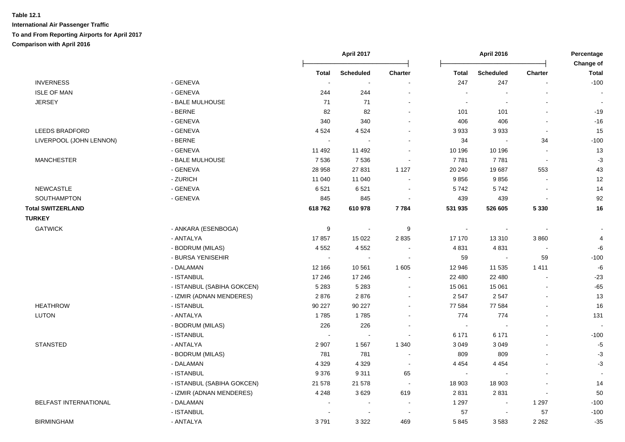|                          |                            |                  | April 2017       |                          |                          | <b>April 2016</b> |                          | Percentage<br>Change of |  |
|--------------------------|----------------------------|------------------|------------------|--------------------------|--------------------------|-------------------|--------------------------|-------------------------|--|
|                          |                            | <b>Total</b>     | <b>Scheduled</b> | <b>Charter</b>           | Total                    | <b>Scheduled</b>  | <b>Charter</b>           | <b>Total</b>            |  |
| <b>INVERNESS</b>         | - GENEVA                   | $\sim$           |                  |                          | 247                      | 247               |                          | $-100$                  |  |
| <b>ISLE OF MAN</b>       | - GENEVA                   | 244              | 244              |                          | $\overline{\phantom{a}}$ |                   |                          |                         |  |
| <b>JERSEY</b>            | - BALE MULHOUSE            | 71               | 71               |                          | $\sim$                   |                   |                          |                         |  |
|                          | - BERNE                    | 82               | 82               |                          | 101                      | 101               |                          | $-19$                   |  |
|                          | - GENEVA                   | 340              | 340              |                          | 406                      | 406               |                          | $-16$                   |  |
| <b>LEEDS BRADFORD</b>    | - GENEVA                   | 4 5 24           | 4 5 24           | $\sim$                   | 3 9 3 3                  | 3933              |                          | 15                      |  |
| LIVERPOOL (JOHN LENNON)  | $-BERNE$                   |                  |                  |                          | 34                       |                   | 34                       | $-100$                  |  |
|                          | - GENEVA                   | 11 492           | 11 492           | $\sim$                   | 10 196                   | 10 196            | $\sim$                   | 13                      |  |
| <b>MANCHESTER</b>        | - BALE MULHOUSE            | 7536             | 7536             |                          | 7 7 8 1                  | 7781              | $\overline{\phantom{a}}$ | $-3$                    |  |
|                          | - GENEVA                   | 28 958           | 27 831           | 1 1 2 7                  | 20 240                   | 19687             | 553                      | 43                      |  |
|                          | - ZURICH                   | 11 040           | 11 040           |                          | 9856                     | 9856              |                          | 12                      |  |
| NEWCASTLE                | - GENEVA                   | 6521             | 6521             |                          | 5742                     | 5742              |                          | 14                      |  |
| SOUTHAMPTON              | - GENEVA                   | 845              | 845              |                          | 439                      | 439               |                          | 92                      |  |
| <b>Total SWITZERLAND</b> |                            | 618762           | 610978           | 7784                     | 531 935                  | 526 605           | 5 3 3 0                  | 16                      |  |
| <b>TURKEY</b>            |                            |                  |                  |                          |                          |                   |                          |                         |  |
| <b>GATWICK</b>           | - ANKARA (ESENBOGA)        | $\boldsymbol{9}$ |                  | $\boldsymbol{9}$         | $\sim$                   |                   |                          |                         |  |
|                          | - ANTALYA                  | 17857            | 15 0 22          | 2835                     | 17 170                   | 13 3 10           | 3 8 6 0                  | $\overline{4}$          |  |
|                          | - BODRUM (MILAS)           | 4 5 5 2          | 4552             |                          | 4 8 3 1                  | 4831              |                          | -6                      |  |
|                          | - BURSA YENISEHIR          | $\sim$           | $\sim$           |                          | 59                       | $\mathbf{r}$      | 59                       | $-100$                  |  |
|                          | - DALAMAN                  | 12 166           | 10 561           | 1 605                    | 12 946                   | 11 535            | 1411                     | $\textnormal{-}6$       |  |
|                          | - ISTANBUL                 | 17 246           | 17 246           | $\blacksquare$           | 22 480                   | 22 480            |                          | $-23$                   |  |
|                          | - ISTANBUL (SABIHA GOKCEN) | 5 2 8 3          | 5 2 8 3          |                          | 15 061                   | 15 061            |                          | $-65$                   |  |
|                          | - IZMIR (ADNAN MENDERES)   | 2876             | 2876             |                          | 2 5 4 7                  | 2 5 4 7           |                          | 13                      |  |
| <b>HEATHROW</b>          | - ISTANBUL                 | 90 227           | 90 227           |                          | 77 584                   | 77 584            |                          | 16                      |  |
| <b>LUTON</b>             | - ANTALYA                  | 1785             | 1785             |                          | 774                      | 774               |                          | 131                     |  |
|                          | - BODRUM (MILAS)           | 226              | 226              |                          | $\sim$                   |                   |                          |                         |  |
|                          | - ISTANBUL                 |                  | $\blacksquare$   |                          | 6 171                    | 6 171             |                          | $-100$                  |  |
| <b>STANSTED</b>          | - ANTALYA                  | 2 9 0 7          | 1567             | 1 3 4 0                  | 3 0 4 9                  | 3 0 4 9           |                          | $-5$                    |  |
|                          | - BODRUM (MILAS)           | 781              | 781              | $\overline{\phantom{a}}$ | 809                      | 809               |                          | $-3$                    |  |
|                          | - DALAMAN                  | 4 3 2 9          | 4 3 2 9          | $\overline{\phantom{a}}$ | 4 4 5 4                  | 4 4 5 4           |                          | $-3$                    |  |
|                          | - ISTANBUL                 | 9 3 7 6          | 9311             | 65                       | $\sim$                   | $\sim$            |                          |                         |  |
|                          | - ISTANBUL (SABIHA GOKCEN) | 21 578           | 21 578           |                          | 18 903                   | 18 903            |                          | 14                      |  |
|                          | - IZMIR (ADNAN MENDERES)   | 4 2 4 8          | 3629             | 619                      | 2831                     | 2831              | $\sim$                   | 50                      |  |
| BELFAST INTERNATIONAL    | - DALAMAN                  |                  | $\blacksquare$   |                          | 1 2 9 7                  | $\blacksquare$    | 1 2 9 7                  | $-100$                  |  |
|                          | - ISTANBUL                 |                  |                  |                          | 57                       |                   | 57                       | $-100$                  |  |
| <b>BIRMINGHAM</b>        | - ANTALYA                  | 3791             | 3 3 2 2          | 469                      | 5845                     | 3583              | 2 2 6 2                  | $-35$                   |  |
|                          |                            |                  |                  |                          |                          |                   |                          |                         |  |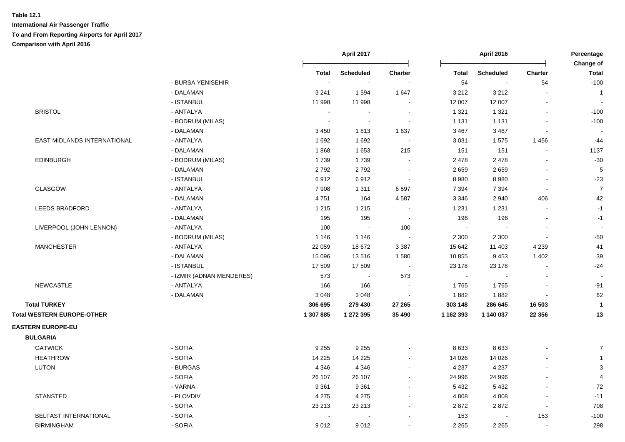|                                   |                          |           | April 2017       |                          | <b>April 2016</b>           |                  |                          | Percentage<br>Change of |  |
|-----------------------------------|--------------------------|-----------|------------------|--------------------------|-----------------------------|------------------|--------------------------|-------------------------|--|
|                                   |                          | Total     | <b>Scheduled</b> | <b>Charter</b>           | <b>Total</b>                | <b>Scheduled</b> | <b>Charter</b>           | Total                   |  |
|                                   | - BURSA YENISEHIR        | $\sim$    | $\sim$           |                          | 54                          | $\sim$           | 54                       | $-100$                  |  |
|                                   | - DALAMAN                | 3 2 4 1   | 1594             | 1647                     | 3 2 1 2                     | 3 2 1 2          |                          | $\overline{1}$          |  |
|                                   | - ISTANBUL               | 11 998    | 11 998           | $\sim$                   | 12 007                      | 12 007           |                          |                         |  |
| <b>BRISTOL</b>                    | - ANTALYA                |           |                  |                          | 1 3 2 1                     | 1 3 2 1          |                          | $-100$                  |  |
|                                   | - BODRUM (MILAS)         | $\sim$    | $\sim$           |                          | 1 1 3 1                     | 1 1 3 1          |                          | $-100$                  |  |
|                                   | - DALAMAN                | 3 4 5 0   | 1813             | 1 637                    | 3 4 6 7                     | 3 4 6 7          |                          |                         |  |
| EAST MIDLANDS INTERNATIONAL       | - ANTALYA                | 1692      | 1692             | $\sim$                   | 3 0 31                      | 1575             | 1456                     | $-44$                   |  |
|                                   | - DALAMAN                | 1868      | 1653             | 215                      | 151                         | 151              | $\overline{\phantom{a}}$ | 1137                    |  |
| <b>EDINBURGH</b>                  | - BODRUM (MILAS)         | 1739      | 1739             |                          | 2 4 7 8                     | 2478             |                          | $-30$                   |  |
|                                   | - DALAMAN                | 2792      | 2792             | $\overline{\phantom{a}}$ | 2659                        | 2659             |                          | 5                       |  |
|                                   | - ISTANBUL               | 6912      | 6912             | $\sim$                   | 8 9 8 0                     | 8980             | $\overline{\phantom{a}}$ | $-23$                   |  |
| GLASGOW                           | - ANTALYA                | 7 9 0 8   | 1 3 1 1          | 6 5 9 7                  | 7 3 9 4                     | 7 3 9 4          | $\blacksquare$           | $\overline{7}$          |  |
|                                   | - DALAMAN                | 4751      | 164              | 4587                     | 3 3 4 6                     | 2940             | 406                      | 42                      |  |
| <b>LEEDS BRADFORD</b>             | - ANTALYA                | 1 2 1 5   | 1 2 1 5          |                          | 1 2 3 1                     | 1 2 3 1          |                          | $-1$                    |  |
|                                   | - DALAMAN                | 195       | 195              |                          | 196                         | 196              |                          | $-1$                    |  |
| LIVERPOOL (JOHN LENNON)           | - ANTALYA                | 100       | $\sim$           | 100                      | $\sim$                      |                  |                          |                         |  |
|                                   | - BODRUM (MILAS)         | 1 1 4 6   | 1 1 4 6          | $\sim$                   | 2 3 0 0                     | 2 3 0 0          | $\blacksquare$           | $-50$                   |  |
| <b>MANCHESTER</b>                 | - ANTALYA                | 22 059    | 18 672           | 3 3 8 7                  | 15 642                      | 11 403           | 4 2 3 9                  | 41                      |  |
|                                   | - DALAMAN                | 15 0 96   | 13516            | 1580                     | 10 855                      | 9453             | 1 4 0 2                  | 39                      |  |
|                                   | - ISTANBUL               | 17 509    | 17 509           | $\sim$                   | 23 178                      | 23 178           |                          | $-24$                   |  |
|                                   | - IZMIR (ADNAN MENDERES) | 573       | $\sim$           | 573                      | $\mathcal{L}_{\mathcal{A}}$ |                  |                          |                         |  |
| <b>NEWCASTLE</b>                  | - ANTALYA                | 166       | 166              |                          | 1765                        | 1765             |                          | $-91$                   |  |
|                                   | - DALAMAN                | 3 0 4 8   | 3048             |                          | 1882                        | 1882             |                          | 62                      |  |
| <b>Total TURKEY</b>               |                          | 306 695   | 279 430          | 27 265                   | 303 148                     | 286 645          | 16 503                   | $\mathbf{1}$            |  |
| <b>Total WESTERN EUROPE-OTHER</b> |                          | 1 307 885 | 1 272 395        | 35 490                   | 1 162 393                   | 1 140 037        | 22 3 5 6                 | 13                      |  |
| <b>EASTERN EUROPE-EU</b>          |                          |           |                  |                          |                             |                  |                          |                         |  |
| <b>BULGARIA</b>                   |                          |           |                  |                          |                             |                  |                          |                         |  |
| <b>GATWICK</b>                    | - SOFIA                  | 9 2 5 5   | 9 2 5 5          |                          | 8633                        | 8633             |                          | $\overline{7}$          |  |
| <b>HEATHROW</b>                   | - SOFIA                  | 14 2 25   | 14 2 25          | ۰                        | 14 0 26                     | 14 0 26          |                          | $\mathbf{1}$            |  |
| LUTON                             | - BURGAS                 | 4 3 4 6   | 4 3 4 6          | $\blacksquare$           | 4 2 3 7                     | 4 2 3 7          |                          | $\sqrt{3}$              |  |
|                                   | - SOFIA                  | 26 107    | 26 107           | $\overline{\phantom{a}}$ | 24 996                      | 24 996           |                          | $\overline{4}$          |  |
|                                   | - VARNA                  | 9 3 6 1   | 9 3 6 1          |                          | 5 4 3 2                     | 5 4 3 2          |                          | 72                      |  |
| <b>STANSTED</b>                   | - PLOVDIV                | 4 2 7 5   | 4 2 7 5          | $\sim$                   | 4 8 0 8                     | 4 8 0 8          |                          | $-11$                   |  |
|                                   | - SOFIA                  | 23 213    | 23 213           | $\blacksquare$           | 2872                        | 2872             | $\blacksquare$           | 708                     |  |
| BELFAST INTERNATIONAL             | - SOFIA                  |           |                  |                          | 153                         | $\sim$           | 153                      | $-100$                  |  |
| <b>BIRMINGHAM</b>                 | - SOFIA                  | 9012      | 9012             | $\blacksquare$           | 2 2 6 5                     | 2 2 6 5          | $\overline{\phantom{a}}$ | 298                     |  |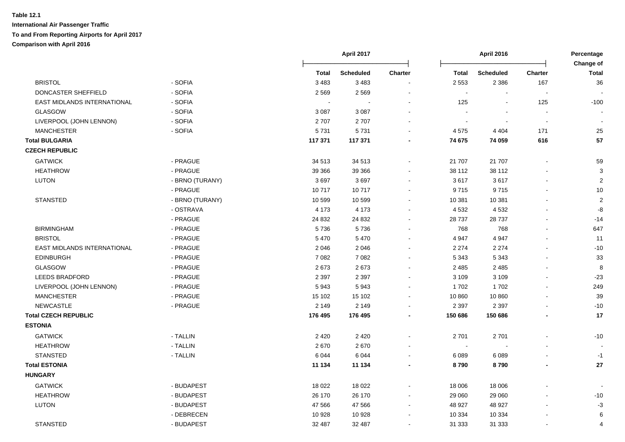|                             |                 |         | <b>April 2017</b> |                |              | <b>April 2016</b> |                          | Percentage<br><b>Change of</b> |
|-----------------------------|-----------------|---------|-------------------|----------------|--------------|-------------------|--------------------------|--------------------------------|
|                             |                 | Total   | <b>Scheduled</b>  | <b>Charter</b> | <b>Total</b> | <b>Scheduled</b>  | <b>Charter</b>           | <b>Total</b>                   |
| <b>BRISTOL</b>              | - SOFIA         | 3 4 8 3 | 3 4 8 3           |                | 2 5 5 3      | 2 3 8 6           | 167                      | 36                             |
| DONCASTER SHEFFIELD         | - SOFIA         | 2569    | 2569              |                | $\sim$       |                   | $\overline{\phantom{a}}$ |                                |
| EAST MIDLANDS INTERNATIONAL | - SOFIA         | $\sim$  |                   |                | 125          | $\sim$            | 125                      | $-100$                         |
| <b>GLASGOW</b>              | - SOFIA         | 3 0 8 7 | 3 0 8 7           |                |              |                   | $\blacksquare$           |                                |
| LIVERPOOL (JOHN LENNON)     | - SOFIA         | 2707    | 2707              |                | $\sim$       |                   | $\overline{\phantom{a}}$ | $\sim$                         |
| <b>MANCHESTER</b>           | - SOFIA         | 5731    | 5731              |                | 4575         | 4 4 0 4           | 171                      | 25                             |
| <b>Total BULGARIA</b>       |                 | 117 371 | 117 371           |                | 74 675       | 74 059            | 616                      | 57                             |
| <b>CZECH REPUBLIC</b>       |                 |         |                   |                |              |                   |                          |                                |
| <b>GATWICK</b>              | - PRAGUE        | 34 513  | 34 513            |                | 21 707       | 21 707            |                          | 59                             |
| <b>HEATHROW</b>             | - PRAGUE        | 39 366  | 39 366            |                | 38 112       | 38 112            |                          | 3                              |
| <b>LUTON</b>                | - BRNO (TURANY) | 3697    | 3697              |                | 3617         | 3617              |                          | $\boldsymbol{2}$               |
|                             | - PRAGUE        | 10717   | 10717             |                | 9715         | 9715              | $\blacksquare$           | 10                             |
| STANSTED                    | - BRNO (TURANY) | 10 599  | 10 599            |                | 10 381       | 10 381            |                          | $\boldsymbol{2}$               |
|                             | - OSTRAVA       | 4 1 7 3 | 4 1 7 3           |                | 4 5 3 2      | 4 5 3 2           |                          | -8                             |
|                             | - PRAGUE        | 24 8 32 | 24 832            |                | 28 737       | 28737             |                          | $-14$                          |
| <b>BIRMINGHAM</b>           | - PRAGUE        | 5736    | 5736              |                | 768          | 768               |                          | 647                            |
| <b>BRISTOL</b>              | - PRAGUE        | 5 4 7 0 | 5 4 7 0           |                | 4 9 4 7      | 4 9 4 7           |                          | 11                             |
| EAST MIDLANDS INTERNATIONAL | - PRAGUE        | 2 0 4 6 | 2046              |                | 2 2 7 4      | 2 2 7 4           |                          | $-10$                          |
| <b>EDINBURGH</b>            | - PRAGUE        | 7 0 8 2 | 7 0 8 2           |                | 5 3 4 3      | 5 3 4 3           |                          | 33                             |
| <b>GLASGOW</b>              | - PRAGUE        | 2673    | 2673              |                | 2 4 8 5      | 2 4 8 5           |                          | $\bf 8$                        |
| <b>LEEDS BRADFORD</b>       | - PRAGUE        | 2 3 9 7 | 2 3 9 7           |                | 3 1 0 9      | 3 1 0 9           | $\blacksquare$           | $-23$                          |
| LIVERPOOL (JOHN LENNON)     | - PRAGUE        | 5943    | 5943              |                | 1702         | 1702              | $\blacksquare$           | 249                            |
| <b>MANCHESTER</b>           | - PRAGUE        | 15 102  | 15 102            |                | 10 860       | 10 860            |                          | 39                             |
| <b>NEWCASTLE</b>            | - PRAGUE        | 2 1 4 9 | 2 1 4 9           |                | 2 3 9 7      | 2 3 9 7           |                          | $-10$                          |
| <b>Total CZECH REPUBLIC</b> |                 | 176 495 | 176 495           |                | 150 686      | 150 686           |                          | 17                             |
| <b>ESTONIA</b>              |                 |         |                   |                |              |                   |                          |                                |
| <b>GATWICK</b>              | - TALLIN        | 2 4 2 0 | 2 4 2 0           |                | 2 7 0 1      | 2701              |                          | $-10$                          |
| <b>HEATHROW</b>             | - TALLIN        | 2670    | 2670              |                | $\sim$       |                   |                          |                                |
| <b>STANSTED</b>             | - TALLIN        | 6 0 4 4 | 6044              |                | 6 0 8 9      | 6 0 8 9           |                          | $-1$                           |
| <b>Total ESTONIA</b>        |                 | 11 134  | 11 134            |                | 8790         | 8790              | $\blacksquare$           | $27\,$                         |
| <b>HUNGARY</b>              |                 |         |                   |                |              |                   |                          |                                |
| <b>GATWICK</b>              | - BUDAPEST      | 18 0 22 | 18 0 22           |                | 18 006       | 18 006            |                          |                                |
| <b>HEATHROW</b>             | - BUDAPEST      | 26 170  | 26 170            |                | 29 060       | 29 060            |                          | $-10$                          |
| <b>LUTON</b>                | - BUDAPEST      | 47 566  | 47 566            |                | 48 927       | 48 9 27           |                          | $-3$                           |
|                             | - DEBRECEN      | 10 928  | 10 928            |                | 10 334       | 10 334            |                          | 6                              |
| <b>STANSTED</b>             | - BUDAPEST      | 32 487  | 32 487            | $\sim$         | 31 333       | 31 333            |                          | 4                              |
|                             |                 |         |                   |                |              |                   |                          |                                |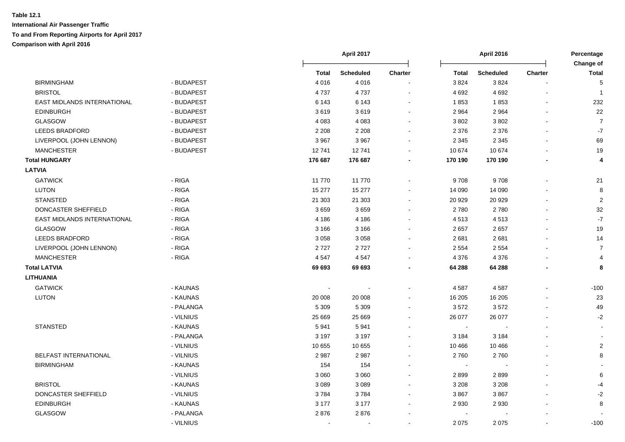|                                    |            |              | April 2017       |                |              | April 2016       |                | Percentage                |  |
|------------------------------------|------------|--------------|------------------|----------------|--------------|------------------|----------------|---------------------------|--|
|                                    |            | <b>Total</b> | <b>Scheduled</b> | <b>Charter</b> | <b>Total</b> | <b>Scheduled</b> | <b>Charter</b> | Change of<br><b>Total</b> |  |
| <b>BIRMINGHAM</b>                  | - BUDAPEST | 4016         | 4016             |                | 3824         | 3824             |                | 5                         |  |
| <b>BRISTOL</b>                     | - BUDAPEST | 4737         | 4737             |                | 4 6 9 2      | 4 6 9 2          |                | $\overline{\mathbf{1}}$   |  |
| <b>EAST MIDLANDS INTERNATIONAL</b> | - BUDAPEST | 6 1 4 3      | 6 1 4 3          |                | 1853         | 1853             |                | 232                       |  |
| <b>EDINBURGH</b>                   | - BUDAPEST | 3619         | 3619             |                | 2 9 64       | 2 9 6 4          |                | 22                        |  |
| <b>GLASGOW</b>                     | - BUDAPEST | 4 0 8 3      | 4 0 8 3          |                | 3802         | 3802             |                | $\overline{7}$            |  |
| <b>LEEDS BRADFORD</b>              | - BUDAPEST | 2 2 0 8      | 2 2 0 8          |                | 2 3 7 6      | 2 3 7 6          |                | $-7$                      |  |
| LIVERPOOL (JOHN LENNON)            | - BUDAPEST | 3 9 6 7      | 3 9 6 7          | $\sim$         | 2 3 4 5      | 2 3 4 5          |                | 69                        |  |
| <b>MANCHESTER</b>                  | - BUDAPEST | 12741        | 12741            | $\sim$         | 10 674       | 10 674           |                | 19                        |  |
| <b>Total HUNGARY</b>               |            | 176 687      | 176 687          |                | 170 190      | 170 190          |                | 4                         |  |
| <b>LATVIA</b>                      |            |              |                  |                |              |                  |                |                           |  |
| <b>GATWICK</b>                     | - RIGA     | 11 770       | 11 770           |                | 9708         | 9708             |                | 21                        |  |
| <b>LUTON</b>                       | - RIGA     | 15 277       | 15 277           |                | 14 090       | 14 090           |                | 8                         |  |
| <b>STANSTED</b>                    | - RIGA     | 21 303       | 21 30 3          | $\sim$         | 20 929       | 20 9 29          |                | $\overline{2}$            |  |
| DONCASTER SHEFFIELD                | - RIGA     | 3659         | 3659             |                | 2780         | 2780             |                | 32                        |  |
| <b>EAST MIDLANDS INTERNATIONAL</b> | - RIGA     | 4 1 8 6      | 4 1 8 6          |                | 4513         | 4513             |                | $\mathbf{-7}$             |  |
| GLASGOW                            | - RIGA     | 3 1 6 6      | 3 1 6 6          |                | 2657         | 2657             |                | 19                        |  |
| <b>LEEDS BRADFORD</b>              | - RIGA     | 3 0 5 8      | 3 0 5 8          |                | 2681         | 2681             |                | 14                        |  |
| LIVERPOOL (JOHN LENNON)            | - RIGA     | 2727         | 2727             |                | 2 5 5 4      | 2 5 5 4          |                | $\overline{7}$            |  |
| <b>MANCHESTER</b>                  | - RIGA     | 4547         | 4547             |                | 4 3 7 6      | 4 3 7 6          |                | $\overline{4}$            |  |
| <b>Total LATVIA</b>                |            | 69 693       | 69 693           |                | 64 288       | 64 288           |                | 8                         |  |
| <b>LITHUANIA</b>                   |            |              |                  |                |              |                  |                |                           |  |
| <b>GATWICK</b>                     | - KAUNAS   |              |                  |                | 4587         | 4587             |                | $-100$                    |  |
| <b>LUTON</b>                       | - KAUNAS   | 20 008       | 20 008           |                | 16 205       | 16 20 5          |                | 23                        |  |
|                                    | - PALANGA  | 5 3 0 9      | 5 3 0 9          | $\sim$         | 3572         | 3572             |                | 49                        |  |
|                                    | - VILNIUS  | 25 669       | 25 6 69          | $\sim$         | 26 077       | 26 077           |                | $-2$                      |  |
| <b>STANSTED</b>                    | - KAUNAS   | 5941         | 5941             |                | $\sim$       |                  |                |                           |  |
|                                    | - PALANGA  | 3 1 9 7      | 3 1 9 7          |                | 3 1 8 4      | 3 1 8 4          |                |                           |  |
|                                    | - VILNIUS  | 10 655       | 10 655           |                | 10 466       | 10 4 66          |                | $\mathbf 2$               |  |
| BELFAST INTERNATIONAL              | - VILNIUS  | 2987         | 2987             |                | 2760         | 2760             |                | 8                         |  |
| <b>BIRMINGHAM</b>                  | - KAUNAS   | 154          | 154              |                | $\sim$       |                  |                |                           |  |
|                                    | - VILNIUS  | 3 0 6 0      | 3 0 6 0          |                | 2899         | 2899             |                | 6                         |  |
| <b>BRISTOL</b>                     | - KAUNAS   | 3 0 8 9      | 3 0 8 9          |                | 3 2 0 8      | 3 2 0 8          |                | -4                        |  |
| DONCASTER SHEFFIELD                | - VILNIUS  | 3784         | 3784             |                | 3867         | 3867             |                | $-2$                      |  |
| <b>EDINBURGH</b>                   | - KAUNAS   | 3 1 7 7      | 3 1 7 7          |                | 2 9 3 0      | 2 9 3 0          |                | 8                         |  |
| GLASGOW                            | - PALANGA  | 2876         | 2876             |                | $\sim$       |                  |                |                           |  |
|                                    | - VILNIUS  |              | $\blacksquare$   | $\sim$         | 2 0 7 5      | 2075             |                | $-100$                    |  |
|                                    |            |              |                  |                |              |                  |                |                           |  |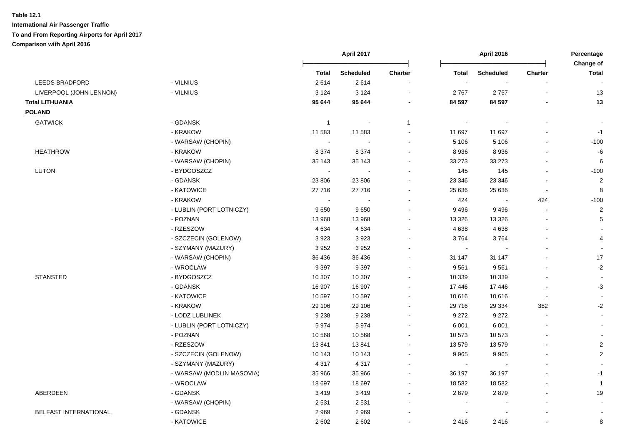|                              |                           |                | <b>April 2017</b> |                          |                | <b>April 2016</b>        |                          | Percentage<br>Change of  |
|------------------------------|---------------------------|----------------|-------------------|--------------------------|----------------|--------------------------|--------------------------|--------------------------|
|                              |                           | Total          | <b>Scheduled</b>  | Charter                  | <b>Total</b>   | <b>Scheduled</b>         | <b>Charter</b>           | <b>Total</b>             |
| <b>LEEDS BRADFORD</b>        | - VILNIUS                 | 2614           | 2614              |                          | ÷,             |                          |                          |                          |
| LIVERPOOL (JOHN LENNON)      | - VILNIUS                 | 3 1 2 4        | 3 1 2 4           |                          | 2767           | 2767                     |                          | 13                       |
| <b>Total LITHUANIA</b>       |                           | 95 644         | 95 644            | $\blacksquare$           | 84 597         | 84 597                   |                          | 13                       |
| <b>POLAND</b>                |                           |                |                   |                          |                |                          |                          |                          |
| <b>GATWICK</b>               | - GDANSK                  | $\mathbf{1}$   | $\sim$            | $\mathbf 1$              |                |                          |                          |                          |
|                              | - KRAKOW                  | 11 583         | 11 583            | $\blacksquare$           | 11 697         | 11 697                   |                          | $-1$                     |
|                              | - WARSAW (CHOPIN)         | $\sim$         |                   | $\blacksquare$           | 5 1 0 6        | 5 1 0 6                  |                          | $-100$                   |
| <b>HEATHROW</b>              | - KRAKOW                  | 8 3 7 4        | 8 3 7 4           | $\blacksquare$           | 8936           | 8936                     |                          | -6                       |
|                              | - WARSAW (CHOPIN)         | 35 143         | 35 143            | $\blacksquare$           | 33 27 3        | 33 273                   |                          | 6                        |
| LUTON                        | - BYDGOSZCZ               | $\sim$         |                   |                          | 145            | 145                      | $\sim$                   | $-100$                   |
|                              | - GDANSK                  | 23 806         | 23 806            | $\blacksquare$           | 23 346         | 23 346                   |                          | $\overline{2}$           |
|                              | - KATOWICE                | 27716          | 27716             | $\blacksquare$           | 25 636         | 25 636                   | $\overline{\phantom{a}}$ | 8                        |
|                              | - KRAKOW                  | $\blacksquare$ |                   | $\blacksquare$           | 424            | $\overline{\phantom{a}}$ | 424                      | $-100$                   |
|                              | - LUBLIN (PORT LOTNICZY)  | 9650           | 9650              |                          | 9496           | 9496                     |                          | $\overline{2}$           |
|                              | - POZNAN                  | 13 968         | 13 968            | $\overline{a}$           | 13 3 26        | 13 3 26                  |                          | $\,$ 5 $\,$              |
|                              | - RZESZOW                 | 4 6 3 4        | 4634              | $\blacksquare$           | 4 6 38         | 4638                     |                          |                          |
|                              | - SZCZECIN (GOLENOW)      | 3923           | 3923              |                          | 3764           | 3764                     |                          | 4                        |
|                              | - SZYMANY (MAZURY)        | 3952           | 3952              | $\blacksquare$           | $\blacksquare$ |                          |                          |                          |
|                              | - WARSAW (CHOPIN)         | 36 436         | 36 436            | $\overline{\phantom{a}}$ | 31 147         | 31 147                   |                          | 17                       |
|                              | - WROCLAW                 | 9 3 9 7        | 9 3 9 7           | $\blacksquare$           | 9561           | 9561                     |                          | $-2$                     |
| <b>STANSTED</b>              | - BYDGOSZCZ               | 10 307         | 10 307            | $\blacksquare$           | 10 339         | 10 339                   |                          |                          |
|                              | - GDANSK                  | 16 907         | 16 907            | $\blacksquare$           | 17 446         | 17 446                   |                          | $-3$                     |
|                              | - KATOWICE                | 10 597         | 10 597            | $\blacksquare$           | 10 616         | 10 616                   | $\blacksquare$           | $\overline{\phantom{a}}$ |
|                              | - KRAKOW                  | 29 10 6        | 29 106            | $\blacksquare$           | 29 716         | 29 3 34                  | 382                      | $-2$                     |
|                              | - LODZ LUBLINEK           | 9 2 3 8        | 9 2 3 8           | $\blacksquare$           | 9 2 7 2        | 9 2 7 2                  |                          | $\sim$                   |
|                              | - LUBLIN (PORT LOTNICZY)  | 5974           | 5974              |                          | 6 0 0 1        | 6 0 0 1                  |                          |                          |
|                              | - POZNAN                  | 10 568         | 10 568            | $\overline{a}$           | 10 573         | 10573                    |                          |                          |
|                              | - RZESZOW                 | 13841          | 13841             | $\blacksquare$           | 13 579         | 13579                    |                          | 2                        |
|                              | - SZCZECIN (GOLENOW)      | 10 143         | 10 143            | $\overline{a}$           | 9 9 6 5        | 9965                     |                          | $\sqrt{2}$               |
|                              | - SZYMANY (MAZURY)        | 4 3 1 7        | 4 3 1 7           | $\blacksquare$           | $\bullet$      | $\overline{\phantom{a}}$ |                          |                          |
|                              | - WARSAW (MODLIN MASOVIA) | 35 966         | 35 966            | $\blacksquare$           | 36 197         | 36 197                   |                          | $-1$                     |
|                              | - WROCLAW                 | 18 697         | 18 697            | $\blacksquare$           | 18 582         | 18 5 82                  |                          | $\mathbf{1}$             |
| ABERDEEN                     | - GDANSK                  | 3419           | 3419              |                          | 2879           | 2879                     |                          | 19                       |
|                              | - WARSAW (CHOPIN)         | 2531           | 2531              |                          |                |                          |                          | $\overline{\phantom{a}}$ |
| <b>BELFAST INTERNATIONAL</b> | - GDANSK                  | 2969           | 2969              |                          |                |                          |                          | $\blacksquare$           |
|                              | - KATOWICE                | 2 6 0 2        | 2 6 0 2           |                          | 2416           | 2416                     |                          | 8                        |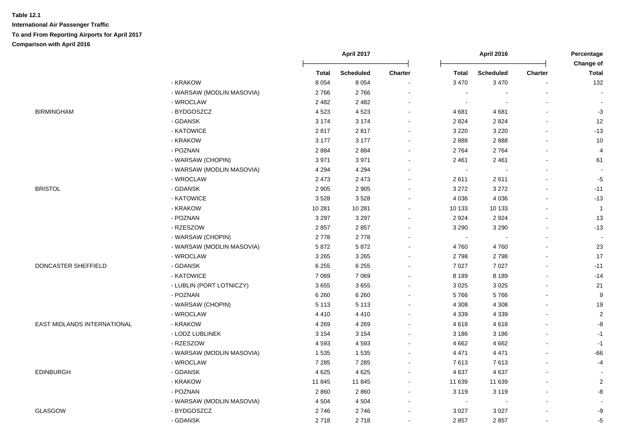|                             |                           | April 2017 |                  |                          | April 2016     |                  |                | Percentage<br>Change of |
|-----------------------------|---------------------------|------------|------------------|--------------------------|----------------|------------------|----------------|-------------------------|
|                             |                           | Total      | <b>Scheduled</b> | <b>Charter</b>           | <b>Total</b>   | <b>Scheduled</b> | <b>Charter</b> | <b>Total</b>            |
|                             | - KRAKOW                  | 8 0 5 4    | 8 0 5 4          | $\overline{\phantom{a}}$ | 3 4 7 0        | 3 4 7 0          | ä,             | 132                     |
|                             | - WARSAW (MODLIN MASOVIA) | 2766       | 2766             |                          | ÷,             |                  |                |                         |
|                             | - WROCLAW                 | 2 4 8 2    | 2 4 8 2          |                          | $\sim$         |                  |                |                         |
| <b>BIRMINGHAM</b>           | - BYDGOSZCZ               | 4523       | 4523             | $\sim$                   | 4681           | 4681             | $\overline{a}$ | $-3$                    |
|                             | - GDANSK                  | 3 1 7 4    | 3 1 7 4          | $\sim$                   | 2 8 2 4        | 2824             | $\blacksquare$ | 12                      |
|                             | - KATOWICE                | 2817       | 2817             | $\sim$                   | 3 2 2 0        | 3 2 2 0          |                | $-13$                   |
|                             | - KRAKOW                  | 3 1 7 7    | 3 1 7 7          | $\blacksquare$           | 2888           | 2888             | $\blacksquare$ | 10                      |
|                             | - POZNAN                  | 2884       | 2884             | $\sim$                   | 2764           | 2764             | $\overline{a}$ | 4                       |
|                             | - WARSAW (CHOPIN)         | 3971       | 3971             | $\sim$                   | 2 4 6 1        | 2 4 6 1          | $\blacksquare$ | 61                      |
|                             | - WARSAW (MODLIN MASOVIA) | 4 2 9 4    | 4 2 9 4          | $\sim$                   | $\sim$         |                  |                |                         |
|                             | - WROCLAW                 | 2 4 7 3    | 2 4 7 3          | $\sim$                   | 2611           | 2611             | $\overline{a}$ | $-5$                    |
| <b>BRISTOL</b>              | - GDANSK                  | 2 9 0 5    | 2 9 0 5          | $\sim$                   | 3 2 7 2        | 3 2 7 2          | $\sim$         | $-11$                   |
|                             | - KATOWICE                | 3528       | 3528             |                          | 4 0 36         | 4 0 3 6          | ä,             | $-13$                   |
|                             | - KRAKOW                  | 10 281     | 10 281           | $\sim$                   | 10 133         | 10 133           | ä,             | $\overline{1}$          |
|                             | - POZNAN                  | 3 2 9 7    | 3 2 9 7          | $\sim$                   | 2924           | 2924             | $\overline{a}$ | 13                      |
|                             | - RZESZOW                 | 2857       | 2857             |                          | 3 2 9 0        | 3 2 9 0          |                | $-13$                   |
|                             | - WARSAW (CHOPIN)         | 2778       | 2778             |                          | $\blacksquare$ |                  |                |                         |
|                             | - WARSAW (MODLIN MASOVIA) | 5872       | 5872             | $\sim$                   | 4760           | 4760             | $\overline{a}$ | 23                      |
|                             | - WROCLAW                 | 3 2 6 5    | 3 2 6 5          | $\sim$                   | 2798           | 2798             | $\overline{a}$ | 17                      |
| DONCASTER SHEFFIELD         | - GDANSK                  | 6 2 5 5    | 6 2 5 5          | $\sim$                   | 7 0 27         | 7 0 27           | $\blacksquare$ | $-11$                   |
|                             | - KATOWICE                | 7 0 6 9    | 7 0 6 9          | $\sim$                   | 8 1 8 9        | 8 1 8 9          | $\overline{a}$ | $-14$                   |
|                             | - LUBLIN (PORT LOTNICZY)  | 3655       | 3655             | $\sim$                   | 3 0 2 5        | 3 0 2 5          |                | 21                      |
|                             | - POZNAN                  | 6 2 6 0    | 6 2 6 0          | $\sim$                   | 5766           | 5766             |                | $\boldsymbol{9}$        |
|                             | - WARSAW (CHOPIN)         | 5 1 1 3    | 5 1 1 3          | $\sim$                   | 4 3 0 8        | 4 3 0 8          | $\blacksquare$ | 19                      |
|                             | - WROCLAW                 | 4410       | 4410             | $\sim$                   | 4 3 3 9        | 4 3 3 9          | $\blacksquare$ | $\sqrt{2}$              |
| EAST MIDLANDS INTERNATIONAL | - KRAKOW                  | 4 2 6 9    | 4 2 6 9          | $\sim$                   | 4618           | 4618             | L.             | -8                      |
|                             | - LODZ LUBLINEK           | 3 1 5 4    | 3 1 5 4          |                          | 3 1 8 6        | 3 1 8 6          |                | $-1$                    |
|                             | - RZESZOW                 | 4593       | 4593             | $\sim$                   | 4 6 6 2        | 4 6 6 2          |                | $-1$                    |
|                             | - WARSAW (MODLIN MASOVIA) | 1 5 3 5    | 1 5 3 5          |                          | 4 4 7 1        | 4 4 7 1          |                | $-66$                   |
|                             | - WROCLAW                 | 7 2 8 5    | 7 2 8 5          | $\sim$                   | 7613           | 7613             | $\blacksquare$ | $-4$                    |
| <b>EDINBURGH</b>            | - GDANSK                  | 4 6 2 5    | 4 6 2 5          | $\sim$                   | 4 6 3 7        | 4637             | $\blacksquare$ |                         |
|                             | - KRAKOW                  | 11 845     | 11 845           | $\sim$                   | 11 639         | 11 639           | $\blacksquare$ | $\overline{2}$          |
|                             | - POZNAN                  | 2860       | 2860             | $\blacksquare$           | 3 1 1 9        | 3 1 1 9          |                | -8                      |
|                             | - WARSAW (MODLIN MASOVIA) | 4 5 0 4    | 4 5 0 4          | $\sim$                   | $\blacksquare$ |                  | $\blacksquare$ |                         |
| <b>GLASGOW</b>              | - BYDGOSZCZ               | 2746       | 2746             | $\sim$                   | 3 0 27         | 3 0 27           |                | -9                      |
|                             | - GDANSK                  | 2718       | 2718             | $\sim$                   | 2857           | 2857             | $\blacksquare$ | $-5$                    |
|                             |                           |            |                  |                          |                |                  |                |                         |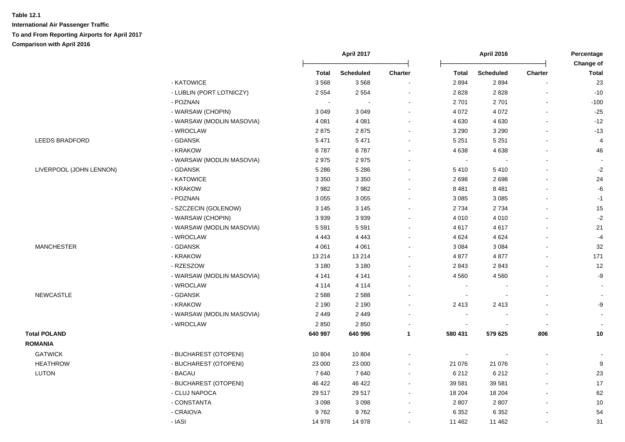|                         |                           |              | April 2017       |                          | <b>April 2016</b> |                  | Percentage<br>Change of |                |
|-------------------------|---------------------------|--------------|------------------|--------------------------|-------------------|------------------|-------------------------|----------------|
|                         |                           | <b>Total</b> | <b>Scheduled</b> | Charter                  | <b>Total</b>      | <b>Scheduled</b> | Charter                 | <b>Total</b>   |
|                         | - KATOWICE                | 3568         | 3568             | $\blacksquare$           | 2894              | 2894             |                         | 23             |
|                         | - LUBLIN (PORT LOTNICZY)  | 2 5 5 4      | 2 5 5 4          | $\sim$                   | 2828              | 2828             |                         | $-10$          |
|                         | - POZNAN                  | $\sim$       | $\sim$           | $\sim$                   | 2701              | 2701             | $\blacksquare$          | $-100$         |
|                         | - WARSAW (CHOPIN)         | 3 0 4 9      | 3 0 4 9          | $\sim$                   | 4 0 7 2           | 4 0 7 2          | $\blacksquare$          | $-25$          |
|                         | - WARSAW (MODLIN MASOVIA) | 4 0 8 1      | 4 0 8 1          | $\sim$                   | 4 6 3 0           | 4 6 3 0          | $\mathbf{r}$            | $-12$          |
|                         | - WROCLAW                 | 2875         | 2875             | $\blacksquare$           | 3 2 9 0           | 3 2 9 0          | $\blacksquare$          | $-13$          |
| LEEDS BRADFORD          | - GDANSK                  | 5 4 7 1      | 5 4 7 1          | $\blacksquare$           | 5 2 5 1           | 5 2 5 1          | $\blacksquare$          | $\overline{4}$ |
|                         | - KRAKOW                  | 6787         | 6787             | $\sim$                   | 4638              | 4638             | $\blacksquare$          | 46             |
|                         | - WARSAW (MODLIN MASOVIA) | 2975         | 2975             | $\sim$                   | $\sim$            |                  | $\blacksquare$          |                |
| LIVERPOOL (JOHN LENNON) | - GDANSK                  | 5 2 8 6      | 5 2 8 6          | $\blacksquare$           | 5410              | 5410             | ä,                      | $-2$           |
|                         | - KATOWICE                | 3 3 5 0      | 3 3 5 0          |                          | 2698              | 2698             |                         | 24             |
|                         | - KRAKOW                  | 7982         | 7982             | $\sim$                   | 8 4 8 1           | 8 4 8 1          |                         | $-6$           |
|                         | - POZNAN                  | 3 0 5 5      | 3 0 5 5          | $\sim$                   | 3 0 8 5           | 3 0 8 5          |                         | $-1$           |
|                         | - SZCZECIN (GOLENOW)      | 3 1 4 5      | 3 1 4 5          | $\sim$                   | 2 7 3 4           | 2734             |                         | 15             |
|                         | - WARSAW (CHOPIN)         | 3939         | 3939             | $\blacksquare$           | 4 0 1 0           | 4 0 1 0          |                         | $-2$           |
|                         | - WARSAW (MODLIN MASOVIA) | 5 5 9 1      | 5 5 9 1          | $\sim$                   | 4617              | 4617             | $\mathbf{r}$            | 21             |
|                         | - WROCLAW                 | 4 4 4 3      | 4 4 4 3          | $\blacksquare$           | 4 6 24            | 4 6 24           | $\blacksquare$          | $-4$           |
| <b>MANCHESTER</b>       | - GDANSK                  | 4 0 6 1      | 4 0 61           | $\overline{a}$           | 3 0 8 4           | 3 0 8 4          | $\blacksquare$          | $32\,$         |
|                         | - KRAKOW                  | 13 214       | 13 2 14          | $\blacksquare$           | 4877              | 4877             | $\blacksquare$          | 171            |
|                         | - RZESZOW                 | 3 1 8 0      | 3 1 8 0          | $\blacksquare$           | 2843              | 2843             | $\blacksquare$          | 12             |
|                         | - WARSAW (MODLIN MASOVIA) | 4 1 4 1      | 4 1 4 1          | $\sim$                   | 4 5 6 0           | 4 5 6 0          | $\blacksquare$          | -9             |
|                         | - WROCLAW                 | 4 1 1 4      | 4 1 1 4          |                          |                   |                  |                         |                |
| <b>NEWCASTLE</b>        | - GDANSK                  | 2588         | 2588             |                          |                   |                  |                         |                |
|                         | - KRAKOW                  | 2 1 9 0      | 2 1 9 0          | $\sim$                   | 2 4 1 3           | 2413             |                         | -9             |
|                         | - WARSAW (MODLIN MASOVIA) | 2 4 4 9      | 2 4 4 9          | $\blacksquare$           |                   |                  |                         |                |
|                         | - WROCLAW                 | 2850         | 2850             | $\blacksquare$           |                   |                  |                         |                |
| <b>Total POLAND</b>     |                           | 640 997      | 640 996          | 1                        | 580 431           | 579 625          | 806                     | 10             |
| <b>ROMANIA</b>          |                           |              |                  |                          |                   |                  |                         |                |
| <b>GATWICK</b>          | - BUCHAREST (OTOPENI)     | 10 804       | 10 804           | $\overline{\phantom{a}}$ |                   |                  |                         |                |
| <b>HEATHROW</b>         | - BUCHAREST (OTOPENI)     | 23 000       | 23 000           | $\sim$                   | 21 076            | 21 0 76          | $\blacksquare$          | 9              |
| <b>LUTON</b>            | - BACAU                   | 7640         | 7640             | $\blacksquare$           | 6 2 1 2           | 6 2 1 2          | $\blacksquare$          | 23             |
|                         | - BUCHAREST (OTOPENI)     | 46 422       | 46 422           | $\blacksquare$           | 39 581            | 39 581           | $\mathbf{r}$            | $17$           |
|                         | - CLUJ NAPOCA             | 29 517       | 29 517           | $\sim$                   | 18 204            | 18 204           | $\blacksquare$          | 62             |
|                         | - CONSTANTA               | 3098         | 3 0 9 8          | $\blacksquare$           | 2807              | 2807             | $\overline{a}$          | 10             |
|                         | - CRAIOVA                 | 9762         | 9762             | $\blacksquare$           | 6 3 5 2           | 6 3 5 2          |                         | 54             |
|                         | - IASI                    | 14 978       | 14 978           | $\blacksquare$           | 11 462            | 11 462           | $\blacksquare$          | 31             |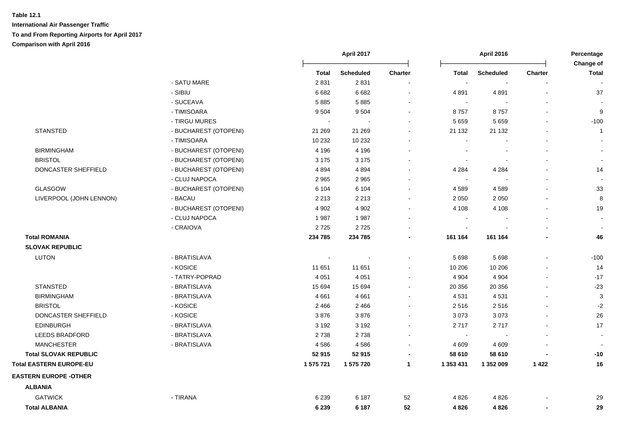|                                |                       |           | April 2017       |                          |                          | <b>April 2016</b> |                | Percentage<br>Change of  |  |
|--------------------------------|-----------------------|-----------|------------------|--------------------------|--------------------------|-------------------|----------------|--------------------------|--|
|                                |                       | Total     | <b>Scheduled</b> | Charter                  | <b>Total</b>             | <b>Scheduled</b>  | <b>Charter</b> | <b>Total</b>             |  |
|                                | - SATU MARE           | 2831      | 2831             |                          | $\overline{\phantom{a}}$ |                   |                |                          |  |
|                                | - SIBIU               | 6 6 8 2   | 6 6 8 2          |                          | 4891                     | 4891              |                | 37                       |  |
|                                | - SUCEAVA             | 5885      | 5885             |                          | $\sim$                   |                   |                |                          |  |
|                                | - TIMISOARA           | 9504      | 9504             |                          | 8757                     | 8757              |                | 9                        |  |
|                                | - TIRGU MURES         |           |                  |                          | 5 6 5 9                  | 5 6 5 9           |                | $-100$                   |  |
| <b>STANSTED</b>                | - BUCHAREST (OTOPENI) | 21 269    | 21 269           |                          | 21 132                   | 21 132            |                | $\mathbf{1}$             |  |
|                                | - TIMISOARA           | 10 232    | 10 232           |                          | $\blacksquare$           |                   |                | $\blacksquare$           |  |
| <b>BIRMINGHAM</b>              | - BUCHAREST (OTOPENI) | 4 1 9 6   | 4 1 9 6          |                          |                          |                   |                | $\blacksquare$           |  |
| <b>BRISTOL</b>                 | - BUCHAREST (OTOPENI) | 3 1 7 5   | 3 1 7 5          |                          | $\sim$                   |                   |                | $\blacksquare$           |  |
| DONCASTER SHEFFIELD            | - BUCHAREST (OTOPENI) | 4 8 9 4   | 4894             |                          | 4 2 8 4                  | 4 2 8 4           |                | 14                       |  |
|                                | - CLUJ NAPOCA         | 2 9 6 5   | 2 9 6 5          |                          | $\blacksquare$           |                   |                | $\blacksquare$           |  |
| GLASGOW                        | - BUCHAREST (OTOPENI) | 6 1 0 4   | 6 1 0 4          |                          | 4589                     | 4589              |                | 33                       |  |
| LIVERPOOL (JOHN LENNON)        | - BACAU               | 2 2 1 3   | 2 2 1 3          |                          | 2 0 5 0                  | 2 0 5 0           |                | 8                        |  |
|                                | - BUCHAREST (OTOPENI) | 4 9 0 2   | 4 9 0 2          |                          | 4 1 0 8                  | 4 1 0 8           |                | 19                       |  |
|                                | - CLUJ NAPOCA         | 1987      | 1987             |                          |                          |                   |                | $\sim$                   |  |
|                                | - CRAIOVA             | 2725      | 2725             |                          | $\blacksquare$           |                   |                |                          |  |
| <b>Total ROMANIA</b>           |                       | 234 785   | 234 785          |                          | 161 164                  | 161 164           |                | 46                       |  |
| <b>SLOVAK REPUBLIC</b>         |                       |           |                  |                          |                          |                   |                |                          |  |
| LUTON                          | - BRATISLAVA          |           |                  |                          | 5 6 9 8                  | 5 6 9 8           |                | $-100$                   |  |
|                                | - KOSICE              | 11 651    | 11 651           |                          | 10 206                   | 10 206            |                | 14                       |  |
|                                | - TATRY-POPRAD        | 4 0 5 1   | 4 0 5 1          |                          | 4 9 0 4                  | 4 9 0 4           |                | $-17$                    |  |
| <b>STANSTED</b>                | - BRATISLAVA          | 15 6 94   | 15 694           |                          | 20 356                   | 20 35 6           |                | $-23$                    |  |
| <b>BIRMINGHAM</b>              | - BRATISLAVA          | 4661      | 4 6 6 1          |                          | 4531                     | 4531              |                | $\mathbf{3}$             |  |
| <b>BRISTOL</b>                 | - KOSICE              | 2 4 6 6   | 2466             |                          | 2516                     | 2516              |                | $-2$                     |  |
| DONCASTER SHEFFIELD            | - KOSICE              | 3876      | 3876             |                          | 3 0 7 3                  | 3073              |                | 26                       |  |
| <b>EDINBURGH</b>               | - BRATISLAVA          | 3 1 9 2   | 3 1 9 2          |                          | 2717                     | 2717              |                | 17                       |  |
| <b>LEEDS BRADFORD</b>          | - BRATISLAVA          | 2738      | 2738             |                          | $\sim$                   |                   |                | $\blacksquare$           |  |
| <b>MANCHESTER</b>              | - BRATISLAVA          | 4586      | 4586             | $\overline{\phantom{a}}$ | 4 6 0 9                  | 4 6 0 9           |                | $\overline{\phantom{a}}$ |  |
| <b>Total SLOVAK REPUBLIC</b>   |                       | 52 915    | 52 915           |                          | 58 610                   | 58 610            |                | $-10$                    |  |
| <b>Total EASTERN EUROPE-EU</b> |                       | 1 575 721 | 1 575 720        | $\mathbf 1$              | 1 353 431                | 1 352 009         | 1422           | 16                       |  |
| <b>EASTERN EUROPE - OTHER</b>  |                       |           |                  |                          |                          |                   |                |                          |  |
| <b>ALBANIA</b>                 |                       |           |                  |                          |                          |                   |                |                          |  |
| <b>GATWICK</b>                 | - TIRANA              | 6 2 3 9   | 6 187            | 52                       | 4 8 2 6                  | 4826              |                | 29                       |  |
| <b>Total ALBANIA</b>           |                       | 6 2 3 9   | 6 187            | 52                       | 4826                     | 4826              |                | 29                       |  |
|                                |                       |           |                  |                          |                          |                   |                |                          |  |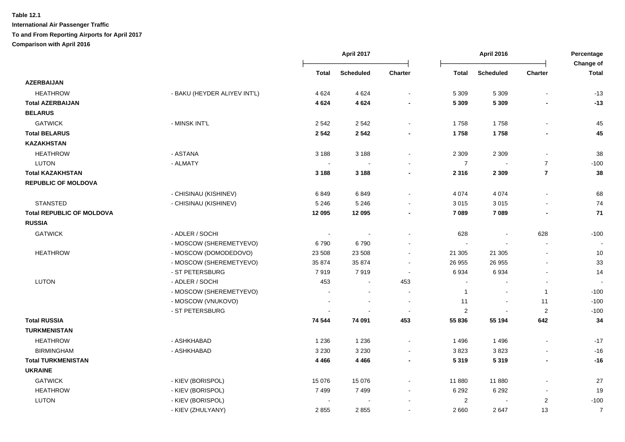|                                  |                              |                          | April 2017               |                          |                | <b>April 2016</b>        |                |                           |
|----------------------------------|------------------------------|--------------------------|--------------------------|--------------------------|----------------|--------------------------|----------------|---------------------------|
|                                  |                              | <b>Total</b>             | <b>Scheduled</b>         | <b>Charter</b>           | <b>Total</b>   | <b>Scheduled</b>         | <b>Charter</b> | Change of<br><b>Total</b> |
| <b>AZERBAIJAN</b>                |                              |                          |                          |                          |                |                          |                |                           |
| <b>HEATHROW</b>                  | - BAKU (HEYDER ALIYEV INT'L) | 4 6 2 4                  | 4 6 2 4                  | $\blacksquare$           | 5 3 0 9        | 5 3 0 9                  | $\blacksquare$ | $-13$                     |
| <b>Total AZERBAIJAN</b>          |                              | 4 6 24                   | 4 6 2 4                  |                          | 5 3 0 9        | 5 3 0 9                  |                | $-13$                     |
| <b>BELARUS</b>                   |                              |                          |                          |                          |                |                          |                |                           |
| <b>GATWICK</b>                   | - MINSK INT'L                | 2 5 4 2                  | 2542                     | $\sim$                   | 1758           | 1758                     | ä,             | 45                        |
| <b>Total BELARUS</b>             |                              | 2542                     | 2542                     |                          | 1758           | 1758                     |                | 45                        |
| <b>KAZAKHSTAN</b>                |                              |                          |                          |                          |                |                          |                |                           |
| <b>HEATHROW</b>                  | - ASTANA                     | 3 1 8 8                  | 3 1 8 8                  |                          | 2 3 0 9        | 2 3 0 9                  | $\blacksquare$ | 38                        |
| <b>LUTON</b>                     | - ALMATY                     |                          |                          |                          | $\overline{7}$ | $\sim$                   | $\overline{7}$ | $-100$                    |
| <b>Total KAZAKHSTAN</b>          |                              | 3 1 8 8                  | 3 1 8 8                  |                          | 2 3 1 6        | 2 3 0 9                  | $\overline{7}$ | 38                        |
| <b>REPUBLIC OF MOLDOVA</b>       |                              |                          |                          |                          |                |                          |                |                           |
|                                  | - CHISINAU (KISHINEV)        | 6849                     | 6849                     |                          | 4 0 7 4        | 4 0 7 4                  | $\sim$         | 68                        |
| <b>STANSTED</b>                  | - CHISINAU (KISHINEV)        | 5 2 4 6                  | 5 2 4 6                  |                          | 3 0 1 5        | 3015                     |                | 74                        |
| <b>Total REPUBLIC OF MOLDOVA</b> |                              | 12 095                   | 12 095                   |                          | 7 0 8 9        | 7 0 8 9                  |                | 71                        |
| <b>RUSSIA</b>                    |                              |                          |                          |                          |                |                          |                |                           |
| <b>GATWICK</b>                   | - ADLER / SOCHI              | $\overline{\phantom{a}}$ |                          |                          | 628            | $\overline{\phantom{a}}$ | 628            | $-100$                    |
|                                  | - MOSCOW (SHEREMETYEVO)      | 6790                     | 6790                     |                          | $\sim$         |                          | $\blacksquare$ |                           |
| <b>HEATHROW</b>                  | - MOSCOW (DOMODEDOVO)        | 23 508                   | 23 508                   | $\sim$                   | 21 30 5        | 21 30 5                  | $\sim$         | 10                        |
|                                  | - MOSCOW (SHEREMETYEVO)      | 35 874                   | 35 874                   |                          | 26 955         | 26 955                   | $\sim$         | 33                        |
|                                  | - ST PETERSBURG              | 7919                     | 7919                     | $\sim$                   | 6934           | 6934                     | $\blacksquare$ | 14                        |
| <b>LUTON</b>                     | - ADLER / SOCHI              | 453                      | $\blacksquare$           | 453                      | $\blacksquare$ | $\overline{\phantom{a}}$ | $\blacksquare$ |                           |
|                                  | - MOSCOW (SHEREMETYEVO)      |                          | $\blacksquare$           | $\sim$                   | $\overline{1}$ | $\sim$                   | $\mathbf{1}$   | $-100$                    |
|                                  | - MOSCOW (VNUKOVO)           |                          |                          | $\overline{\phantom{a}}$ | 11             | $\blacksquare$           | 11             | $-100$                    |
|                                  | - ST PETERSBURG              |                          |                          |                          | 2              |                          | $\overline{c}$ | $-100$                    |
| <b>Total RUSSIA</b>              |                              | 74 544                   | 74 091                   | 453                      | 55 836         | 55 194                   | 642            | 34                        |
| <b>TURKMENISTAN</b>              |                              |                          |                          |                          |                |                          |                |                           |
| <b>HEATHROW</b>                  | - ASHKHABAD                  | 1 2 3 6                  | 1 2 3 6                  |                          | 1496           | 1 4 9 6                  |                | $-17$                     |
| <b>BIRMINGHAM</b>                | - ASHKHABAD                  | 3 2 3 0                  | 3 2 3 0                  |                          | 3823           | 3823                     |                | $-16$                     |
| <b>Total TURKMENISTAN</b>        |                              | 4 4 6 6                  | 4 4 6 6                  | $\blacksquare$           | 5 3 1 9        | 5 3 1 9                  | $\blacksquare$ | $-16$                     |
| <b>UKRAINE</b>                   |                              |                          |                          |                          |                |                          |                |                           |
| <b>GATWICK</b>                   | - KIEV (BORISPOL)            | 15 0 76                  | 15 0 76                  |                          | 11 880         | 11880                    | ä,             | 27                        |
| <b>HEATHROW</b>                  | - KIEV (BORISPOL)            | 7499                     | 7499                     | $\sim$                   | 6 2 9 2        | 6 2 9 2                  | $\blacksquare$ | 19                        |
| <b>LUTON</b>                     | - KIEV (BORISPOL)            | $\overline{\phantom{a}}$ | $\overline{\phantom{a}}$ |                          | 2              | $\overline{\phantom{a}}$ | $\overline{a}$ | $-100$                    |
|                                  | - KIEV (ZHULYANY)            | 2855                     | 2855                     |                          | 2 6 6 0        | 2647                     | 13             | $\overline{7}$            |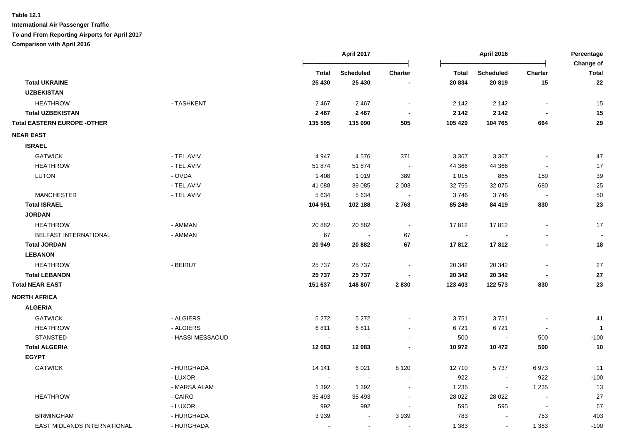|                                    |                  |              | <b>April 2017</b> |                          |              | <b>April 2016</b>        |                          | Percentage                |
|------------------------------------|------------------|--------------|-------------------|--------------------------|--------------|--------------------------|--------------------------|---------------------------|
|                                    |                  | <b>Total</b> | <b>Scheduled</b>  | Charter                  | <b>Total</b> | <b>Scheduled</b>         | Charter                  | Change of<br><b>Total</b> |
| <b>Total UKRAINE</b>               |                  | 25 4 30      | 25 4 30           |                          | 20 834       | 20819                    | 15                       | 22                        |
| <b>UZBEKISTAN</b>                  |                  |              |                   |                          |              |                          |                          |                           |
| <b>HEATHROW</b>                    | - TASHKENT       | 2 4 6 7      | 2 4 6 7           | $\sim$                   | 2 1 4 2      | 2 1 4 2                  |                          | 15                        |
| <b>Total UZBEKISTAN</b>            |                  | 2 4 6 7      | 2 4 6 7           | $\overline{\phantom{a}}$ | 2 1 4 2      | 2 1 4 2                  |                          | 15                        |
| <b>Total EASTERN EUROPE -OTHER</b> |                  | 135 595      | 135 090           | 505                      | 105 429      | 104 765                  | 664                      | 29                        |
| <b>NEAR EAST</b>                   |                  |              |                   |                          |              |                          |                          |                           |
| <b>ISRAEL</b>                      |                  |              |                   |                          |              |                          |                          |                           |
| <b>GATWICK</b>                     | - TEL AVIV       | 4 9 4 7      | 4576              | 371                      | 3 3 6 7      | 3 3 6 7                  | ÷,                       | 47                        |
| <b>HEATHROW</b>                    | - TEL AVIV       | 51 874       | 51 874            | $\sim$                   | 44 366       | 44 366                   | $\overline{\phantom{a}}$ | 17                        |
| <b>LUTON</b>                       | - OVDA           | 1 4 0 8      | 1 0 1 9           | 389                      | 1 0 1 5      | 865                      | 150                      | 39                        |
|                                    | - TEL AVIV       | 41 088       | 39 085            | 2 0 0 3                  | 32 755       | 32 075                   | 680                      | 25                        |
| <b>MANCHESTER</b>                  | - TEL AVIV       | 5 6 3 4      | 5 6 3 4           |                          | 3746         | 3746                     | . —                      | 50                        |
| <b>Total ISRAEL</b>                |                  | 104 951      | 102 188           | 2763                     | 85 249       | 84 419                   | 830                      | 23                        |
| <b>JORDAN</b>                      |                  |              |                   |                          |              |                          |                          |                           |
| <b>HEATHROW</b>                    | - AMMAN          | 20 882       | 20 882            | $\sim$                   | 17812        | 17812                    | $\blacksquare$           | 17                        |
| BELFAST INTERNATIONAL              | - AMMAN          | 67           | $\sim$            | 67                       | $\sim$       |                          |                          | $\overline{\phantom{a}}$  |
| <b>Total JORDAN</b>                |                  | 20 949       | 20 882            | $\bf 67$                 | 17812        | 17812                    | $\blacksquare$           | 18                        |
| <b>LEBANON</b>                     |                  |              |                   |                          |              |                          |                          |                           |
| <b>HEATHROW</b>                    | - BEIRUT         | 25 7 37      | 25 7 37           | $\overline{\phantom{a}}$ | 20 342       | 20 342                   |                          | 27                        |
| <b>Total LEBANON</b>               |                  | 25 737       | 25 737            | $\blacksquare$           | 20 342       | 20 342                   | $\blacksquare$           | 27                        |
| <b>Total NEAR EAST</b>             |                  | 151 637      | 148 807           | 2830                     | 123 403      | 122 573                  | 830                      | 23                        |
| <b>NORTH AFRICA</b>                |                  |              |                   |                          |              |                          |                          |                           |
| <b>ALGERIA</b>                     |                  |              |                   |                          |              |                          |                          |                           |
| <b>GATWICK</b>                     | - ALGIERS        | 5 2 7 2      | 5 2 7 2           | $\blacksquare$           | 3751         | 3751                     |                          | 41                        |
| <b>HEATHROW</b>                    | - ALGIERS        | 6811         | 6811              |                          | 6721         | 6721                     | $\overline{\phantom{a}}$ | $\overline{1}$            |
| <b>STANSTED</b>                    | - HASSI MESSAOUD |              |                   |                          | 500          | $\overline{\phantom{a}}$ | 500                      | $-100$                    |
| <b>Total ALGERIA</b>               |                  | 12 083       | 12 083            |                          | 10 972       | 10 472                   | 500                      | 10                        |
| <b>EGYPT</b>                       |                  |              |                   |                          |              |                          |                          |                           |
| <b>GATWICK</b>                     | - HURGHADA       | 14 14 1      | 6021              | 8 1 2 0                  | 12710        | 5737                     | 6973                     | 11                        |
|                                    | - LUXOR          | $\sim$       | $\sim$            | $\sim$                   | 922          | $\sim$                   | 922                      | $-100$                    |
|                                    | - MARSA ALAM     | 1 3 9 2      | 1 3 9 2           | $\overline{\phantom{a}}$ | 1 2 3 5      | $\sim$                   | 1 2 3 5                  | 13                        |
| <b>HEATHROW</b>                    | $-CAIRO$         | 35 4 93      | 35 4 93           | $\sim$                   | 28 0 22      | 28 0 22                  | $\sim$                   | 27                        |
|                                    | - LUXOR          | 992          | 992               | $\blacksquare$           | 595          | 595                      | $\sim$                   | 67                        |
| <b>BIRMINGHAM</b>                  | - HURGHADA       | 3939         | $\sim$            | 3939                     | 783          | $\blacksquare$           | 783                      | 403                       |
| EAST MIDLANDS INTERNATIONAL        | - HURGHADA       |              | $\sim$            | $\blacksquare$           | 1 3 8 3      | $\sim$                   | 1 3 8 3                  | $-100$                    |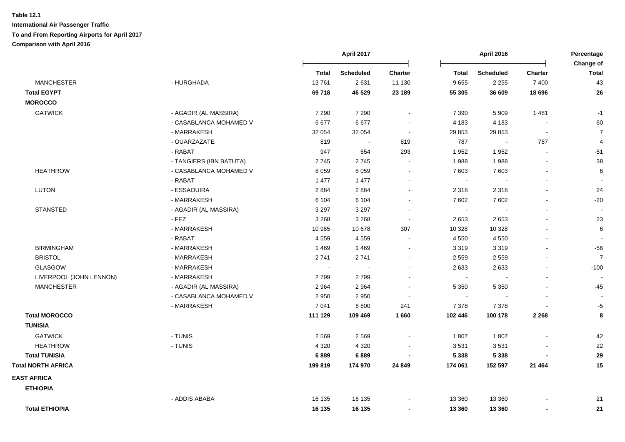|                                            |         |                  |                | <b>April 2016</b> |                          | Percentage     |                           |
|--------------------------------------------|---------|------------------|----------------|-------------------|--------------------------|----------------|---------------------------|
|                                            | Total   | <b>Scheduled</b> | <b>Charter</b> | <b>Total</b>      | <b>Scheduled</b>         | <b>Charter</b> | Change of<br><b>Total</b> |
| <b>MANCHESTER</b><br>- HURGHADA            | 13761   | 2631             | 11 130         | 9655              | 2 2 5 5                  | 7 4 0 0        | 43                        |
| <b>Total EGYPT</b>                         | 69718   | 46 529           | 23 189         | 55 305            | 36 609                   | 18 696         | 26                        |
| <b>MOROCCO</b>                             |         |                  |                |                   |                          |                |                           |
| <b>GATWICK</b><br>- AGADIR (AL MASSIRA)    | 7 2 9 0 | 7 2 9 0          | $\blacksquare$ | 7 3 9 0           | 5 9 0 9                  | 1 4 8 1        | $-1$                      |
| - CASABLANCA MOHAMED V                     | 6677    | 6677             | $\blacksquare$ | 4 1 8 3           | 4 1 8 3                  | $\blacksquare$ | 60                        |
| - MARRAKESH                                | 32 054  | 32 054           | $\sim$         | 29 853            | 29 853                   | $\Delta$       | $\overline{7}$            |
| - OUARZAZATE                               | 819     | $\blacksquare$   | 819            | 787               | $\blacksquare$           | 787            | 4                         |
| - RABAT                                    | 947     | 654              | 293            | 1952              | 1952                     | $\blacksquare$ | $-51$                     |
| - TANGIERS (IBN BATUTA)                    | 2745    | 2745             | $\sim$         | 1988              | 1988                     |                | 38                        |
| <b>HEATHROW</b><br>- CASABLANCA MOHAMED V  | 8 0 5 9 | 8 0 5 9          | $\blacksquare$ | 7 603             | 7603                     | $\blacksquare$ | 6                         |
| - RABAT                                    | 1 477   | 1 477            | $\blacksquare$ | $\sim$            | $\overline{\phantom{a}}$ |                |                           |
| <b>LUTON</b><br>- ESSAOUIRA                | 2884    | 2884             | $\blacksquare$ | 2 3 1 8           | 2 3 1 8                  |                | 24                        |
| - MARRAKESH                                | 6 104   | 6 1 0 4          | $\blacksquare$ | 7 602             | 7602                     |                | $-20$                     |
| <b>STANSTED</b><br>- AGADIR (AL MASSIRA)   | 3 2 9 7 | 3 2 9 7          | $\blacksquare$ | $\blacksquare$    | $\sim$                   | $\blacksquare$ | $\overline{\phantom{a}}$  |
| $-$ FEZ                                    | 3 2 6 8 | 3 2 6 8          | $\sim$         | 2653              | 2653                     |                | 23                        |
| - MARRAKESH                                | 10 985  | 10 678           | 307            | 10 328            | 10 328                   |                | $\,6$                     |
| - RABAT                                    | 4559    | 4559             | $\sim$         | 4 5 5 0           | 4 5 5 0                  |                |                           |
| <b>BIRMINGHAM</b><br>- MARRAKESH           | 1 4 6 9 | 1469             | $\blacksquare$ | 3 3 1 9           | 3319                     |                | $-56$                     |
| <b>BRISTOL</b><br>- MARRAKESH              | 2741    | 2741             | $\blacksquare$ | 2 5 5 9           | 2 5 5 9                  |                | $\overline{7}$            |
| <b>GLASGOW</b><br>- MARRAKESH              | $\sim$  | $\sim$           | $\blacksquare$ | 2633              | 2633                     |                | $-100$                    |
| LIVERPOOL (JOHN LENNON)<br>- MARRAKESH     | 2799    | 2799             | $\blacksquare$ | $\sim$            |                          |                |                           |
| <b>MANCHESTER</b><br>- AGADIR (AL MASSIRA) | 2964    | 2964             |                | 5 3 5 0           | 5 3 5 0                  |                | -45                       |
| - CASABLANCA MOHAMED V                     | 2 9 5 0 | 2 9 5 0          | $\blacksquare$ | $\sim$            |                          |                |                           |
| - MARRAKESH                                | 7 0 41  | 6 800            | 241            | 7 3 7 8           | 7 3 7 8                  |                | $-5$                      |
| <b>Total MOROCCO</b>                       | 111 129 | 109 469          | 1660           | 102 446           | 100 178                  | 2 2 6 8        | 8                         |
| <b>TUNISIA</b>                             |         |                  |                |                   |                          |                |                           |
| <b>GATWICK</b><br>- TUNIS                  | 2569    | 2569             | $\blacksquare$ | 1807              | 1807                     |                | 42                        |
| <b>HEATHROW</b><br>- TUNIS                 | 4 3 2 0 | 4 3 2 0          |                | 3531              | 3531                     |                | 22                        |
| <b>Total TUNISIA</b>                       | 6889    | 6889             |                | 5 3 3 8           | 5 3 3 8                  |                | 29                        |
| <b>Total NORTH AFRICA</b>                  | 199819  | 174 970          | 24 849         | 174 061           | 152 597                  | 21 4 64        | 15                        |
| <b>EAST AFRICA</b>                         |         |                  |                |                   |                          |                |                           |
| <b>ETHIOPIA</b>                            |         |                  |                |                   |                          |                |                           |
| - ADDIS ABABA                              | 16 135  | 16 135           |                | 13 360            | 13 3 60                  |                | 21                        |
| <b>Total ETHIOPIA</b>                      | 16 135  | 16 135           | $\blacksquare$ | 13 360            | 13 3 60                  | $\blacksquare$ | 21                        |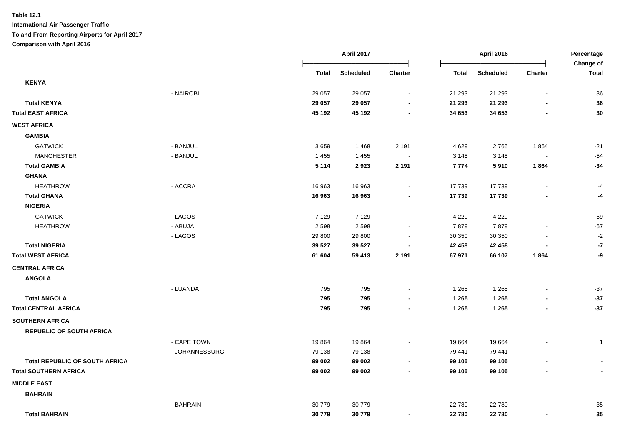**International Air Passenger Traffic To and From Reporting Airports for April 2017**

**Comparison with April 2016**

|                                       |                |         | April 2017       |                          |              | <b>April 2016</b> |                          | Percentage<br>Change of |  |
|---------------------------------------|----------------|---------|------------------|--------------------------|--------------|-------------------|--------------------------|-------------------------|--|
|                                       |                | Total   | <b>Scheduled</b> | <b>Charter</b>           | <b>Total</b> | <b>Scheduled</b>  | <b>Charter</b>           | <b>Total</b>            |  |
| <b>KENYA</b>                          |                |         |                  |                          |              |                   |                          |                         |  |
|                                       | - NAIROBI      | 29 057  | 29 057           | $\blacksquare$           | 21 293       | 21 29 3           | $\blacksquare$           | 36                      |  |
| <b>Total KENYA</b>                    |                | 29 057  | 29 057           |                          | 21 293       | 21 293            |                          | 36                      |  |
| <b>Total EAST AFRICA</b>              |                | 45 192  | 45 192           |                          | 34 653       | 34 653            |                          | 30                      |  |
| <b>WEST AFRICA</b>                    |                |         |                  |                          |              |                   |                          |                         |  |
| <b>GAMBIA</b>                         |                |         |                  |                          |              |                   |                          |                         |  |
| <b>GATWICK</b>                        | - BANJUL       | 3659    | 1468             | 2 1 9 1                  | 4 6 2 9      | 2765              | 1864                     | $-21$                   |  |
| <b>MANCHESTER</b>                     | - BANJUL       | 1 4 5 5 | 1 4 5 5          |                          | 3 1 4 5      | 3 1 4 5           |                          | $-54$                   |  |
| <b>Total GAMBIA</b>                   |                | 5 1 1 4 | 2923             | 2 1 9 1                  | 7774         | 5910              | 1864                     | $-34$                   |  |
| <b>GHANA</b>                          |                |         |                  |                          |              |                   |                          |                         |  |
| <b>HEATHROW</b>                       | - ACCRA        | 16 963  | 16 963           | $\sim$                   | 17 739       | 17739             |                          | -4                      |  |
| <b>Total GHANA</b>                    |                | 16 963  | 16 963           |                          | 17739        | 17739             |                          | -4                      |  |
| <b>NIGERIA</b>                        |                |         |                  |                          |              |                   |                          |                         |  |
| <b>GATWICK</b>                        | - LAGOS        | 7 1 2 9 | 7 1 2 9          | $\blacksquare$           | 4 2 2 9      | 4 2 2 9           | $\overline{\phantom{a}}$ | 69                      |  |
| <b>HEATHROW</b>                       | - ABUJA        | 2598    | 2598             |                          | 7879         | 7879              |                          | $-67$                   |  |
|                                       | - LAGOS        | 29 800  | 29 800           |                          | 30 350       | 30 350            |                          | $-2$                    |  |
| <b>Total NIGERIA</b>                  |                | 39 5 27 | 39 5 27          |                          | 42 458       | 42 458            |                          | $-7$                    |  |
| <b>Total WEST AFRICA</b>              |                | 61 604  | 59 413           | 2 1 9 1                  | 67 971       | 66 107            | 1864                     | -9                      |  |
| <b>CENTRAL AFRICA</b>                 |                |         |                  |                          |              |                   |                          |                         |  |
| <b>ANGOLA</b>                         |                |         |                  |                          |              |                   |                          |                         |  |
|                                       | - LUANDA       | 795     | 795              | $\overline{\phantom{a}}$ | 1 2 6 5      | 1 2 6 5           |                          | $-37$                   |  |
| <b>Total ANGOLA</b>                   |                | 795     | 795              | $\blacksquare$           | 1 2 6 5      | 1 2 6 5           |                          | $-37$                   |  |
| <b>Total CENTRAL AFRICA</b>           |                | 795     | 795              | $\blacksquare$           | 1 2 6 5      | 1 2 6 5           | $\blacksquare$           | $-37$                   |  |
| <b>SOUTHERN AFRICA</b>                |                |         |                  |                          |              |                   |                          |                         |  |
| <b>REPUBLIC OF SOUTH AFRICA</b>       |                |         |                  |                          |              |                   |                          |                         |  |
|                                       | - CAPE TOWN    | 19864   | 19864            | $\sim$                   | 19 664       | 19664             |                          | $\mathbf{1}$            |  |
|                                       | - JOHANNESBURG | 79 138  | 79 138           | $\sim$                   | 79 441       | 79 441            |                          |                         |  |
| <b>Total REPUBLIC OF SOUTH AFRICA</b> |                | 99 002  | 99 002           | $\blacksquare$           | 99 105       | 99 105            |                          |                         |  |
| <b>Total SOUTHERN AFRICA</b>          |                | 99 002  | 99 002           | $\blacksquare$           | 99 105       | 99 105            | $\blacksquare$           |                         |  |
| <b>MIDDLE EAST</b>                    |                |         |                  |                          |              |                   |                          |                         |  |
| <b>BAHRAIN</b>                        |                |         |                  |                          |              |                   |                          |                         |  |
|                                       | - BAHRAIN      | 30 779  | 30779            |                          | 22 780       | 22 780            |                          | 35                      |  |
| <b>Total BAHRAIN</b>                  |                | 30779   | 30779            | $\blacksquare$           | 22 780       | 22780             |                          | 35                      |  |
|                                       |                |         |                  |                          |              |                   |                          |                         |  |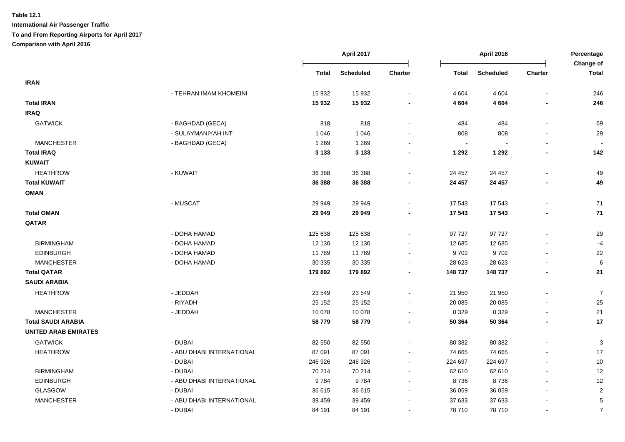|                             |                           |         | April 2017<br>April 2016 |                          |                | Percentage       |                |                           |
|-----------------------------|---------------------------|---------|--------------------------|--------------------------|----------------|------------------|----------------|---------------------------|
|                             |                           | Total   | <b>Scheduled</b>         | Charter                  | <b>Total</b>   | <b>Scheduled</b> | <b>Charter</b> | Change of<br><b>Total</b> |
| <b>IRAN</b>                 |                           |         |                          |                          |                |                  |                |                           |
|                             | - TEHRAN IMAM KHOMEINI    | 15 932  | 15 932                   |                          | 4 604          | 4 6 0 4          |                | 246                       |
| <b>Total IRAN</b>           |                           | 15932   | 15 932                   |                          | 4 604          | 4 6 0 4          |                | 246                       |
| <b>IRAQ</b>                 |                           |         |                          |                          |                |                  |                |                           |
| <b>GATWICK</b>              | - BAGHDAD (GECA)          | 818     | 818                      |                          | 484            | 484              |                | 69                        |
|                             | - SULAYMANIYAH INT        | 1 0 4 6 | 1 0 4 6                  |                          | 808            | 808              |                | 29                        |
| <b>MANCHESTER</b>           | - BAGHDAD (GECA)          | 1 2 6 9 | 1 2 6 9                  |                          | $\blacksquare$ |                  |                |                           |
| <b>Total IRAQ</b>           |                           | 3 1 3 3 | 3 1 3 3                  |                          | 1 2 9 2        | 1 2 9 2          |                | 142                       |
| <b>KUWAIT</b>               |                           |         |                          |                          |                |                  |                |                           |
| <b>HEATHROW</b>             | - KUWAIT                  | 36 388  | 36 388                   |                          | 24 457         | 24 457           |                | 49                        |
| <b>Total KUWAIT</b>         |                           | 36 388  | 36 388                   |                          | 24 457         | 24 457           |                | 49                        |
| <b>OMAN</b>                 |                           |         |                          |                          |                |                  |                |                           |
|                             | - MUSCAT                  | 29 949  | 29 949                   |                          | 17 543         | 17543            |                | 71                        |
| <b>Total OMAN</b>           |                           | 29 949  | 29 949                   |                          | 17 543         | 17543            |                | 71                        |
| QATAR                       |                           |         |                          |                          |                |                  |                |                           |
|                             | - DOHA HAMAD              | 125 638 | 125 638                  |                          | 97 727         | 97 727           |                | 29                        |
| <b>BIRMINGHAM</b>           | - DOHA HAMAD              | 12 130  | 12 130                   |                          | 12 685         | 12 685           |                | $-4$                      |
| <b>EDINBURGH</b>            | - DOHA HAMAD              | 11789   | 11789                    |                          | 9702           | 9702             |                | 22                        |
| <b>MANCHESTER</b>           | - DOHA HAMAD              | 30 335  | 30 335                   |                          | 28 623         | 28 6 23          |                | 6                         |
| <b>Total QATAR</b>          |                           | 179 892 | 179 892                  | $\blacksquare$           | 148 737        | 148 737          | ٠              | 21                        |
| <b>SAUDI ARABIA</b>         |                           |         |                          |                          |                |                  |                |                           |
| <b>HEATHROW</b>             | - JEDDAH                  | 23 549  | 23 549                   |                          | 21 950         | 21 950           |                | $\overline{7}$            |
|                             | - RIYADH                  | 25 152  | 25 152                   | $\sim$                   | 20 085         | 20 085           |                | 25                        |
| <b>MANCHESTER</b>           | - JEDDAH                  | 10 0 78 | 10 0 78                  | $\sim$                   | 8 3 2 9        | 8 3 2 9          |                | 21                        |
| <b>Total SAUDI ARABIA</b>   |                           | 58779   | 58779                    | $\overline{\phantom{a}}$ | 50 364         | 50 364           | $\blacksquare$ | $17$                      |
| <b>UNITED ARAB EMIRATES</b> |                           |         |                          |                          |                |                  |                |                           |
| <b>GATWICK</b>              | - DUBAI                   | 82 550  | 82 550                   |                          | 80 382         | 80 382           |                | 3                         |
| <b>HEATHROW</b>             | - ABU DHABI INTERNATIONAL | 87 091  | 87 091                   |                          | 74 665         | 74 665           |                | 17                        |
|                             | - DUBAI                   | 246 926 | 246 926                  | $\sim$                   | 224 697        | 224 697          |                | 10                        |
| <b>BIRMINGHAM</b>           | - DUBAI                   | 70 214  | 70 214                   | $\sim$                   | 62 610         | 62 610           |                | 12                        |
| <b>EDINBURGH</b>            | - ABU DHABI INTERNATIONAL | 9784    | 9784                     | $\sim$                   | 8736           | 8736             |                | 12                        |
| <b>GLASGOW</b>              | - DUBAI                   | 36 615  | 36 615                   |                          | 36 059         | 36 059           |                | $\sqrt{2}$                |
| <b>MANCHESTER</b>           | - ABU DHABI INTERNATIONAL | 39 459  | 39 459                   |                          | 37 633         | 37 633           |                | $\mathbf 5$               |
|                             | - DUBAI                   | 84 191  | 84 191                   |                          | 78 710         | 78 710           |                | $\overline{7}$            |
|                             |                           |         |                          |                          |                |                  |                |                           |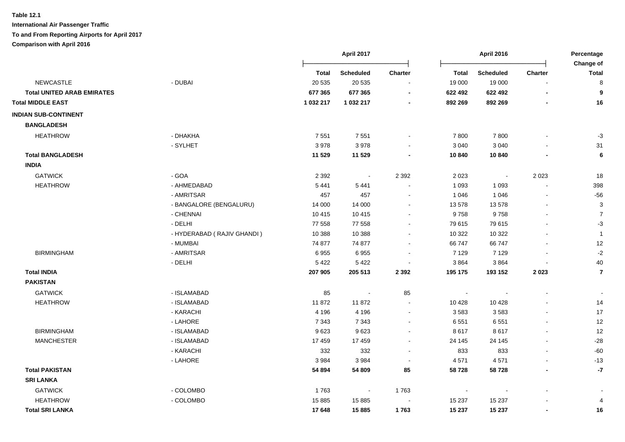|                                   |                            |           | April 2017       |                          | <b>April 2016</b> |                  | Percentage<br>Change of  |                |
|-----------------------------------|----------------------------|-----------|------------------|--------------------------|-------------------|------------------|--------------------------|----------------|
|                                   |                            | Total     | <b>Scheduled</b> | <b>Charter</b>           | <b>Total</b>      | <b>Scheduled</b> | <b>Charter</b>           | <b>Total</b>   |
| <b>NEWCASTLE</b>                  | - DUBAI                    | 20 535    | 20 535           |                          | 19 000            | 19 000           |                          | 8              |
| <b>Total UNITED ARAB EMIRATES</b> |                            | 677 365   | 677 365          |                          | 622 492           | 622 492          | ٠                        | 9              |
| <b>Total MIDDLE EAST</b>          |                            | 1 032 217 | 1 032 217        |                          | 892 269           | 892 269          |                          | 16             |
| <b>INDIAN SUB-CONTINENT</b>       |                            |           |                  |                          |                   |                  |                          |                |
| <b>BANGLADESH</b>                 |                            |           |                  |                          |                   |                  |                          |                |
| <b>HEATHROW</b>                   | - DHAKHA                   | 7 5 5 1   | 7551             |                          | 7800              | 7800             |                          | $-3$           |
|                                   | - SYLHET                   | 3978      | 3978             |                          | 3 0 4 0           | 3 0 4 0          |                          | 31             |
| <b>Total BANGLADESH</b>           |                            | 11 529    | 11 529           |                          | 10 840            | 10 840           |                          | 6              |
| <b>INDIA</b>                      |                            |           |                  |                          |                   |                  |                          |                |
| <b>GATWICK</b>                    | - GOA                      | 2 3 9 2   | $\sim$           | 2 3 9 2                  | 2 0 2 3           | $\sim$           | 2 0 2 3                  | 18             |
| <b>HEATHROW</b>                   | - AHMEDABAD                | 5441      | 5 4 4 1          |                          | 1 0 9 3           | 1 0 9 3          |                          | 398            |
|                                   | - AMRITSAR                 | 457       | 457              | $\sim$                   | 1 0 4 6           | 1 0 4 6          | $\overline{a}$           | $-56$          |
|                                   | - BANGALORE (BENGALURU)    | 14 000    | 14 000           | $\sim$                   | 13 578            | 13578            | $\blacksquare$           | 3              |
|                                   | - CHENNAI                  | 10 4 15   | 10 4 15          |                          | 9758              | 9758             |                          | $\overline{7}$ |
|                                   | - DELHI                    | 77 558    | 77 558           |                          | 79 615            | 79 615           |                          | $-3$           |
|                                   | - HYDERABAD (RAJIV GHANDI) | 10 388    | 10 388           |                          | 10 322            | 10 322           |                          | $\overline{1}$ |
|                                   | - MUMBAI                   | 74 877    | 74 877           |                          | 66 747            | 66747            |                          | 12             |
| <b>BIRMINGHAM</b>                 | - AMRITSAR                 | 6955      | 6955             |                          | 7 1 2 9           | 7 1 2 9          |                          | $-2$           |
|                                   | - DELHI                    | 5 4 2 2   | 5 4 2 2          |                          | 3864              | 3864             |                          | 40             |
| <b>Total INDIA</b>                |                            | 207 905   | 205 513          | 2 3 9 2                  | 195 175           | 193 152          | 2023                     | $\overline{7}$ |
| <b>PAKISTAN</b>                   |                            |           |                  |                          |                   |                  |                          |                |
| <b>GATWICK</b>                    | - ISLAMABAD                | 85        |                  | 85                       | $\sim$            |                  |                          |                |
| <b>HEATHROW</b>                   | - ISLAMABAD                | 11872     | 11872            | $\sim$                   | 10 4 28           | 10 4 28          |                          | 14             |
|                                   | - KARACHI                  | 4 1 9 6   | 4 1 9 6          | $\blacksquare$           | 3583              | 3583             | $\blacksquare$           | 17             |
|                                   | - LAHORE                   | 7 3 4 3   | 7 3 4 3          | $\blacksquare$           | 6 5 5 1           | 6551             | $\blacksquare$           | 12             |
| <b>BIRMINGHAM</b>                 | - ISLAMABAD                | 9623      | 9623             | $\blacksquare$           | 8617              | 8617             |                          | 12             |
| <b>MANCHESTER</b>                 | - ISLAMABAD                | 17 459    | 17 459           | $\overline{\phantom{a}}$ | 24 145            | 24 145           |                          | $-28$          |
|                                   | - KARACHI                  | 332       | 332              |                          | 833               | 833              | $\overline{a}$           | $-60$          |
|                                   | - LAHORE                   | 3984      | 3984             |                          | 4571              | 4571             |                          | $-13$          |
| <b>Total PAKISTAN</b>             |                            | 54 894    | 54 809           | 85                       | 58728             | 58728            | $\overline{\phantom{a}}$ | $-7$           |
| <b>SRI LANKA</b>                  |                            |           |                  |                          |                   |                  |                          |                |
| <b>GATWICK</b>                    | - COLOMBO                  | 1763      | $\sim$           | 1763                     | $\blacksquare$    |                  |                          |                |
| <b>HEATHROW</b>                   | - COLOMBO                  | 15 8 85   | 15 8 85          |                          | 15 237            | 15 2 37          |                          | 4              |
| <b>Total SRI LANKA</b>            |                            | 17 648    | 15885            | 1763                     | 15 237            | 15 237           | $\blacksquare$           | 16             |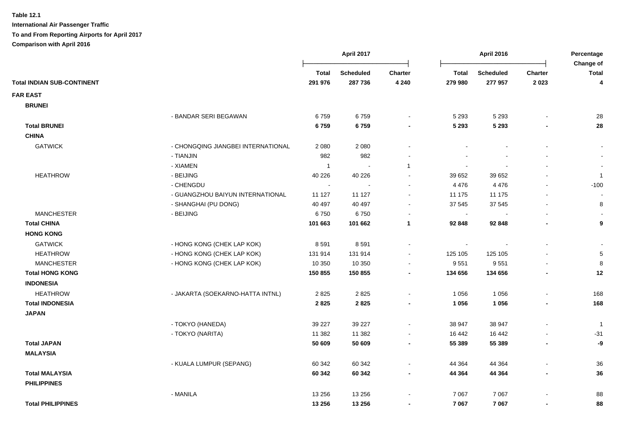|                                                      | April 2017     |                  | April 2016               |                          | Percentage<br>Change of |                |                |
|------------------------------------------------------|----------------|------------------|--------------------------|--------------------------|-------------------------|----------------|----------------|
|                                                      | Total          | <b>Scheduled</b> | Charter                  | <b>Total</b>             | <b>Scheduled</b>        | <b>Charter</b> | Total          |
| <b>Total INDIAN SUB-CONTINENT</b>                    | 291 976        | 287 736          | 4 2 4 0                  | 279 980                  | 277 957                 | 2023           | 4              |
| <b>FAR EAST</b>                                      |                |                  |                          |                          |                         |                |                |
| <b>BRUNEI</b>                                        |                |                  |                          |                          |                         |                |                |
| - BANDAR SERI BEGAWAN                                | 6759           | 6759             | $\blacksquare$           | 5 2 9 3                  | 5 2 9 3                 |                | 28             |
| <b>Total BRUNEI</b>                                  | 6759           | 6759             | $\blacksquare$           | 5 2 9 3                  | 5 2 9 3                 |                | 28             |
| <b>CHINA</b>                                         |                |                  |                          |                          |                         |                |                |
| <b>GATWICK</b><br>- CHONGQING JIANGBEI INTERNATIONAL | 2 0 8 0        | 2 0 8 0          | $\blacksquare$           |                          |                         |                | $\blacksquare$ |
| - TIANJIN                                            | 982            | 982              |                          |                          |                         |                | $\sim$         |
| - XIAMEN                                             | $\overline{1}$ | $\sim$           | 1                        | $\sim$                   |                         | $\blacksquare$ | $\blacksquare$ |
| - BEIJING<br><b>HEATHROW</b>                         | 40 226         | 40 226           | $\sim$                   | 39 652                   | 39 652                  |                | $\overline{1}$ |
| - CHENGDU                                            | $\sim$         | $\sim$           | $\blacksquare$           | 4 4 7 6                  | 4 4 7 6                 | $\blacksquare$ | $-100$         |
| - GUANGZHOU BAIYUN INTERNATIONAL                     | 11 127         | 11 127           | $\blacksquare$           | 11 175                   | 11 175                  | $\blacksquare$ |                |
| - SHANGHAI (PU DONG)                                 | 40 497         | 40 497           | $\overline{\phantom{a}}$ | 37 545                   | 37 545                  |                | 8              |
| - BEIJING<br><b>MANCHESTER</b>                       | 6750           | 6750             | $\sim$                   | $\overline{\phantom{a}}$ |                         |                |                |
| <b>Total CHINA</b>                                   | 101 663        | 101 662          | $\mathbf{1}$             | 92 848                   | 92 848                  |                | 9              |
| <b>HONG KONG</b>                                     |                |                  |                          |                          |                         |                |                |
| <b>GATWICK</b><br>- HONG KONG (CHEK LAP KOK)         | 8591           | 8591             | $\blacksquare$           |                          |                         |                |                |
| <b>HEATHROW</b><br>- HONG KONG (CHEK LAP KOK)        | 131 914        | 131 914          | $\overline{\phantom{a}}$ | 125 105                  | 125 105                 |                | $\mathbf 5$    |
| - HONG KONG (CHEK LAP KOK)<br><b>MANCHESTER</b>      | 10 350         | 10 350           | $\blacksquare$           | 9551                     | 9551                    |                | 8              |
| <b>Total HONG KONG</b>                               | 150 855        | 150 855          | $\blacksquare$           | 134 656                  | 134 656                 |                | 12             |
| <b>INDONESIA</b>                                     |                |                  |                          |                          |                         |                |                |
| <b>HEATHROW</b><br>- JAKARTA (SOEKARNO-HATTA INTNL)  | 2825           | 2825             | $\blacksquare$           | 1 0 5 6                  | 1 0 5 6                 | $\blacksquare$ | 168            |
| <b>Total INDONESIA</b>                               | 2825           | 2825             | $\blacksquare$           | 1 0 5 6                  | 1 0 5 6                 | $\blacksquare$ | 168            |
| <b>JAPAN</b>                                         |                |                  |                          |                          |                         |                |                |
| - TOKYO (HANEDA)                                     | 39 227         | 39 227           | $\blacksquare$           | 38 947                   | 38 947                  |                | $\overline{1}$ |
| - TOKYO (NARITA)                                     | 11 3 8 2       | 11 382           | $\blacksquare$           | 16 442                   | 16 442                  |                | $-31$          |
| <b>Total JAPAN</b>                                   | 50 609         | 50 609           | $\blacksquare$           | 55 389                   | 55 389                  |                | -9             |
| <b>MALAYSIA</b>                                      |                |                  |                          |                          |                         |                |                |
| - KUALA LUMPUR (SEPANG)                              | 60 342         | 60 342           | $\blacksquare$           | 44 3 64                  | 44 3 64                 | $\blacksquare$ | 36             |
| <b>Total MALAYSIA</b>                                | 60 342         | 60 342           | $\overline{\phantom{a}}$ | 44 364                   | 44 364                  |                | 36             |
| <b>PHILIPPINES</b>                                   |                |                  |                          |                          |                         |                |                |
| - MANILA                                             | 13 25 6        | 13 25 6          | $\blacksquare$           | 7 0 67                   | 7 0 6 7                 |                | 88             |
| <b>Total PHILIPPINES</b>                             | 13 256         | 13 25 6          | $\blacksquare$           | 7 0 6 7                  | 7 0 6 7                 |                | 88             |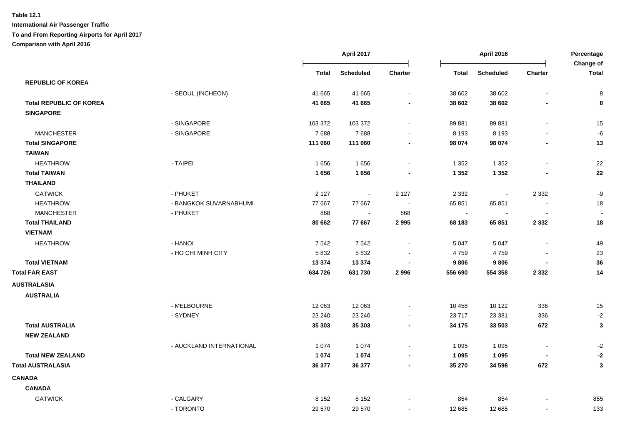|                                |                          |              | April 2017       |                | <b>April 2016</b> |                  | Percentage<br>Change of  |              |
|--------------------------------|--------------------------|--------------|------------------|----------------|-------------------|------------------|--------------------------|--------------|
|                                |                          | <b>Total</b> | <b>Scheduled</b> | <b>Charter</b> | <b>Total</b>      | <b>Scheduled</b> | <b>Charter</b>           | <b>Total</b> |
| <b>REPUBLIC OF KOREA</b>       |                          |              |                  |                |                   |                  |                          |              |
|                                | - SEOUL (INCHEON)        | 41 665       | 41 665           | $\sim$         | 38 602            | 38 602           | $\blacksquare$           | 8            |
| <b>Total REPUBLIC OF KOREA</b> |                          | 41 665       | 41 665           | $\blacksquare$ | 38 602            | 38 602           |                          | 8            |
| <b>SINGAPORE</b>               |                          |              |                  |                |                   |                  |                          |              |
|                                | - SINGAPORE              | 103 372      | 103 372          | $\blacksquare$ | 89 881            | 89 881           |                          | 15           |
| <b>MANCHESTER</b>              | - SINGAPORE              | 7688         | 7688             | $\sim$         | 8 1 9 3           | 8 1 9 3          |                          | -6           |
| <b>Total SINGAPORE</b>         |                          | 111 060      | 111 060          | $\blacksquare$ | 98 074            | 98 074           |                          | 13           |
| <b>TAIWAN</b>                  |                          |              |                  |                |                   |                  |                          |              |
| <b>HEATHROW</b>                | - TAIPEI                 | 1656         | 1656             | $\blacksquare$ | 1 3 5 2           | 1 3 5 2          |                          | 22           |
| <b>Total TAIWAN</b>            |                          | 1656         | 1656             |                | 1 3 5 2           | 1 3 5 2          |                          | 22           |
| <b>THAILAND</b>                |                          |              |                  |                |                   |                  |                          |              |
| <b>GATWICK</b>                 | - PHUKET                 | 2 1 2 7      | $\blacksquare$   | 2 1 2 7        | 2 3 3 2           | $\blacksquare$   | 2 3 3 2                  | $-9$         |
| <b>HEATHROW</b>                | - BANGKOK SUVARNABHUMI   | 77 667       | 77 667           | $\sim$         | 65 851            | 65 851           |                          | 18           |
| <b>MANCHESTER</b>              | - PHUKET                 | 868          | $\sim$           | 868            | $\sim$            |                  |                          |              |
| <b>Total THAILAND</b>          |                          | 80 662       | 77 667           | 2 9 9 5        | 68 183            | 65 851           | 2 3 3 2                  | 18           |
| <b>VIETNAM</b>                 |                          |              |                  |                |                   |                  |                          |              |
| <b>HEATHROW</b>                | - HANOI                  | 7542         | 7542             | $\sim$         | 5 0 4 7           | 5 0 4 7          |                          | 49           |
|                                | - HO CHI MINH CITY       | 5 8 3 2      | 5 8 3 2          | $\sim$         | 4759              | 4759             |                          | 23           |
| <b>Total VIETNAM</b>           |                          | 13 374       | 13 3 74          | $\blacksquare$ | 9806              | 9806             | $\overline{\phantom{a}}$ | 36           |
| <b>Total FAR EAST</b>          |                          | 634 726      | 631 730          | 2996           | 556 690           | 554 358          | 2 3 3 2                  | 14           |
| <b>AUSTRALASIA</b>             |                          |              |                  |                |                   |                  |                          |              |
| <b>AUSTRALIA</b>               |                          |              |                  |                |                   |                  |                          |              |
|                                | - MELBOURNE              | 12 063       | 12 063           | $\blacksquare$ | 10 458            | 10 122           | 336                      | 15           |
|                                | - SYDNEY                 | 23 240       | 23 240           |                | 23 717            | 23 381           | 336                      | $-2$         |
| <b>Total AUSTRALIA</b>         |                          | 35 303       | 35 303           | $\sim$         | 34 175            | 33 503           | 672                      | 3            |
| <b>NEW ZEALAND</b>             |                          |              |                  |                |                   |                  |                          |              |
|                                | - AUCKLAND INTERNATIONAL | 1 0 7 4      | 1 0 7 4          | $\blacksquare$ | 1 0 9 5           | 1 0 9 5          | $\overline{\phantom{a}}$ | $-2$         |
| <b>Total NEW ZEALAND</b>       |                          | 1 0 7 4      | 1 0 7 4          | $\blacksquare$ | 1 0 9 5           | 1 0 9 5          |                          | $-2$         |
| <b>Total AUSTRALASIA</b>       |                          | 36 377       | 36 377           | $\blacksquare$ | 35 270            | 34 598           | 672                      | $\mathbf{3}$ |
| <b>CANADA</b>                  |                          |              |                  |                |                   |                  |                          |              |
| <b>CANADA</b>                  |                          |              |                  |                |                   |                  |                          |              |
| <b>GATWICK</b>                 | - CALGARY                | 8 1 5 2      | 8 1 5 2          |                | 854               | 854              |                          | 855          |
|                                | - TORONTO                | 29 570       | 29 570           | $\blacksquare$ | 12 685            | 12 685           | $\sim$                   | 133          |
|                                |                          |              |                  |                |                   |                  |                          |              |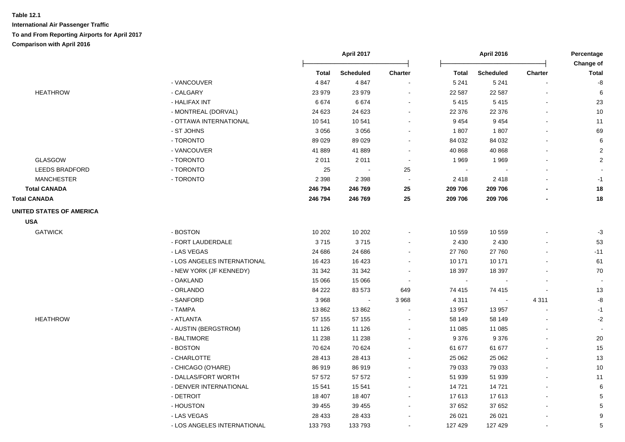|                                 |                             |              | April 2017       |                          |              | <b>April 2016</b>        |                          |                           |
|---------------------------------|-----------------------------|--------------|------------------|--------------------------|--------------|--------------------------|--------------------------|---------------------------|
|                                 |                             | <b>Total</b> | <b>Scheduled</b> | Charter                  | <b>Total</b> | <b>Scheduled</b>         | <b>Charter</b>           | Change of<br><b>Total</b> |
|                                 | - VANCOUVER                 | 4847         | 4847             |                          | 5 2 4 1      | 5 2 4 1                  |                          | -8                        |
| <b>HEATHROW</b>                 | - CALGARY                   | 23 979       | 23 979           | $\sim$                   | 22 587       | 22 5 87                  |                          | 6                         |
|                                 | - HALIFAX INT               | 6674         | 6674             | $\blacksquare$           | 5415         | 5415                     | $\blacksquare$           | 23                        |
|                                 | - MONTREAL (DORVAL)         | 24 623       | 24 623           |                          | 22 376       | 22 376                   | $\blacksquare$           | $10$                      |
|                                 | - OTTAWA INTERNATIONAL      | 10541        | 10 541           |                          | 9 4 5 4      | 9 4 5 4                  |                          | 11                        |
|                                 | - ST JOHNS                  | 3 0 5 6      | 3 0 5 6          |                          | 1807         | 1807                     | $\blacksquare$           | 69                        |
|                                 | - TORONTO                   | 89 0 29      | 89 0 29          | $\sim$                   | 84 032       | 84 032                   | $\blacksquare$           | $\,6\,$                   |
|                                 | - VANCOUVER                 | 41889        | 41889            |                          | 40 868       | 40 868                   |                          | $\overline{2}$            |
| <b>GLASGOW</b>                  | - TORONTO                   | 2011         | 2011             | $\overline{\phantom{a}}$ | 1969         | 1969                     |                          | $\overline{2}$            |
| <b>LEEDS BRADFORD</b>           | - TORONTO                   | 25           |                  | 25                       |              |                          |                          |                           |
| <b>MANCHESTER</b>               | - TORONTO                   | 2 3 9 8      | 2 3 9 8          | $\sim$                   | 2 4 1 8      | 2418                     |                          | $-1$                      |
| <b>Total CANADA</b>             |                             | 246 794      | 246 769          | 25                       | 209 706      | 209 706                  |                          | 18                        |
| <b>Total CANADA</b>             |                             | 246 794      | 246 769          | 25                       | 209 706      | 209 706                  |                          | 18                        |
| <b>UNITED STATES OF AMERICA</b> |                             |              |                  |                          |              |                          |                          |                           |
| <b>USA</b>                      |                             |              |                  |                          |              |                          |                          |                           |
| <b>GATWICK</b>                  | - BOSTON                    | 10 202       | 10 20 2          |                          | 10 559       | 10 559                   |                          | $-3$                      |
|                                 | - FORT LAUDERDALE           | 3715         | 3715             |                          | 2 4 3 0      | 2 4 3 0                  |                          | 53                        |
|                                 | - LAS VEGAS                 | 24 686       | 24 686           |                          | 27 760       | 27 760                   |                          | $-11$                     |
|                                 | - LOS ANGELES INTERNATIONAL | 16 4 23      | 16 4 23          |                          | 10 171       | 10 171                   |                          | 61                        |
|                                 | - NEW YORK (JF KENNEDY)     | 31 342       | 31 342           |                          | 18 397       | 18 397                   |                          | 70                        |
|                                 | - OAKLAND                   | 15 0 66      | 15 066           | $\sim$                   | $\sim$       |                          |                          |                           |
|                                 | - ORLANDO                   | 84 222       | 83 573           | 649                      | 74 415       | 74 415                   |                          | 13                        |
|                                 | - SANFORD                   | 3 9 6 8      | $\sim$           | 3 9 6 8                  | 4 3 1 1      | $\overline{\phantom{a}}$ | 4 3 1 1                  | -8                        |
|                                 | - TAMPA                     | 13862        | 13862            |                          | 13 957       | 13 957                   | $\blacksquare$           | $-1$                      |
| <b>HEATHROW</b>                 | - ATLANTA                   | 57 155       | 57 155           |                          | 58 149       | 58 149                   |                          | $-2$                      |
|                                 | - AUSTIN (BERGSTROM)        | 11 1 26      | 11 1 26          |                          | 11 085       | 11 085                   |                          |                           |
|                                 | - BALTIMORE                 | 11 238       | 11 238           |                          | 9 3 7 6      | 9 3 7 6                  |                          | 20                        |
|                                 | - BOSTON                    | 70 624       | 70 624           |                          | 61 677       | 61 677                   |                          | $15\,$                    |
|                                 | - CHARLOTTE                 | 28 4 13      | 28 413           |                          | 25 062       | 25 062                   |                          | $13$                      |
|                                 | - CHICAGO (O'HARE)          | 86919        | 86 919           |                          | 79 033       | 79 033                   |                          | $10$                      |
|                                 | - DALLAS/FORT WORTH         | 57 572       | 57 572           |                          | 51 939       | 51 939                   |                          | 11                        |
|                                 | - DENVER INTERNATIONAL      | 15 541       | 15 541           | $\sim$                   | 14 721       | 14 721                   |                          | 6                         |
|                                 | - DETROIT                   | 18 407       | 18 407           | $\sim$                   | 17613        | 17613                    | $\overline{\phantom{0}}$ | $\sqrt{5}$                |
|                                 | - HOUSTON                   | 39 455       | 39 455           |                          | 37 652       | 37 652                   |                          | $\sqrt{5}$                |
|                                 | - LAS VEGAS                 | 28 4 33      | 28 4 33          |                          | 26 021       | 26 0 21                  |                          | $\boldsymbol{9}$          |
|                                 | - LOS ANGELES INTERNATIONAL | 133 793      | 133 793          |                          | 127 429      | 127 429                  | $\blacksquare$           | $\mathbf 5$               |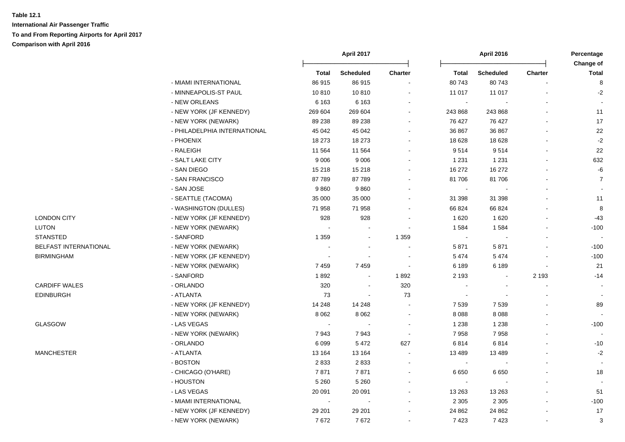|                       |                              |                          | April 2017               |         | April 2016               |                  |                | Percentage                |
|-----------------------|------------------------------|--------------------------|--------------------------|---------|--------------------------|------------------|----------------|---------------------------|
|                       |                              | <b>Total</b>             | Scheduled                | Charter | Total                    | <b>Scheduled</b> | Charter        | Change of<br><b>Total</b> |
|                       | - MIAMI INTERNATIONAL        | 86915                    | 86915                    |         | 80743                    | 80743            |                | 8                         |
|                       | - MINNEAPOLIS-ST PAUL        | 10810                    | 10810                    |         | 11 017                   | 11 017           |                | $-2$                      |
|                       | - NEW ORLEANS                | 6 1 6 3                  | 6 1 6 3                  |         | $\blacksquare$           |                  |                |                           |
|                       | - NEW YORK (JF KENNEDY)      | 269 604                  | 269 604                  |         | 243 868                  | 243 868          |                | 11                        |
|                       | - NEW YORK (NEWARK)          | 89 238                   | 89 238                   |         | 76 427                   | 76 427           |                | 17                        |
|                       | - PHILADELPHIA INTERNATIONAL | 45 042                   | 45 042                   |         | 36 867                   | 36 867           |                | 22                        |
|                       | - PHOENIX                    | 18 273                   | 18 273                   |         | 18 628                   | 18 6 28          | $\overline{a}$ | $-2$                      |
|                       | - RALEIGH                    | 11 564                   | 11 5 64                  |         | 9514                     | 9514             |                | 22                        |
|                       | - SALT LAKE CITY             | 9 0 0 6                  | 9 0 0 6                  |         | 1 2 3 1                  | 1 2 3 1          |                | 632                       |
|                       | - SAN DIEGO                  | 15 218                   | 15 218                   |         | 16 27 2                  | 16 27 2          |                | $\textnormal{-}6$         |
|                       | - SAN FRANCISCO              | 87789                    | 87789                    |         | 81 706                   | 81 706           | $\blacksquare$ | $\overline{7}$            |
|                       | - SAN JOSE                   | 9860                     | 9860                     |         | $\blacksquare$           |                  |                | $\blacksquare$            |
|                       | - SEATTLE (TACOMA)           | 35 000                   | 35 000                   |         | 31 398                   | 31 398           |                | 11                        |
|                       | - WASHINGTON (DULLES)        | 71 958                   | 71 958                   |         | 66 824                   | 66 824           |                | 8                         |
| <b>LONDON CITY</b>    | - NEW YORK (JF KENNEDY)      | 928                      | 928                      |         | 1620                     | 1 6 2 0          |                | $-43$                     |
| <b>LUTON</b>          | - NEW YORK (NEWARK)          | $\sim$                   |                          |         | 1 5 8 4                  | 1584             |                | $-100$                    |
| <b>STANSTED</b>       | - SANFORD                    | 1 3 5 9                  | $\sim$                   | 1 3 5 9 | $\blacksquare$           |                  |                |                           |
| BELFAST INTERNATIONAL | - NEW YORK (NEWARK)          | $\sim$                   | $\sim$                   |         | 5 8 7 1                  | 5871             |                | $-100$                    |
| <b>BIRMINGHAM</b>     | - NEW YORK (JF KENNEDY)      | $\sim$                   | $\overline{\phantom{a}}$ |         | 5 4 7 4                  | 5 4 7 4          |                | $-100$                    |
|                       | - NEW YORK (NEWARK)          | 7459                     | 7459                     |         | 6 189                    | 6 189            | $\blacksquare$ | 21                        |
|                       | - SANFORD                    | 1892                     | $\blacksquare$           | 1892    | 2 1 9 3                  |                  | 2 1 9 3        | $-14$                     |
| <b>CARDIFF WALES</b>  | - ORLANDO                    | 320                      | $\overline{\phantom{a}}$ | 320     |                          |                  |                | $\sim$                    |
| <b>EDINBURGH</b>      | - ATLANTA                    | 73                       | $\sim$                   | 73      | $\overline{\phantom{a}}$ |                  |                | $\overline{\phantom{a}}$  |
|                       | - NEW YORK (JF KENNEDY)      | 14 248                   | 14 248                   |         | 7 5 3 9                  | 7 5 3 9          |                | 89                        |
|                       | - NEW YORK (NEWARK)          | 8 0 6 2                  | 8 0 6 2                  |         | 8 0 8 8                  | 8 0 8 8          |                |                           |
| GLASGOW               | - LAS VEGAS                  | $\sim$                   |                          |         | 1 2 3 8                  | 1 2 3 8          |                | $-100$                    |
|                       | - NEW YORK (NEWARK)          | 7943                     | 7943                     |         | 7958                     | 7958             |                |                           |
|                       | - ORLANDO                    | 6 0 9 9                  | 5472                     | 627     | 6814                     | 6814             |                | $-10$                     |
| <b>MANCHESTER</b>     | - ATLANTA                    | 13 164                   | 13 164                   |         | 13 4 8 9                 | 13 4 8 9         |                | $-2$                      |
|                       | - BOSTON                     | 2833                     | 2833                     |         | $\blacksquare$           |                  | $\blacksquare$ |                           |
|                       | - CHICAGO (O'HARE)           | 7871                     | 7871                     |         | 6650                     | 6 6 5 0          |                | 18                        |
|                       | - HOUSTON                    | 5 2 6 0                  | 5 2 6 0                  |         | $\sim$                   |                  |                |                           |
|                       | - LAS VEGAS                  | 20 091                   | 20 091                   |         | 13 26 3                  | 13 263           |                | 51                        |
|                       | - MIAMI INTERNATIONAL        | $\overline{\phantom{a}}$ | $\overline{\phantom{a}}$ |         | 2 3 0 5                  | 2 3 0 5          |                | $-100$                    |
|                       | - NEW YORK (JF KENNEDY)      | 29 201                   | 29 201                   |         | 24 862                   | 24 862           |                | 17                        |
|                       | - NEW YORK (NEWARK)          | 7672                     | 7672                     |         | 7423                     | 7423             | $\blacksquare$ | 3                         |
|                       |                              |                          |                          |         |                          |                  |                |                           |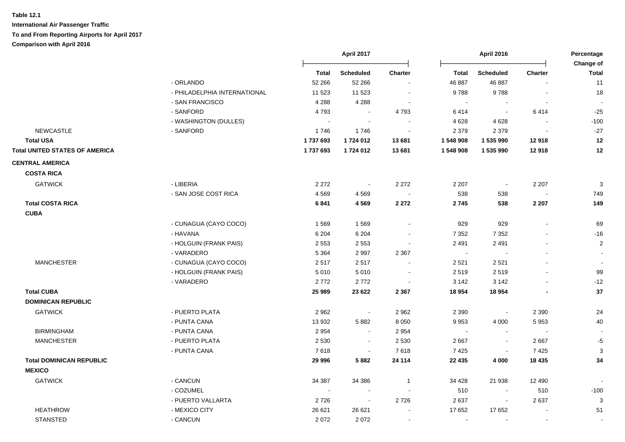|                                       |                              |         | April 2017<br>April 2016 |                          |                | Percentage<br>Change of  |                          |                |
|---------------------------------------|------------------------------|---------|--------------------------|--------------------------|----------------|--------------------------|--------------------------|----------------|
|                                       |                              | Total   | <b>Scheduled</b>         | <b>Charter</b>           | Total          | <b>Scheduled</b>         | <b>Charter</b>           | <b>Total</b>   |
|                                       | - ORLANDO                    | 52 266  | 52 266                   | $\blacksquare$           | 46 887         | 46 887                   |                          | 11             |
|                                       | - PHILADELPHIA INTERNATIONAL | 11 523  | 11 523                   | $\sim$                   | 9788           | 9788                     |                          | 18             |
|                                       | - SAN FRANCISCO              | 4 2 8 8 | 4 2 8 8                  | $\sim$                   | $\sim$         | $\overline{\phantom{a}}$ | $\overline{\phantom{a}}$ | $\blacksquare$ |
|                                       | - SANFORD                    | 4793    | $\sim$                   | 4793                     | 6414           | $\mathbf{r}$             | 6414                     | $-25$          |
|                                       | - WASHINGTON (DULLES)        | $\sim$  | $\sim$                   | $\sim$                   | 4 6 28         | 4628                     | $\sim$                   | $-100$         |
| <b>NEWCASTLE</b>                      | - SANFORD                    | 1746    | 1746                     | $\sim$                   | 2 3 7 9        | 2 3 7 9                  |                          | $-27$          |
| <b>Total USA</b>                      |                              | 1737693 | 1724 012                 | 13 681                   | 1548908        | 1 535 990                | 12918                    | 12             |
| <b>Total UNITED STATES OF AMERICA</b> |                              | 1737693 | 1724 012                 | 13 681                   | 1548908        | 1 535 990                | 12918                    | 12             |
| <b>CENTRAL AMERICA</b>                |                              |         |                          |                          |                |                          |                          |                |
| <b>COSTA RICA</b>                     |                              |         |                          |                          |                |                          |                          |                |
| <b>GATWICK</b>                        | - LIBERIA                    | 2 2 7 2 | $\sim$                   | 2 2 7 2                  | 2 2 0 7        | $\sim$                   | 2 2 0 7                  | $\mathbf{3}$   |
|                                       | - SAN JOSE COST RICA         | 4569    | 4569                     | $\sim$                   | 538            | 538                      | $\blacksquare$           | 749            |
| <b>Total COSTA RICA</b>               |                              | 6841    | 4569                     | 2 2 7 2                  | 2745           | 538                      | 2 2 0 7                  | 149            |
| <b>CUBA</b>                           |                              |         |                          |                          |                |                          |                          |                |
|                                       | - CUNAGUA (CAYO COCO)        | 1569    | 1569                     | $\sim$                   | 929            | 929                      | $\blacksquare$           | 69             |
|                                       | - HAVANA                     | 6 2 0 4 | 6 2 0 4                  | $\overline{\phantom{a}}$ | 7 3 5 2        | 7 3 5 2                  | $\blacksquare$           | $-16$          |
|                                       | - HOLGUIN (FRANK PAIS)       | 2 5 5 3 | 2 5 5 3                  | $\blacksquare$           | 2 4 9 1        | 2491                     | $\blacksquare$           | $\overline{2}$ |
|                                       | - VARADERO                   | 5 3 6 4 | 2997                     | 2 3 6 7                  | $\blacksquare$ |                          | $\blacksquare$           | $\sim$         |
| <b>MANCHESTER</b>                     | - CUNAGUA (CAYO COCO)        | 2517    | 2517                     |                          | 2 5 21         | 2 5 21                   |                          | $\blacksquare$ |
|                                       | - HOLGUIN (FRANK PAIS)       | 5 0 1 0 | 5 0 1 0                  | $\sim$                   | 2519           | 2519                     | $\blacksquare$           | 99             |
|                                       | - VARADERO                   | 2772    | 2772                     | $\sim$                   | 3 1 4 2        | 3 1 4 2                  |                          | $-12$          |
| <b>Total CUBA</b>                     |                              | 25 989  | 23 6 22                  | 2 3 6 7                  | 18 954         | 18 954                   |                          | 37             |
| <b>DOMINICAN REPUBLIC</b>             |                              |         |                          |                          |                |                          |                          |                |
| <b>GATWICK</b>                        | - PUERTO PLATA               | 2 9 6 2 | $\blacksquare$           | 2 9 6 2                  | 2 3 9 0        | $\blacksquare$           | 2 3 9 0                  | 24             |
|                                       | - PUNTA CANA                 | 13 932  | 5882                     | 8 0 5 0                  | 9953           | 4 0 0 0                  | 5953                     | 40             |
| <b>BIRMINGHAM</b>                     | - PUNTA CANA                 | 2954    | $\sim$                   | 2 9 5 4                  | $\sim$         | $\overline{\phantom{a}}$ | $\overline{\phantom{a}}$ |                |
| <b>MANCHESTER</b>                     | - PUERTO PLATA               | 2 5 3 0 | $\sim$                   | 2 5 3 0                  | 2667           | $\sim$                   | 2667                     | $-5$           |
|                                       | - PUNTA CANA                 | 7618    | $\blacksquare$           | 7618                     | 7 4 2 5        | $\blacksquare$           | 7425                     | 3              |
| <b>Total DOMINICAN REPUBLIC</b>       |                              | 29 996  | 5882                     | 24 114                   | 22 4 35        | 4 0 0 0                  | 18 4 35                  | 34             |
| <b>MEXICO</b>                         |                              |         |                          |                          |                |                          |                          |                |
| <b>GATWICK</b>                        | - CANCUN                     | 34 387  | 34 386                   | $\mathbf{1}$             | 34 4 28        | 21 938                   | 12 490                   |                |
|                                       | - COZUMEL                    |         | $\sim$                   |                          | 510            | $\sim$                   | 510                      | $-100$         |
|                                       | - PUERTO VALLARTA            | 2726    | $\sim$                   | 2726                     | 2637           | $\blacksquare$           | 2637                     | 3              |
| <b>HEATHROW</b>                       | - MEXICO CITY                | 26 621  | 26 621                   |                          | 17 652         | 17 652                   |                          | 51             |
| <b>STANSTED</b>                       | - CANCUN                     | 2072    | 2072                     | $\sim$                   | $\sim$         | $\sim$                   | $\sim$                   | $\sim$         |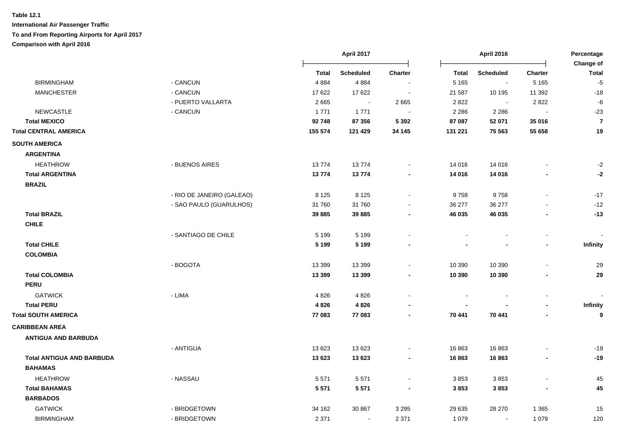|                                  |                           |          | April 2017<br>April 2016 |                |              | Percentage<br>Change of |                |                |
|----------------------------------|---------------------------|----------|--------------------------|----------------|--------------|-------------------------|----------------|----------------|
|                                  |                           | Total    | Scheduled                | <b>Charter</b> | <b>Total</b> | Scheduled               | <b>Charter</b> | <b>Total</b>   |
| <b>BIRMINGHAM</b>                | - CANCUN                  | 4884     | 4884                     |                | 5 1 6 5      | $\sim$                  | 5 1 6 5        | $-5$           |
| <b>MANCHESTER</b>                | - CANCUN                  | 17622    | 17 622                   |                | 21 587       | 10 195                  | 11 392         | $-18$          |
|                                  | - PUERTO VALLARTA         | 2665     | $\ddot{\phantom{a}}$     | 2 6 6 5        | 2822         |                         | 2822           | -6             |
| <b>NEWCASTLE</b>                 | - CANCUN                  | 1771     | 1771                     |                | 2 2 8 6      | 2 2 8 6                 |                | $-23$          |
| <b>Total MEXICO</b>              |                           | 92748    | 87 356                   | 5 3 9 2        | 87 087       | 52 071                  | 35 016         | $\overline{7}$ |
| <b>Total CENTRAL AMERICA</b>     |                           | 155 574  | 121 429                  | 34 145         | 131 221      | 75 563                  | 55 658         | 19             |
| <b>SOUTH AMERICA</b>             |                           |          |                          |                |              |                         |                |                |
| <b>ARGENTINA</b>                 |                           |          |                          |                |              |                         |                |                |
| <b>HEATHROW</b>                  | - BUENOS AIRES            | 13774    | 13774                    |                | 14 016       | 14 016                  |                | $-2$           |
| <b>Total ARGENTINA</b>           |                           | 13774    | 13774                    |                | 14 016       | 14 016                  |                | -2             |
| <b>BRAZIL</b>                    |                           |          |                          |                |              |                         |                |                |
|                                  | - RIO DE JANEIRO (GALEAO) | 8 1 2 5  | 8 1 2 5                  |                | 9758         | 9758                    |                | $-17$          |
|                                  | - SAO PAULO (GUARULHOS)   | 31 760   | 31 760                   |                | 36 277       | 36 277                  |                | $-12$          |
| <b>Total BRAZIL</b>              |                           | 39 885   | 39 885                   |                | 46 035       | 46 035                  |                | $-13$          |
| <b>CHILE</b>                     |                           |          |                          |                |              |                         |                |                |
|                                  | - SANTIAGO DE CHILE       | 5 1 9 9  | 5 1 9 9                  |                |              |                         |                |                |
| <b>Total CHILE</b>               |                           | 5 1 9 9  | 5 1 9 9                  |                |              |                         |                | Infinity       |
| <b>COLOMBIA</b>                  |                           |          |                          |                |              |                         |                |                |
|                                  | - BOGOTA                  | 13 3 9 9 | 13 3 9 9                 |                | 10 390       | 10 390                  |                | 29             |
| <b>Total COLOMBIA</b>            |                           | 13 3 9 9 | 13 3 9 9                 |                | 10 390       | 10 390                  |                | 29             |
| <b>PERU</b>                      |                           |          |                          |                |              |                         |                |                |
| <b>GATWICK</b>                   | - LIMA                    | 4826     | 4826                     |                |              |                         |                |                |
| <b>Total PERU</b>                |                           | 4826     | 4826                     |                |              |                         |                | Infinity       |
| <b>Total SOUTH AMERICA</b>       |                           | 77 083   | 77 083                   |                | 70 441       | 70 441                  |                | 9              |
| <b>CARIBBEAN AREA</b>            |                           |          |                          |                |              |                         |                |                |
| <b>ANTIGUA AND BARBUDA</b>       |                           |          |                          |                |              |                         |                |                |
|                                  | - ANTIGUA                 | 13 6 23  | 13 623                   |                | 16 863       | 16863                   |                | $-19$          |
| <b>Total ANTIGUA AND BARBUDA</b> |                           | 13 623   | 13 623                   |                | 16863        | 16863                   |                | $-19$          |
| <b>BAHAMAS</b>                   |                           |          |                          |                |              |                         |                |                |
| <b>HEATHROW</b>                  | - NASSAU                  | 5571     | 5571                     |                | 3853         | 3853                    |                | 45             |
| <b>Total BAHAMAS</b>             |                           | 5 5 7 1  | 5 5 7 1                  |                | 3853         | 3853                    |                | 45             |
| <b>BARBADOS</b>                  |                           |          |                          |                |              |                         |                |                |
| <b>GATWICK</b>                   | - BRIDGETOWN              | 34 162   | 30 867                   | 3 2 9 5        | 29 635       | 28 270                  | 1 3 6 5        | 15             |
| <b>BIRMINGHAM</b>                | - BRIDGETOWN              | 2 3 7 1  | $\blacksquare$           | 2 3 7 1        | 1 0 7 9      |                         | 1 0 7 9        | 120            |
|                                  |                           |          |                          |                |              |                         |                |                |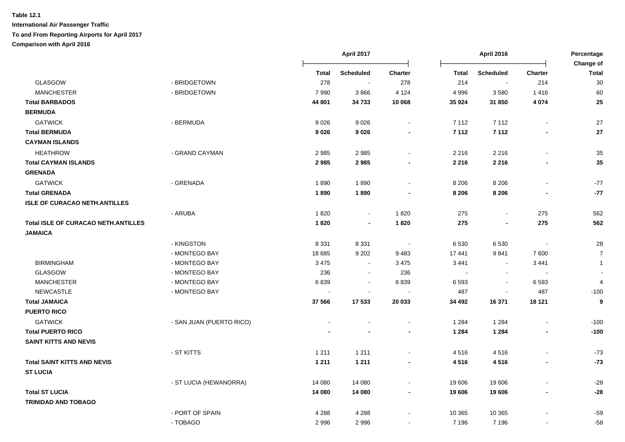|                                            |                          |              | April 2017       |                          |              | <b>April 2016</b>        |                          | Percentage<br>Change of  |
|--------------------------------------------|--------------------------|--------------|------------------|--------------------------|--------------|--------------------------|--------------------------|--------------------------|
|                                            |                          | <b>Total</b> | <b>Scheduled</b> | <b>Charter</b>           | <b>Total</b> | <b>Scheduled</b>         | <b>Charter</b>           | <b>Total</b>             |
| GLASGOW                                    | - BRIDGETOWN             | 278          | $\sim$           | 278                      | 214          | $\overline{\phantom{a}}$ | 214                      | 30                       |
| <b>MANCHESTER</b>                          | - BRIDGETOWN             | 7990         | 3866             | 4 1 2 4                  | 4 9 9 6      | 3580                     | 1416                     | 60                       |
| <b>Total BARBADOS</b>                      |                          | 44 801       | 34 733           | 10 068                   | 35 924       | 31 850                   | 4 0 7 4                  | 25                       |
| <b>BERMUDA</b>                             |                          |              |                  |                          |              |                          |                          |                          |
| <b>GATWICK</b>                             | - BERMUDA                | 9026         | 9026             | $\sim$                   | 7 1 1 2      | 7 1 1 2                  |                          | 27                       |
| <b>Total BERMUDA</b>                       |                          | 9026         | 9026             | $\blacksquare$           | 7 1 1 2      | 7 1 1 2                  |                          | 27                       |
| <b>CAYMAN ISLANDS</b>                      |                          |              |                  |                          |              |                          |                          |                          |
| <b>HEATHROW</b>                            | - GRAND CAYMAN           | 2985         | 2985             | $\blacksquare$           | 2 2 1 6      | 2 2 1 6                  | $\sim$                   | 35                       |
| <b>Total CAYMAN ISLANDS</b>                |                          | 2985         | 2985             | $\blacksquare$           | 2 2 1 6      | 2 2 1 6                  |                          | 35                       |
| <b>GRENADA</b>                             |                          |              |                  |                          |              |                          |                          |                          |
| <b>GATWICK</b>                             | - GRENADA                | 1890         | 1890             |                          | 8 2 0 6      | 8 2 0 6                  |                          | $-77$                    |
| <b>Total GRENADA</b>                       |                          | 1890         | 1890             |                          | 8 2 0 6      | 8 2 0 6                  |                          | $-77$                    |
| <b>ISLE OF CURACAO NETH.ANTILLES</b>       |                          |              |                  |                          |              |                          |                          |                          |
|                                            | - ARUBA                  | 1820         | $\blacksquare$   | 1820                     | 275          | $\blacksquare$           | 275                      | 562                      |
| <b>Total ISLE OF CURACAO NETH.ANTILLES</b> |                          | 1820         | $\blacksquare$   | 1820                     | 275          | $\blacksquare$           | 275                      | 562                      |
| <b>JAMAICA</b>                             |                          |              |                  |                          |              |                          |                          |                          |
|                                            | - KINGSTON               | 8 3 3 1      | 8 3 3 1          | $\overline{\phantom{a}}$ | 6 5 3 0      | 6530                     | $\overline{\phantom{a}}$ | 28                       |
|                                            | - MONTEGO BAY            | 18 685       | 9 2 0 2          | 9 4 8 3                  | 17 441       | 9841                     | 7600                     | $\overline{7}$           |
| <b>BIRMINGHAM</b>                          | - MONTEGO BAY            | 3 4 7 5      | $\blacksquare$   | 3 4 7 5                  | 3 4 4 1      | $\blacksquare$           | 3 4 4 1                  | $\overline{1}$           |
| <b>GLASGOW</b>                             | - MONTEGO BAY            | 236          | $\blacksquare$   | 236                      | $\sim$       | $\blacksquare$           |                          | $\overline{\phantom{a}}$ |
| <b>MANCHESTER</b>                          | - MONTEGO BAY            | 6839         | $\sim$           | 6839                     | 6 5 9 3      | $\blacksquare$           | 6593                     | $\overline{4}$           |
| <b>NEWCASTLE</b>                           | - MONTEGO BAY            |              | $\blacksquare$   |                          | 487          | $\blacksquare$           | 487                      | $-100$                   |
| <b>Total JAMAICA</b>                       |                          | 37 566       | 17 533           | 20 033                   | 34 492       | 16 371                   | 18 121                   | 9                        |
| <b>PUERTO RICO</b>                         |                          |              |                  |                          |              |                          |                          |                          |
| <b>GATWICK</b>                             | - SAN JUAN (PUERTO RICO) |              |                  | $\blacksquare$           | 1 2 8 4      | 1 2 8 4                  |                          | $-100$                   |
| <b>Total PUERTO RICO</b>                   |                          |              | $\blacksquare$   | $\blacksquare$           | 1 2 8 4      | 1 2 8 4                  | $\blacksquare$           | $-100$                   |
| <b>SAINT KITTS AND NEVIS</b>               |                          |              |                  |                          |              |                          |                          |                          |
|                                            | - ST KITTS               | 1 2 1 1      | 1 2 1 1          | $\sim$                   | 4516         | 4516                     | $\sim$                   | $-73$                    |
| <b>Total SAINT KITTS AND NEVIS</b>         |                          | 1 2 1 1      | 1 2 1 1          | $\blacksquare$           | 4516         | 4516                     | $\overline{\phantom{a}}$ | $-73$                    |
| <b>ST LUCIA</b>                            |                          |              |                  |                          |              |                          |                          |                          |
|                                            | - ST LUCIA (HEWANORRA)   | 14 080       | 14 080           | $\sim$                   | 19 606       | 19 606                   | $\sim$                   | $-28$                    |
| <b>Total ST LUCIA</b>                      |                          | 14 080       | 14 080           | $\blacksquare$           | 19 606       | 19 606                   | $\overline{\phantom{a}}$ | $-28$                    |
| <b>TRINIDAD AND TOBAGO</b>                 |                          |              |                  |                          |              |                          |                          |                          |
|                                            | - PORT OF SPAIN          | 4 2 8 8      | 4 2 8 8          |                          | 10 365       | 10 365                   |                          | $-59$                    |
|                                            | - TOBAGO                 | 2996         | 2 9 9 6          | $\blacksquare$           | 7 1 9 6      | 7 1 9 6                  | $\sim$                   | $-58$                    |
|                                            |                          |              |                  |                          |              |                          |                          |                          |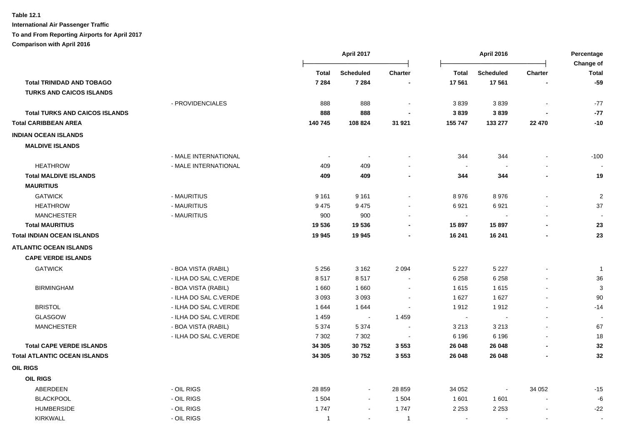|                                       |                       |                          | April 2017               |                | <b>April 2016</b> |                  | Percentage               |                           |
|---------------------------------------|-----------------------|--------------------------|--------------------------|----------------|-------------------|------------------|--------------------------|---------------------------|
|                                       |                       | <b>Total</b>             | <b>Scheduled</b>         | <b>Charter</b> | <b>Total</b>      | <b>Scheduled</b> | <b>Charter</b>           | Change of<br><b>Total</b> |
| <b>Total TRINIDAD AND TOBAGO</b>      |                       | 7 2 8 4                  | 7 2 8 4                  |                | 17 561            | 17 561           |                          | $-59$                     |
| <b>TURKS AND CAICOS ISLANDS</b>       |                       |                          |                          |                |                   |                  |                          |                           |
|                                       | - PROVIDENCIALES      | 888                      | 888                      |                | 3839              | 3839             | $\blacksquare$           | $-77$                     |
| <b>Total TURKS AND CAICOS ISLANDS</b> |                       | 888                      | 888                      |                | 3839              | 3839             |                          | $-77$                     |
| <b>Total CARIBBEAN AREA</b>           |                       | 140 745                  | 108 824                  | 31 921         | 155 747           | 133 277          | 22 470                   | $-10$                     |
| <b>INDIAN OCEAN ISLANDS</b>           |                       |                          |                          |                |                   |                  |                          |                           |
| <b>MALDIVE ISLANDS</b>                |                       |                          |                          |                |                   |                  |                          |                           |
|                                       | - MALE INTERNATIONAL  | $\overline{\phantom{a}}$ | $\sim$                   |                | 344               | 344              | L.                       | $-100$                    |
| <b>HEATHROW</b>                       | - MALE INTERNATIONAL  | 409                      | 409                      |                | $\sim$            |                  |                          |                           |
| <b>Total MALDIVE ISLANDS</b>          |                       | 409                      | 409                      |                | 344               | 344              |                          | 19                        |
| <b>MAURITIUS</b>                      |                       |                          |                          |                |                   |                  |                          |                           |
| <b>GATWICK</b>                        | - MAURITIUS           | 9 1 6 1                  | 9 1 6 1                  |                | 8976              | 8976             |                          | $\boldsymbol{2}$          |
| <b>HEATHROW</b>                       | - MAURITIUS           | 9475                     | 9475                     |                | 6921              | 6921             |                          | 37                        |
| <b>MANCHESTER</b>                     | - MAURITIUS           | 900                      | 900                      |                | $\blacksquare$    |                  |                          |                           |
| <b>Total MAURITIUS</b>                |                       | 19536                    | 19536                    |                | 15 897            | 15 897           |                          | 23                        |
| <b>Total INDIAN OCEAN ISLANDS</b>     |                       | 19 945                   | 19 945                   |                | 16 241            | 16 241           |                          | 23                        |
| <b>ATLANTIC OCEAN ISLANDS</b>         |                       |                          |                          |                |                   |                  |                          |                           |
| <b>CAPE VERDE ISLANDS</b>             |                       |                          |                          |                |                   |                  |                          |                           |
| <b>GATWICK</b>                        | - BOA VISTA (RABIL)   | 5 2 5 6                  | 3 1 6 2                  | 2 0 9 4        | 5 2 2 7           | 5 2 2 7          |                          | $\overline{1}$            |
|                                       | - ILHA DO SAL C.VERDE | 8517                     | 8517                     |                | 6 2 5 8           | 6 2 5 8          |                          | $36\,$                    |
| <b>BIRMINGHAM</b>                     | - BOA VISTA (RABIL)   | 1660                     | 1660                     | $\sim$         | 1615              | 1615             | $\blacksquare$           | $\mathbf{3}$              |
|                                       | - ILHA DO SAL C.VERDE | 3 0 9 3                  | 3093                     |                | 1 6 2 7           | 1627             | $\blacksquare$           | 90                        |
| <b>BRISTOL</b>                        | - ILHA DO SAL C.VERDE | 1644                     | 1644                     | $\sim$         | 1912              | 1912             | $\blacksquare$           | $-14$                     |
| <b>GLASGOW</b>                        | - ILHA DO SAL C.VERDE | 1459                     | $\overline{\phantom{a}}$ | 1 4 5 9        | $\sim$            |                  | $\blacksquare$           |                           |
| <b>MANCHESTER</b>                     | - BOA VISTA (RABIL)   | 5 3 7 4                  | 5 3 7 4                  |                | 3 2 1 3           | 3 2 1 3          |                          | 67                        |
|                                       | - ILHA DO SAL C.VERDE | 7 3 0 2                  | 7 3 0 2                  |                | 6 1 9 6           | 6 1 9 6          |                          | 18                        |
| <b>Total CAPE VERDE ISLANDS</b>       |                       | 34 305                   | 30752                    | 3 5 5 3        | 26 048            | 26 048           |                          | 32                        |
| <b>Total ATLANTIC OCEAN ISLANDS</b>   |                       | 34 305                   | 30752                    | 3553           | 26 048            | 26 048           |                          | 32                        |
| <b>OIL RIGS</b>                       |                       |                          |                          |                |                   |                  |                          |                           |
| <b>OIL RIGS</b>                       |                       |                          |                          |                |                   |                  |                          |                           |
| ABERDEEN                              | - OIL RIGS            | 28 859                   | $\blacksquare$           | 28 8 59        | 34 052            | $\sim$           | 34 052                   | $-15$                     |
| <b>BLACKPOOL</b>                      | - OIL RIGS            | 1 504                    | $\blacksquare$           | 1 504          | 1 601             | 1 601            | $\ddot{\phantom{a}}$     | -6                        |
| <b>HUMBERSIDE</b>                     | - OIL RIGS            | 1747                     | $\blacksquare$           | 1747           | 2 2 5 3           | 2 2 5 3          | $\overline{\phantom{a}}$ | $-22$                     |
| <b>KIRKWALL</b>                       | - OIL RIGS            | $\mathbf{1}$             | $\sim$                   | $\overline{1}$ |                   |                  | $\blacksquare$           | $\overline{\phantom{a}}$  |